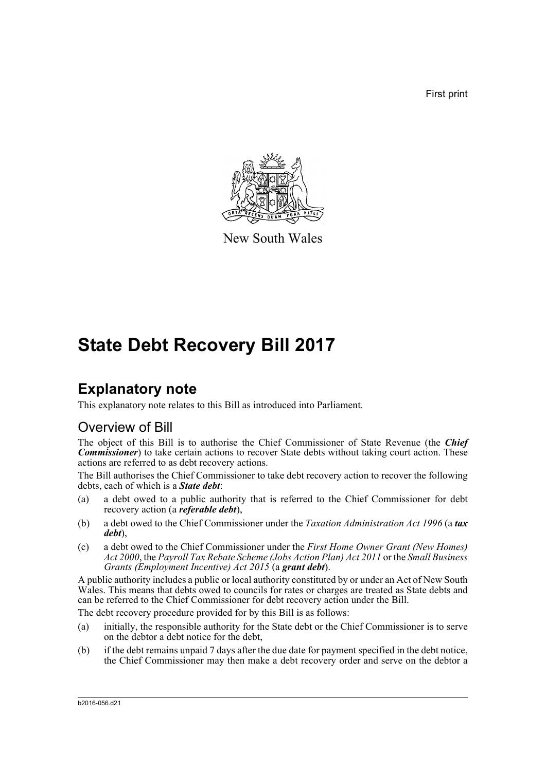First print



New South Wales

# **State Debt Recovery Bill 2017**

# **Explanatory note**

This explanatory note relates to this Bill as introduced into Parliament.

# Overview of Bill

The object of this Bill is to authorise the Chief Commissioner of State Revenue (the *Chief Commissioner*) to take certain actions to recover State debts without taking court action. These actions are referred to as debt recovery actions.

The Bill authorises the Chief Commissioner to take debt recovery action to recover the following debts, each of which is a *State debt*:

- (a) a debt owed to a public authority that is referred to the Chief Commissioner for debt recovery action (a *referable debt*),
- (b) a debt owed to the Chief Commissioner under the *Taxation Administration Act 1996* (a *tax debt*),
- (c) a debt owed to the Chief Commissioner under the *First Home Owner Grant (New Homes) Act 2000*, the *Payroll Tax Rebate Scheme (Jobs Action Plan) Act 2011* or the *Small Business Grants (Employment Incentive) Act 2015* (a *grant debt*).

A public authority includes a public or local authority constituted by or under an Act of New South Wales. This means that debts owed to councils for rates or charges are treated as State debts and can be referred to the Chief Commissioner for debt recovery action under the Bill.

The debt recovery procedure provided for by this Bill is as follows:

- (a) initially, the responsible authority for the State debt or the Chief Commissioner is to serve on the debtor a debt notice for the debt,
- (b) if the debt remains unpaid 7 days after the due date for payment specified in the debt notice, the Chief Commissioner may then make a debt recovery order and serve on the debtor a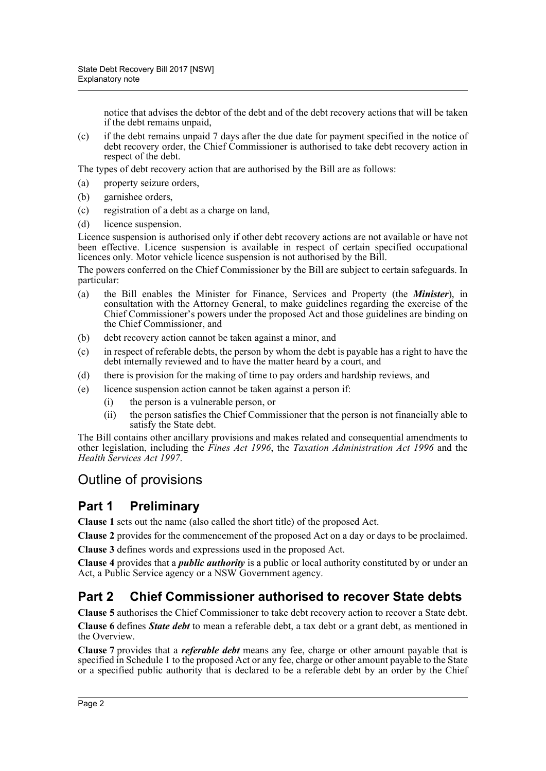notice that advises the debtor of the debt and of the debt recovery actions that will be taken if the debt remains unpaid,

(c) if the debt remains unpaid 7 days after the due date for payment specified in the notice of debt recovery order, the Chief Commissioner is authorised to take debt recovery action in respect of the debt.

The types of debt recovery action that are authorised by the Bill are as follows:

- (a) property seizure orders,
- (b) garnishee orders,
- (c) registration of a debt as a charge on land,
- (d) licence suspension.

Licence suspension is authorised only if other debt recovery actions are not available or have not been effective. Licence suspension is available in respect of certain specified occupational licences only. Motor vehicle licence suspension is not authorised by the Bill.

The powers conferred on the Chief Commissioner by the Bill are subject to certain safeguards. In particular:

- (a) the Bill enables the Minister for Finance, Services and Property (the *Minister*), in consultation with the Attorney General, to make guidelines regarding the exercise of the Chief Commissioner's powers under the proposed Act and those guidelines are binding on the Chief Commissioner, and
- (b) debt recovery action cannot be taken against a minor, and
- (c) in respect of referable debts, the person by whom the debt is payable has a right to have the debt internally reviewed and to have the matter heard by a court, and
- (d) there is provision for the making of time to pay orders and hardship reviews, and
- (e) licence suspension action cannot be taken against a person if:
	- (i) the person is a vulnerable person, or
	- (ii) the person satisfies the Chief Commissioner that the person is not financially able to satisfy the State debt.

The Bill contains other ancillary provisions and makes related and consequential amendments to other legislation, including the *Fines Act 1996*, the *Taxation Administration Act 1996* and the *Health Services Act 1997*.

# Outline of provisions

# **Part 1 Preliminary**

**Clause 1** sets out the name (also called the short title) of the proposed Act.

**Clause 2** provides for the commencement of the proposed Act on a day or days to be proclaimed.

**Clause 3** defines words and expressions used in the proposed Act.

**Clause 4** provides that a *public authority* is a public or local authority constituted by or under an Act, a Public Service agency or a NSW Government agency.

# **Part 2 Chief Commissioner authorised to recover State debts**

**Clause 5** authorises the Chief Commissioner to take debt recovery action to recover a State debt.

**Clause 6** defines *State debt* to mean a referable debt, a tax debt or a grant debt, as mentioned in the Overview.

**Clause 7** provides that a *referable debt* means any fee, charge or other amount payable that is specified in Schedule 1 to the proposed Act or any fee, charge or other amount payable to the State or a specified public authority that is declared to be a referable debt by an order by the Chief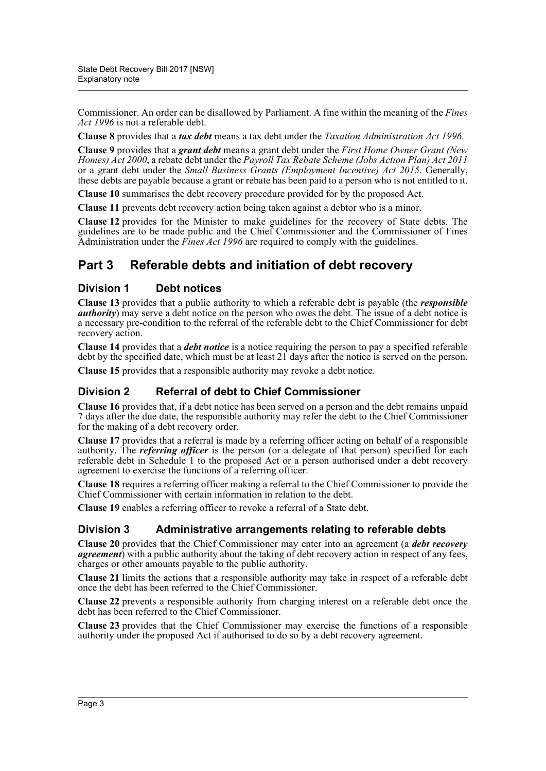Commissioner. An order can be disallowed by Parliament. A fine within the meaning of the *Fines Act 1996* is not a referable debt.

**Clause 8** provides that a *tax debt* means a tax debt under the *Taxation Administration Act 1996*.

**Clause 9** provides that a *grant debt* means a grant debt under the *First Home Owner Grant (New Homes) Act 2000*, a rebate debt under the *Payroll Tax Rebate Scheme (Jobs Action Plan) Act 2011* or a grant debt under the *Small Business Grants (Employment Incentive) Act 2015*. Generally, these debts are payable because a grant or rebate has been paid to a person who is not entitled to it.

**Clause 10** summarises the debt recovery procedure provided for by the proposed Act.

**Clause 11** prevents debt recovery action being taken against a debtor who is a minor.

**Clause 12** provides for the Minister to make guidelines for the recovery of State debts. The guidelines are to be made public and the Chief Commissioner and the Commissioner of Fines Administration under the *Fines Act 1996* are required to comply with the guidelines.

# **Part 3 Referable debts and initiation of debt recovery**

## **Division 1 Debt notices**

**Clause 13** provides that a public authority to which a referable debt is payable (the *responsible authority*) may serve a debt notice on the person who owes the debt. The issue of a debt notice is a necessary pre-condition to the referral of the referable debt to the Chief Commissioner for debt recovery action.

**Clause 14** provides that a *debt notice* is a notice requiring the person to pay a specified referable debt by the specified date, which must be at least 21 days after the notice is served on the person.

**Clause 15** provides that a responsible authority may revoke a debt notice.

# **Division 2 Referral of debt to Chief Commissioner**

**Clause 16** provides that, if a debt notice has been served on a person and the debt remains unpaid 7 days after the due date, the responsible authority may refer the debt to the Chief Commissioner for the making of a debt recovery order.

**Clause 17** provides that a referral is made by a referring officer acting on behalf of a responsible authority. The *referring officer* is the person (or a delegate of that person) specified for each referable debt in Schedule 1 to the proposed Act or a person authorised under a debt recovery agreement to exercise the functions of a referring officer.

**Clause 18** requires a referring officer making a referral to the Chief Commissioner to provide the Chief Commissioner with certain information in relation to the debt.

**Clause 19** enables a referring officer to revoke a referral of a State debt.

### **Division 3 Administrative arrangements relating to referable debts**

**Clause 20** provides that the Chief Commissioner may enter into an agreement (a *debt recovery agreement*) with a public authority about the taking of debt recovery action in respect of any fees, charges or other amounts payable to the public authority.

**Clause 21** limits the actions that a responsible authority may take in respect of a referable debt once the debt has been referred to the Chief Commissioner.

**Clause 22** prevents a responsible authority from charging interest on a referable debt once the debt has been referred to the Chief Commissioner.

**Clause 23** provides that the Chief Commissioner may exercise the functions of a responsible authority under the proposed Act if authorised to do so by a debt recovery agreement.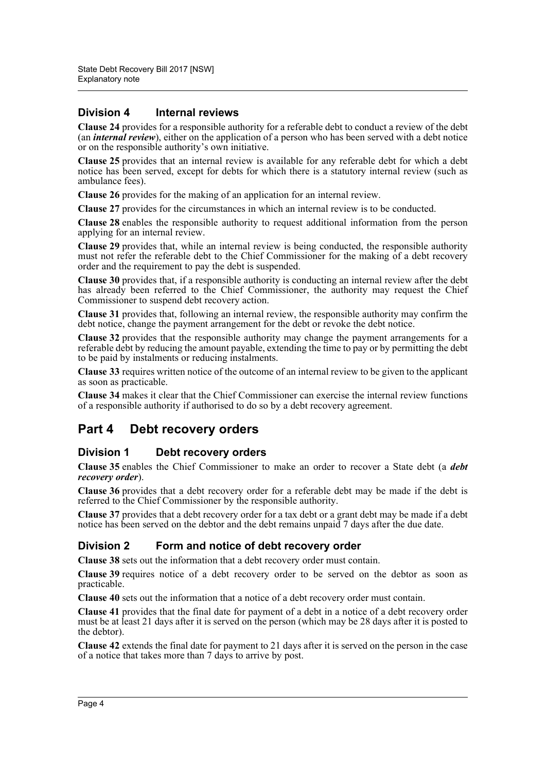## **Division 4 Internal reviews**

**Clause 24** provides for a responsible authority for a referable debt to conduct a review of the debt (an *internal review*), either on the application of a person who has been served with a debt notice or on the responsible authority's own initiative.

**Clause 25** provides that an internal review is available for any referable debt for which a debt notice has been served, except for debts for which there is a statutory internal review (such as ambulance fees).

**Clause 26** provides for the making of an application for an internal review.

**Clause 27** provides for the circumstances in which an internal review is to be conducted.

**Clause 28** enables the responsible authority to request additional information from the person applying for an internal review.

**Clause 29** provides that, while an internal review is being conducted, the responsible authority must not refer the referable debt to the Chief Commissioner for the making of a debt recovery order and the requirement to pay the debt is suspended.

**Clause 30** provides that, if a responsible authority is conducting an internal review after the debt has already been referred to the Chief Commissioner, the authority may request the Chief Commissioner to suspend debt recovery action.

**Clause 31** provides that, following an internal review, the responsible authority may confirm the debt notice, change the payment arrangement for the debt or revoke the debt notice.

**Clause 32** provides that the responsible authority may change the payment arrangements for a referable debt by reducing the amount payable, extending the time to pay or by permitting the debt to be paid by instalments or reducing instalments.

**Clause 33** requires written notice of the outcome of an internal review to be given to the applicant as soon as practicable.

**Clause 34** makes it clear that the Chief Commissioner can exercise the internal review functions of a responsible authority if authorised to do so by a debt recovery agreement.

# **Part 4 Debt recovery orders**

### **Division 1 Debt recovery orders**

**Clause 35** enables the Chief Commissioner to make an order to recover a State debt (a *debt recovery order*).

**Clause 36** provides that a debt recovery order for a referable debt may be made if the debt is referred to the Chief Commissioner by the responsible authority.

**Clause 37** provides that a debt recovery order for a tax debt or a grant debt may be made if a debt notice has been served on the debtor and the debt remains unpaid 7 days after the due date.

### **Division 2 Form and notice of debt recovery order**

**Clause 38** sets out the information that a debt recovery order must contain.

**Clause 39** requires notice of a debt recovery order to be served on the debtor as soon as practicable.

**Clause 40** sets out the information that a notice of a debt recovery order must contain.

**Clause 41** provides that the final date for payment of a debt in a notice of a debt recovery order must be at least 21 days after it is served on the person (which may be 28 days after it is posted to the debtor).

**Clause 42** extends the final date for payment to 21 days after it is served on the person in the case of a notice that takes more than 7 days to arrive by post.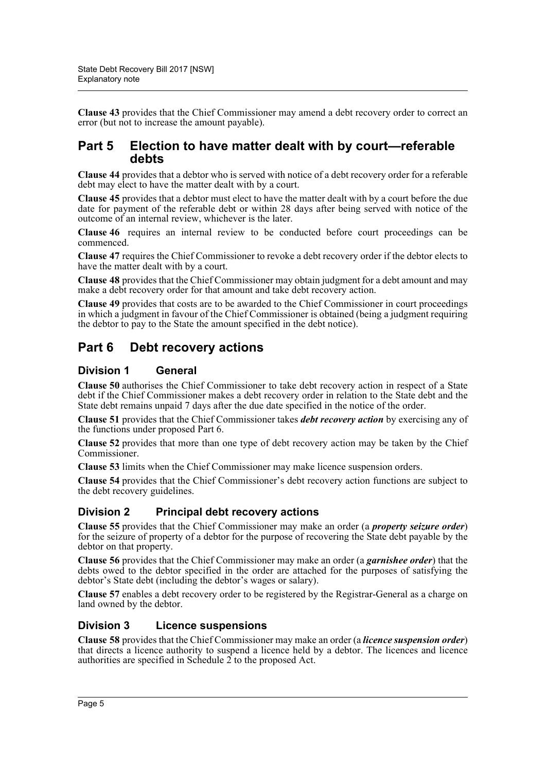**Clause 43** provides that the Chief Commissioner may amend a debt recovery order to correct an error (but not to increase the amount payable).

# **Part 5 Election to have matter dealt with by court—referable debts**

**Clause 44** provides that a debtor who is served with notice of a debt recovery order for a referable debt may elect to have the matter dealt with by a court.

**Clause 45** provides that a debtor must elect to have the matter dealt with by a court before the due date for payment of the referable debt or within 28 days after being served with notice of the outcome of an internal review, whichever is the later.

**Clause 46** requires an internal review to be conducted before court proceedings can be commenced.

**Clause 47** requires the Chief Commissioner to revoke a debt recovery order if the debtor elects to have the matter dealt with by a court.

**Clause 48** provides that the Chief Commissioner may obtain judgment for a debt amount and may make a debt recovery order for that amount and take debt recovery action.

**Clause 49** provides that costs are to be awarded to the Chief Commissioner in court proceedings in which a judgment in favour of the Chief Commissioner is obtained (being a judgment requiring the debtor to pay to the State the amount specified in the debt notice).

# **Part 6 Debt recovery actions**

### **Division 1 General**

**Clause 50** authorises the Chief Commissioner to take debt recovery action in respect of a State debt if the Chief Commissioner makes a debt recovery order in relation to the State debt and the State debt remains unpaid 7 days after the due date specified in the notice of the order.

**Clause 51** provides that the Chief Commissioner takes *debt recovery action* by exercising any of the functions under proposed Part 6.

**Clause 52** provides that more than one type of debt recovery action may be taken by the Chief Commissioner.

**Clause 53** limits when the Chief Commissioner may make licence suspension orders.

**Clause 54** provides that the Chief Commissioner's debt recovery action functions are subject to the debt recovery guidelines.

# **Division 2 Principal debt recovery actions**

**Clause 55** provides that the Chief Commissioner may make an order (a *property seizure order*) for the seizure of property of a debtor for the purpose of recovering the State debt payable by the debtor on that property.

**Clause 56** provides that the Chief Commissioner may make an order (a *garnishee order*) that the debts owed to the debtor specified in the order are attached for the purposes of satisfying the debtor's State debt (including the debtor's wages or salary).

**Clause 57** enables a debt recovery order to be registered by the Registrar-General as a charge on land owned by the debtor.

### **Division 3 Licence suspensions**

**Clause 58** provides that the Chief Commissioner may make an order (a *licence suspension order*) that directs a licence authority to suspend a licence held by a debtor. The licences and licence authorities are specified in Schedule  $\hat{2}$  to the proposed Act.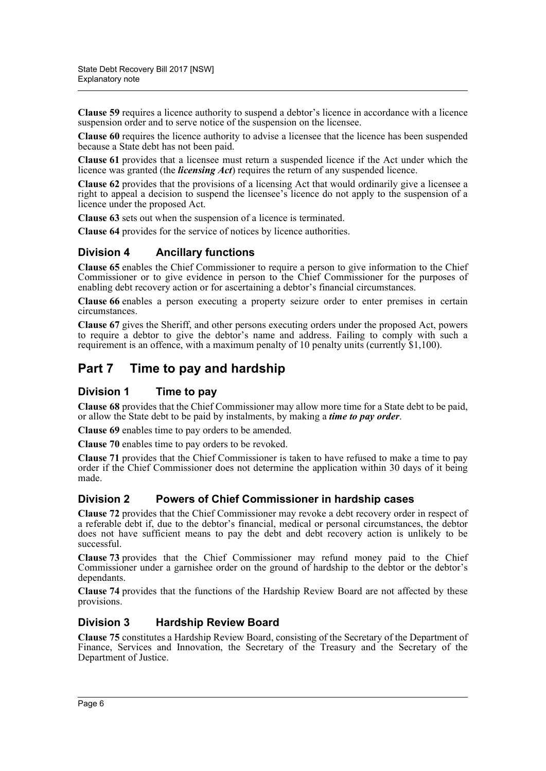**Clause 59** requires a licence authority to suspend a debtor's licence in accordance with a licence suspension order and to serve notice of the suspension on the licensee.

**Clause 60** requires the licence authority to advise a licensee that the licence has been suspended because a State debt has not been paid.

**Clause 61** provides that a licensee must return a suspended licence if the Act under which the licence was granted (the *licensing Act*) requires the return of any suspended licence.

**Clause 62** provides that the provisions of a licensing Act that would ordinarily give a licensee a right to appeal a decision to suspend the licensee's licence do not apply to the suspension of a licence under the proposed Act.

**Clause 63** sets out when the suspension of a licence is terminated.

**Clause 64** provides for the service of notices by licence authorities.

### **Division 4 Ancillary functions**

**Clause 65** enables the Chief Commissioner to require a person to give information to the Chief Commissioner or to give evidence in person to the Chief Commissioner for the purposes of enabling debt recovery action or for ascertaining a debtor's financial circumstances.

**Clause 66** enables a person executing a property seizure order to enter premises in certain circumstances.

**Clause 67** gives the Sheriff, and other persons executing orders under the proposed Act, powers to require a debtor to give the debtor's name and address. Failing to comply with such a requirement is an offence, with a maximum penalty of 10 penalty units (currently \$1,100).

# **Part 7 Time to pay and hardship**

### **Division 1 Time to pay**

**Clause 68** provides that the Chief Commissioner may allow more time for a State debt to be paid, or allow the State debt to be paid by instalments, by making a *time to pay order*.

**Clause 69** enables time to pay orders to be amended.

**Clause 70** enables time to pay orders to be revoked.

**Clause 71** provides that the Chief Commissioner is taken to have refused to make a time to pay order if the Chief Commissioner does not determine the application within 30 days of it being made.

### **Division 2 Powers of Chief Commissioner in hardship cases**

**Clause 72** provides that the Chief Commissioner may revoke a debt recovery order in respect of a referable debt if, due to the debtor's financial, medical or personal circumstances, the debtor does not have sufficient means to pay the debt and debt recovery action is unlikely to be successful.

**Clause 73** provides that the Chief Commissioner may refund money paid to the Chief Commissioner under a garnishee order on the ground of hardship to the debtor or the debtor's dependants.

**Clause 74** provides that the functions of the Hardship Review Board are not affected by these provisions.

### **Division 3 Hardship Review Board**

**Clause 75** constitutes a Hardship Review Board, consisting of the Secretary of the Department of Finance, Services and Innovation, the Secretary of the Treasury and the Secretary of the Department of Justice.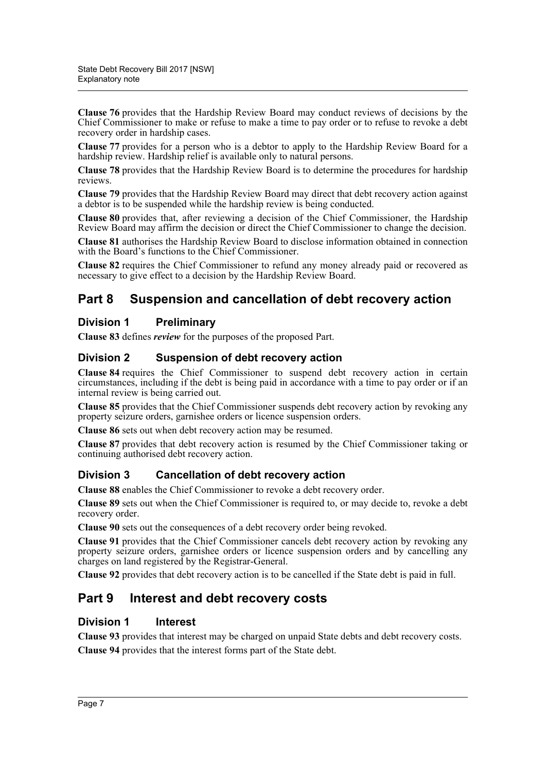**Clause 76** provides that the Hardship Review Board may conduct reviews of decisions by the Chief Commissioner to make or refuse to make a time to pay order or to refuse to revoke a debt recovery order in hardship cases.

**Clause 77** provides for a person who is a debtor to apply to the Hardship Review Board for a hardship review. Hardship relief is available only to natural persons.

**Clause 78** provides that the Hardship Review Board is to determine the procedures for hardship reviews.

**Clause 79** provides that the Hardship Review Board may direct that debt recovery action against a debtor is to be suspended while the hardship review is being conducted.

**Clause 80** provides that, after reviewing a decision of the Chief Commissioner, the Hardship Review Board may affirm the decision or direct the Chief Commissioner to change the decision.

**Clause 81** authorises the Hardship Review Board to disclose information obtained in connection with the Board's functions to the Chief Commissioner.

**Clause 82** requires the Chief Commissioner to refund any money already paid or recovered as necessary to give effect to a decision by the Hardship Review Board.

# **Part 8 Suspension and cancellation of debt recovery action**

## **Division 1 Preliminary**

**Clause 83** defines *review* for the purposes of the proposed Part.

## **Division 2 Suspension of debt recovery action**

**Clause 84** requires the Chief Commissioner to suspend debt recovery action in certain circumstances, including if the debt is being paid in accordance with a time to pay order or if an internal review is being carried out.

**Clause 85** provides that the Chief Commissioner suspends debt recovery action by revoking any property seizure orders, garnishee orders or licence suspension orders.

**Clause 86** sets out when debt recovery action may be resumed.

**Clause 87** provides that debt recovery action is resumed by the Chief Commissioner taking or continuing authorised debt recovery action.

### **Division 3 Cancellation of debt recovery action**

**Clause 88** enables the Chief Commissioner to revoke a debt recovery order.

**Clause 89** sets out when the Chief Commissioner is required to, or may decide to, revoke a debt recovery order.

**Clause 90** sets out the consequences of a debt recovery order being revoked.

**Clause 91** provides that the Chief Commissioner cancels debt recovery action by revoking any property seizure orders, garnishee orders or licence suspension orders and by cancelling any charges on land registered by the Registrar-General.

**Clause 92** provides that debt recovery action is to be cancelled if the State debt is paid in full.

# **Part 9 Interest and debt recovery costs**

### **Division 1 Interest**

**Clause 93** provides that interest may be charged on unpaid State debts and debt recovery costs. **Clause 94** provides that the interest forms part of the State debt.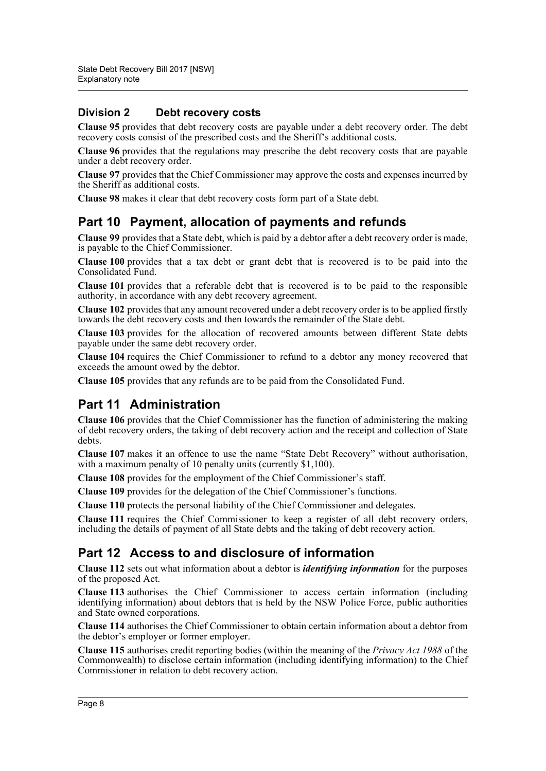# **Division 2 Debt recovery costs**

**Clause 95** provides that debt recovery costs are payable under a debt recovery order. The debt recovery costs consist of the prescribed costs and the Sheriff's additional costs.

**Clause 96** provides that the regulations may prescribe the debt recovery costs that are payable under a debt recovery order.

**Clause 97** provides that the Chief Commissioner may approve the costs and expenses incurred by the Sheriff as additional costs.

**Clause 98** makes it clear that debt recovery costs form part of a State debt.

# **Part 10 Payment, allocation of payments and refunds**

**Clause 99** provides that a State debt, which is paid by a debtor after a debt recovery order is made, is payable to the Chief Commissioner.

**Clause 100** provides that a tax debt or grant debt that is recovered is to be paid into the Consolidated Fund.

**Clause 101** provides that a referable debt that is recovered is to be paid to the responsible authority, in accordance with any debt recovery agreement.

**Clause 102** provides that any amount recovered under a debt recovery order is to be applied firstly towards the debt recovery costs and then towards the remainder of the State debt.

**Clause 103** provides for the allocation of recovered amounts between different State debts payable under the same debt recovery order.

**Clause 104** requires the Chief Commissioner to refund to a debtor any money recovered that exceeds the amount owed by the debtor.

**Clause 105** provides that any refunds are to be paid from the Consolidated Fund.

# **Part 11 Administration**

**Clause 106** provides that the Chief Commissioner has the function of administering the making of debt recovery orders, the taking of debt recovery action and the receipt and collection of State debts.

**Clause 107** makes it an offence to use the name "State Debt Recovery" without authorisation, with a maximum penalty of 10 penalty units (currently \$1,100).

**Clause 108** provides for the employment of the Chief Commissioner's staff.

**Clause 109** provides for the delegation of the Chief Commissioner's functions.

**Clause 110** protects the personal liability of the Chief Commissioner and delegates.

**Clause 111** requires the Chief Commissioner to keep a register of all debt recovery orders, including the details of payment of all State debts and the taking of debt recovery action.

# **Part 12 Access to and disclosure of information**

**Clause 112** sets out what information about a debtor is *identifying information* for the purposes of the proposed Act.

**Clause 113** authorises the Chief Commissioner to access certain information (including identifying information) about debtors that is held by the NSW Police Force, public authorities and State owned corporations.

**Clause 114** authorises the Chief Commissioner to obtain certain information about a debtor from the debtor's employer or former employer.

**Clause 115** authorises credit reporting bodies (within the meaning of the *Privacy Act 1988* of the Commonwealth) to disclose certain information (including identifying information) to the Chief Commissioner in relation to debt recovery action.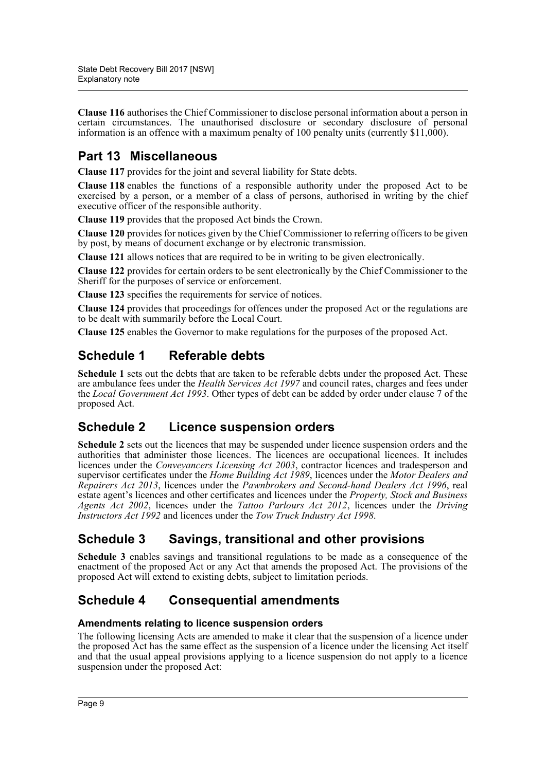**Clause 116** authorises the Chief Commissioner to disclose personal information about a person in certain circumstances. The unauthorised disclosure or secondary disclosure of personal information is an offence with a maximum penalty of 100 penalty units (currently \$11,000).

# **Part 13 Miscellaneous**

**Clause 117** provides for the joint and several liability for State debts.

**Clause 118** enables the functions of a responsible authority under the proposed Act to be exercised by a person, or a member of a class of persons, authorised in writing by the chief executive officer of the responsible authority.

**Clause 119** provides that the proposed Act binds the Crown.

**Clause 120** provides for notices given by the Chief Commissioner to referring officers to be given by post, by means of document exchange or by electronic transmission.

**Clause 121** allows notices that are required to be in writing to be given electronically.

**Clause 122** provides for certain orders to be sent electronically by the Chief Commissioner to the Sheriff for the purposes of service or enforcement.

**Clause 123** specifies the requirements for service of notices.

**Clause 124** provides that proceedings for offences under the proposed Act or the regulations are to be dealt with summarily before the Local Court.

**Clause 125** enables the Governor to make regulations for the purposes of the proposed Act.

# **Schedule 1 Referable debts**

**Schedule 1** sets out the debts that are taken to be referable debts under the proposed Act. These are ambulance fees under the *Health Services Act 1997* and council rates, charges and fees under the *Local Government Act 1993*. Other types of debt can be added by order under clause 7 of the proposed Act.

# **Schedule 2 Licence suspension orders**

**Schedule 2** sets out the licences that may be suspended under licence suspension orders and the authorities that administer those licences. The licences are occupational licences. It includes licences under the *Conveyancers Licensing Act 2003*, contractor licences and tradesperson and supervisor certificates under the *Home Building Act 1989*, licences under the *Motor Dealers and Repairers Act 2013*, licences under the *Pawnbrokers and Second-hand Dealers Act 1996*, real estate agent's licences and other certificates and licences under the *Property, Stock and Business Agents Act 2002*, licences under the *Tattoo Parlours Act 2012*, licences under the *Driving Instructors Act 1992* and licences under the *Tow Truck Industry Act 1998*.

# **Schedule 3 Savings, transitional and other provisions**

**Schedule 3** enables savings and transitional regulations to be made as a consequence of the enactment of the proposed Act or any Act that amends the proposed Act. The provisions of the proposed Act will extend to existing debts, subject to limitation periods.

# **Schedule 4 Consequential amendments**

### **Amendments relating to licence suspension orders**

The following licensing Acts are amended to make it clear that the suspension of a licence under the proposed Act has the same effect as the suspension of a licence under the licensing Act itself and that the usual appeal provisions applying to a licence suspension do not apply to a licence suspension under the proposed Act: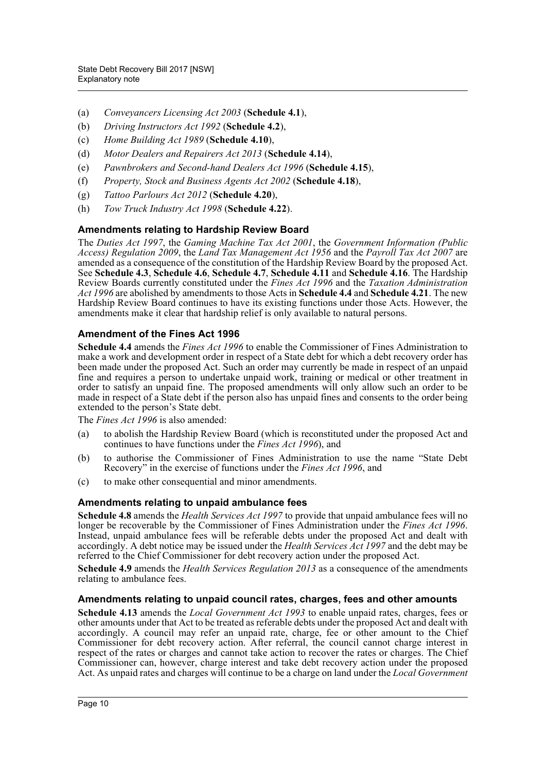- (a) *Conveyancers Licensing Act 2003* (**Schedule 4.1**),
- (b) *Driving Instructors Act 1992* (**Schedule 4.2**),
- (c) *Home Building Act 1989* (**Schedule 4.10**),
- (d) *Motor Dealers and Repairers Act 2013* (**Schedule 4.14**),
- (e) *Pawnbrokers and Second-hand Dealers Act 1996* (**Schedule 4.15**),
- (f) *Property, Stock and Business Agents Act 2002* (**Schedule 4.18**),
- (g) *Tattoo Parlours Act 2012* (**Schedule 4.20**),
- (h) *Tow Truck Industry Act 1998* (**Schedule 4.22**).

### **Amendments relating to Hardship Review Board**

The *Duties Act 1997*, the *Gaming Machine Tax Act 2001*, the *Government Information (Public Access) Regulation 2009*, the *Land Tax Management Act 1956* and the *Payroll Tax Act 2007* are amended as a consequence of the constitution of the Hardship Review Board by the proposed Act. See **Schedule 4.3**, **Schedule 4.6**, **Schedule 4.7**, **Schedule 4.11** and **Schedule 4.16**. The Hardship Review Boards currently constituted under the *Fines Act 1996* and the *Taxation Administration Act 1996* are abolished by amendments to those Acts in **Schedule 4.4** and **Schedule 4.21**. The new Hardship Review Board continues to have its existing functions under those Acts. However, the amendments make it clear that hardship relief is only available to natural persons.

### **Amendment of the Fines Act 1996**

**Schedule 4.4** amends the *Fines Act 1996* to enable the Commissioner of Fines Administration to make a work and development order in respect of a State debt for which a debt recovery order has been made under the proposed Act. Such an order may currently be made in respect of an unpaid fine and requires a person to undertake unpaid work, training or medical or other treatment in order to satisfy an unpaid fine. The proposed amendments will only allow such an order to be made in respect of a State debt if the person also has unpaid fines and consents to the order being extended to the person's State debt.

The *Fines Act 1996* is also amended:

- (a) to abolish the Hardship Review Board (which is reconstituted under the proposed Act and continues to have functions under the *Fines Act 1996*), and
- (b) to authorise the Commissioner of Fines Administration to use the name "State Debt Recovery" in the exercise of functions under the *Fines Act 1996*, and
- (c) to make other consequential and minor amendments.

### **Amendments relating to unpaid ambulance fees**

**Schedule 4.8** amends the *Health Services Act 1997* to provide that unpaid ambulance fees will no longer be recoverable by the Commissioner of Fines Administration under the *Fines Act 1996*. Instead, unpaid ambulance fees will be referable debts under the proposed Act and dealt with accordingly. A debt notice may be issued under the *Health Services Act 1997* and the debt may be referred to the Chief Commissioner for debt recovery action under the proposed Act.

**Schedule 4.9** amends the *Health Services Regulation 2013* as a consequence of the amendments relating to ambulance fees.

### **Amendments relating to unpaid council rates, charges, fees and other amounts**

**Schedule 4.13** amends the *Local Government Act 1993* to enable unpaid rates, charges, fees or other amounts under that Act to be treated as referable debts under the proposed Act and dealt with accordingly. A council may refer an unpaid rate, charge, fee or other amount to the Chief Commissioner for debt recovery action. After referral, the council cannot charge interest in respect of the rates or charges and cannot take action to recover the rates or charges. The Chief Commissioner can, however, charge interest and take debt recovery action under the proposed Act. As unpaid rates and charges will continue to be a charge on land under the *Local Government*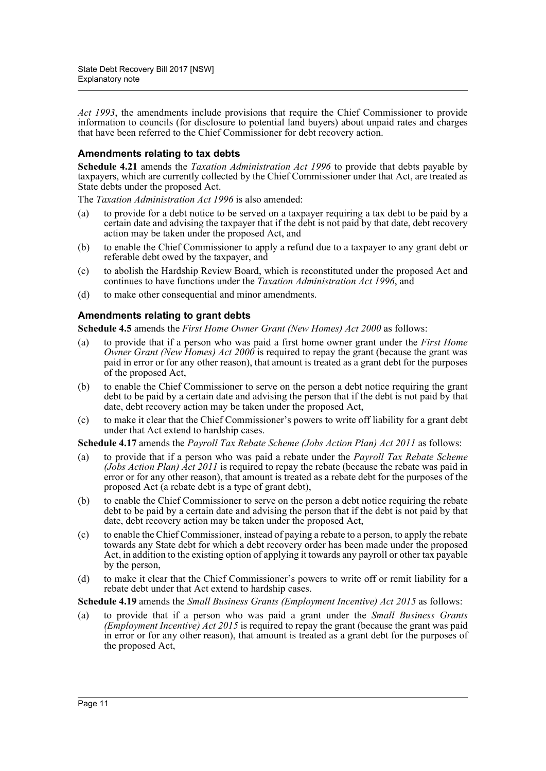*Act 1993*, the amendments include provisions that require the Chief Commissioner to provide information to councils (for disclosure to potential land buyers) about unpaid rates and charges that have been referred to the Chief Commissioner for debt recovery action.

### **Amendments relating to tax debts**

**Schedule 4.21** amends the *Taxation Administration Act 1996* to provide that debts payable by taxpayers, which are currently collected by the Chief Commissioner under that Act, are treated as State debts under the proposed Act.

The *Taxation Administration Act 1996* is also amended:

- (a) to provide for a debt notice to be served on a taxpayer requiring a tax debt to be paid by a certain date and advising the taxpayer that if the debt is not paid by that date, debt recovery action may be taken under the proposed Act, and
- (b) to enable the Chief Commissioner to apply a refund due to a taxpayer to any grant debt or referable debt owed by the taxpayer, and
- (c) to abolish the Hardship Review Board, which is reconstituted under the proposed Act and continues to have functions under the *Taxation Administration Act 1996*, and
- (d) to make other consequential and minor amendments.

### **Amendments relating to grant debts**

**Schedule 4.5** amends the *First Home Owner Grant (New Homes) Act 2000* as follows:

- (a) to provide that if a person who was paid a first home owner grant under the *First Home Owner Grant (New Homes) Act 2000* is required to repay the grant (because the grant was paid in error or for any other reason), that amount is treated as a grant debt for the purposes of the proposed Act,
- (b) to enable the Chief Commissioner to serve on the person a debt notice requiring the grant debt to be paid by a certain date and advising the person that if the debt is not paid by that date, debt recovery action may be taken under the proposed Act,
- (c) to make it clear that the Chief Commissioner's powers to write off liability for a grant debt under that Act extend to hardship cases.

**Schedule 4.17** amends the *Payroll Tax Rebate Scheme (Jobs Action Plan) Act 2011* as follows:

- (a) to provide that if a person who was paid a rebate under the *Payroll Tax Rebate Scheme (Jobs Action Plan) Act 2011* is required to repay the rebate (because the rebate was paid in error or for any other reason), that amount is treated as a rebate debt for the purposes of the proposed Act (a rebate debt is a type of grant debt),
- (b) to enable the Chief Commissioner to serve on the person a debt notice requiring the rebate debt to be paid by a certain date and advising the person that if the debt is not paid by that date, debt recovery action may be taken under the proposed Act,
- (c) to enable the Chief Commissioner, instead of paying a rebate to a person, to apply the rebate towards any State debt for which a debt recovery order has been made under the proposed Act, in addition to the existing option of applying it towards any payroll or other tax payable by the person,
- (d) to make it clear that the Chief Commissioner's powers to write off or remit liability for a rebate debt under that Act extend to hardship cases.

**Schedule 4.19** amends the *Small Business Grants (Employment Incentive) Act 2015* as follows:

(a) to provide that if a person who was paid a grant under the *Small Business Grants (Employment Incentive) Act 2015* is required to repay the grant (because the grant was paid in error or for any other reason), that amount is treated as a grant debt for the purposes of the proposed Act,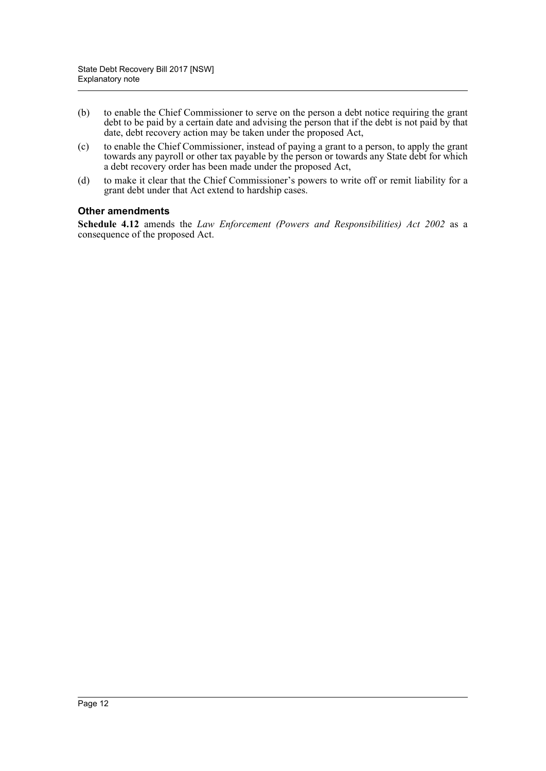- (b) to enable the Chief Commissioner to serve on the person a debt notice requiring the grant debt to be paid by a certain date and advising the person that if the debt is not paid by that date, debt recovery action may be taken under the proposed Act,
- (c) to enable the Chief Commissioner, instead of paying a grant to a person, to apply the grant towards any payroll or other tax payable by the person or towards any State debt for which a debt recovery order has been made under the proposed Act,
- (d) to make it clear that the Chief Commissioner's powers to write off or remit liability for a grant debt under that Act extend to hardship cases.

### **Other amendments**

**Schedule 4.12** amends the *Law Enforcement (Powers and Responsibilities) Act 2002* as a consequence of the proposed Act.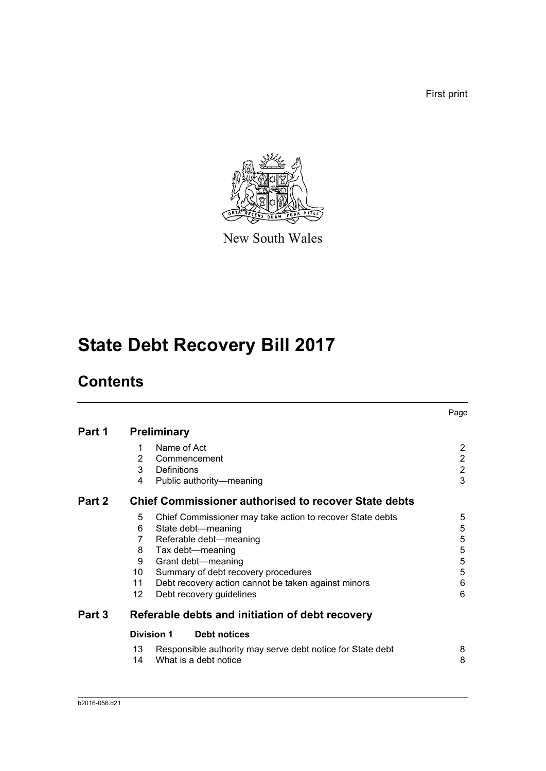First print



New South Wales

# **State Debt Recovery Bill 2017**

# **Contents**

|        |    |                                                             | Page           |
|--------|----|-------------------------------------------------------------|----------------|
| Part 1 |    | <b>Preliminary</b>                                          |                |
|        | 1  | Name of Act                                                 | $\overline{2}$ |
|        | 2  | Commencement                                                | $\overline{c}$ |
|        | 3  | Definitions                                                 | $\overline{2}$ |
|        | 4  | Public authority-meaning                                    | 3              |
| Part 2 |    | <b>Chief Commissioner authorised to recover State debts</b> |                |
|        | 5  | Chief Commissioner may take action to recover State debts   | 5              |
|        | 6  | State debt-meaning                                          | 5              |
|        | 7  | Referable debt-meaning                                      | 5              |
|        | 8  | Tax debt-meaning                                            | $\sqrt{5}$     |
|        | 9  | Grant debt-meaning                                          | $\sqrt{5}$     |
|        | 10 | Summary of debt recovery procedures                         | 5              |
|        | 11 | Debt recovery action cannot be taken against minors         | 6              |
|        | 12 | Debt recovery guidelines                                    | 6              |
| Part 3 |    | Referable debts and initiation of debt recovery             |                |
|        |    | <b>Division 1</b><br><b>Debt notices</b>                    |                |
|        | 13 | Responsible authority may serve debt notice for State debt  | 8              |
|        | 14 | What is a debt notice                                       | 8              |
|        |    |                                                             |                |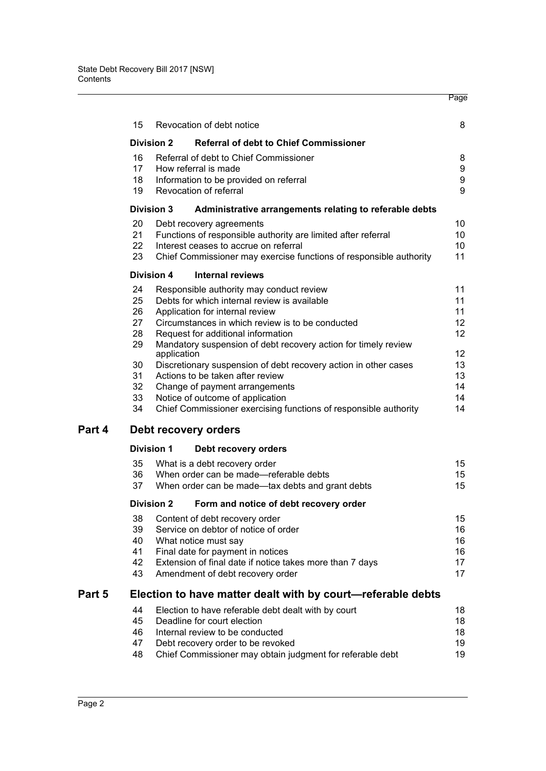|        |    |                   |                                                                    | Page             |
|--------|----|-------------------|--------------------------------------------------------------------|------------------|
|        | 15 |                   | Revocation of debt notice                                          | 8                |
|        |    | <b>Division 2</b> | <b>Referral of debt to Chief Commissioner</b>                      |                  |
|        | 16 |                   | Referral of debt to Chief Commissioner                             | 8                |
|        | 17 |                   | How referral is made                                               | 9                |
|        | 18 |                   | Information to be provided on referral                             | $\boldsymbol{9}$ |
|        | 19 |                   | Revocation of referral                                             | 9                |
|        |    | <b>Division 3</b> | Administrative arrangements relating to referable debts            |                  |
|        | 20 |                   | Debt recovery agreements                                           | 10               |
|        | 21 |                   | Functions of responsible authority are limited after referral      | 10               |
|        | 22 |                   | Interest ceases to accrue on referral                              | 10               |
|        | 23 |                   | Chief Commissioner may exercise functions of responsible authority | 11               |
|        |    | <b>Division 4</b> | <b>Internal reviews</b>                                            |                  |
|        | 24 |                   | Responsible authority may conduct review                           | 11               |
|        | 25 |                   | Debts for which internal review is available                       | 11               |
|        | 26 |                   | Application for internal review                                    | 11               |
|        | 27 |                   | Circumstances in which review is to be conducted                   | 12 <sup>°</sup>  |
|        | 28 |                   | Request for additional information                                 | 12 <sup>2</sup>  |
|        | 29 | application       | Mandatory suspension of debt recovery action for timely review     | 12               |
|        | 30 |                   | Discretionary suspension of debt recovery action in other cases    | 13               |
|        | 31 |                   | Actions to be taken after review                                   | 13               |
|        | 32 |                   | Change of payment arrangements                                     | 14               |
|        | 33 |                   | Notice of outcome of application                                   | 14               |
|        | 34 |                   | Chief Commissioner exercising functions of responsible authority   | 14               |
| Part 4 |    |                   | Debt recovery orders                                               |                  |
|        |    | <b>Division 1</b> | Debt recovery orders                                               |                  |
|        | 35 |                   | What is a debt recovery order                                      | 15               |
|        | 36 |                   | When order can be made-referable debts                             | 15               |
|        | 37 |                   | When order can be made-tax debts and grant debts                   | 15               |
|        |    | <b>Division 2</b> | Form and notice of debt recovery order                             |                  |
|        | 38 |                   | Content of debt recovery order                                     | 15               |
|        | 39 |                   | Service on debtor of notice of order                               | 16               |
|        | 40 |                   | What notice must say                                               | 16               |
|        | 41 |                   | Final date for payment in notices                                  | 16               |
|        | 42 |                   | Extension of final date if notice takes more than 7 days           | 17               |
|        | 43 |                   | Amendment of debt recovery order                                   | 17               |
| Part 5 |    |                   | Election to have matter dealt with by court-referable debts        |                  |
|        | 44 |                   | Election to have referable debt dealt with by court                | 18               |
|        | 45 |                   | Deadline for court election                                        | 18               |
|        | 46 |                   | Internal review to be conducted                                    | 18               |
|        | 47 |                   | Debt recovery order to be revoked                                  | 19               |
|        | 48 |                   | Chief Commissioner may obtain judgment for referable debt          | 19               |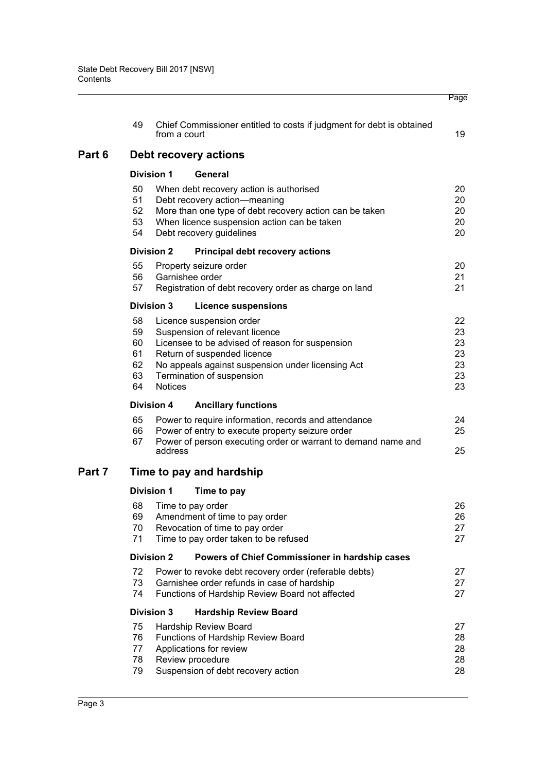|        |                                        |                   |                                                                                                                                                                                                                                | Page                                   |
|--------|----------------------------------------|-------------------|--------------------------------------------------------------------------------------------------------------------------------------------------------------------------------------------------------------------------------|----------------------------------------|
|        | 49                                     | from a court      | Chief Commissioner entitled to costs if judgment for debt is obtained                                                                                                                                                          | 19                                     |
| Part 6 |                                        |                   | Debt recovery actions                                                                                                                                                                                                          |                                        |
|        |                                        | <b>Division 1</b> | General                                                                                                                                                                                                                        |                                        |
|        | 50<br>51<br>52<br>53<br>54             |                   | When debt recovery action is authorised<br>Debt recovery action-meaning<br>More than one type of debt recovery action can be taken<br>When licence suspension action can be taken<br>Debt recovery guidelines                  | 20<br>20<br>20<br>20<br>20             |
|        |                                        | <b>Division 2</b> | <b>Principal debt recovery actions</b>                                                                                                                                                                                         |                                        |
|        | 55<br>56<br>57                         | Garnishee order   | Property seizure order<br>Registration of debt recovery order as charge on land                                                                                                                                                | 20<br>21<br>21                         |
|        |                                        | <b>Division 3</b> | <b>Licence suspensions</b>                                                                                                                                                                                                     |                                        |
|        | 58<br>59<br>60<br>61<br>62<br>63<br>64 | <b>Notices</b>    | Licence suspension order<br>Suspension of relevant licence<br>Licensee to be advised of reason for suspension<br>Return of suspended licence<br>No appeals against suspension under licensing Act<br>Termination of suspension | 22<br>23<br>23<br>23<br>23<br>23<br>23 |
|        |                                        | <b>Division 4</b> | <b>Ancillary functions</b>                                                                                                                                                                                                     |                                        |
|        | 65<br>66<br>67                         | address           | Power to require information, records and attendance<br>Power of entry to execute property seizure order<br>Power of person executing order or warrant to demand name and                                                      | 24<br>25<br>25                         |
| Part 7 |                                        |                   | Time to pay and hardship                                                                                                                                                                                                       |                                        |
|        |                                        | <b>Division 1</b> | Time to pay                                                                                                                                                                                                                    |                                        |
|        | 68<br>69<br>70<br>71                   |                   | Time to pay order<br>Amendment of time to pay order<br>Revocation of time to pay order<br>Time to pay order taken to be refused                                                                                                | 26<br>26<br>27<br>27                   |
|        |                                        | <b>Division 2</b> | Powers of Chief Commissioner in hardship cases                                                                                                                                                                                 |                                        |
|        | 72<br>73<br>74                         |                   | Power to revoke debt recovery order (referable debts)<br>Garnishee order refunds in case of hardship<br>Functions of Hardship Review Board not affected                                                                        | 27<br>27<br>27                         |
|        |                                        | <b>Division 3</b> | <b>Hardship Review Board</b>                                                                                                                                                                                                   |                                        |
|        | 75<br>76<br>77<br>78<br>79             |                   | Hardship Review Board<br>Functions of Hardship Review Board<br>Applications for review<br>Review procedure<br>Suspension of debt recovery action                                                                               | 27<br>28<br>28<br>28<br>28             |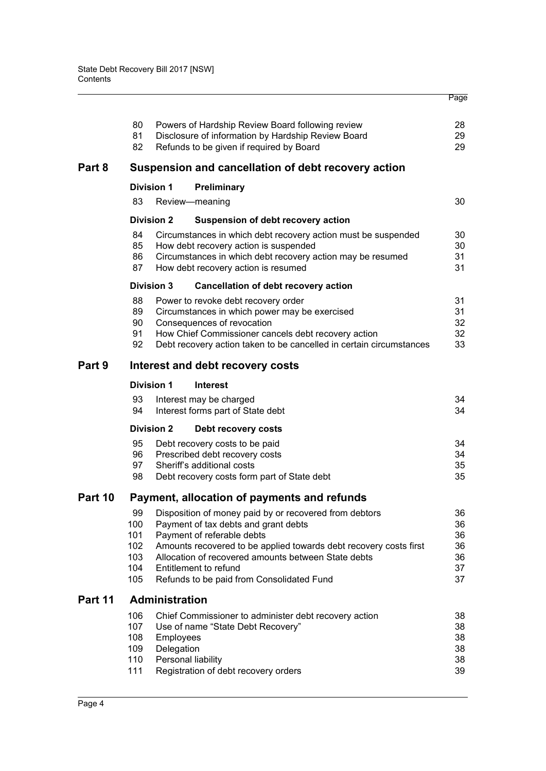|         | 80<br>81<br>82                         |                         | Powers of Hardship Review Board following review<br>Disclosure of information by Hardship Review Board<br>Refunds to be given if required by Board                                                                                                                                                                                | 28<br>29<br>29                         |
|---------|----------------------------------------|-------------------------|-----------------------------------------------------------------------------------------------------------------------------------------------------------------------------------------------------------------------------------------------------------------------------------------------------------------------------------|----------------------------------------|
| Part 8  |                                        |                         | Suspension and cancellation of debt recovery action                                                                                                                                                                                                                                                                               |                                        |
|         | <b>Division 1</b>                      |                         | <b>Preliminary</b>                                                                                                                                                                                                                                                                                                                |                                        |
|         | 83                                     |                         | Review-meaning                                                                                                                                                                                                                                                                                                                    | 30                                     |
|         | <b>Division 2</b>                      |                         | Suspension of debt recovery action                                                                                                                                                                                                                                                                                                |                                        |
|         | 84<br>85<br>86<br>87                   |                         | Circumstances in which debt recovery action must be suspended<br>How debt recovery action is suspended<br>Circumstances in which debt recovery action may be resumed<br>How debt recovery action is resumed                                                                                                                       | 30<br>30<br>31<br>31                   |
|         | <b>Division 3</b>                      |                         | <b>Cancellation of debt recovery action</b>                                                                                                                                                                                                                                                                                       |                                        |
|         | 88<br>89<br>90<br>91<br>92             |                         | Power to revoke debt recovery order<br>Circumstances in which power may be exercised<br>Consequences of revocation<br>How Chief Commissioner cancels debt recovery action<br>Debt recovery action taken to be cancelled in certain circumstances                                                                                  | 31<br>31<br>32<br>32<br>33             |
| Part 9  |                                        |                         | Interest and debt recovery costs                                                                                                                                                                                                                                                                                                  |                                        |
|         | <b>Division 1</b>                      |                         | <b>Interest</b>                                                                                                                                                                                                                                                                                                                   |                                        |
|         | 93<br>94                               |                         | Interest may be charged<br>Interest forms part of State debt                                                                                                                                                                                                                                                                      | 34<br>34                               |
|         | <b>Division 2</b>                      |                         | Debt recovery costs                                                                                                                                                                                                                                                                                                               |                                        |
|         | 95<br>96<br>97<br>98                   |                         | Debt recovery costs to be paid<br>Prescribed debt recovery costs<br>Sheriff's additional costs<br>Debt recovery costs form part of State debt                                                                                                                                                                                     | 34<br>34<br>35<br>35                   |
| Part 10 |                                        |                         | Payment, allocation of payments and refunds                                                                                                                                                                                                                                                                                       |                                        |
|         | 100<br>101<br>102<br>103<br>104<br>105 |                         | 99 Disposition of money paid by or recovered from debtors<br>Payment of tax debts and grant debts<br>Payment of referable debts<br>Amounts recovered to be applied towards debt recovery costs first<br>Allocation of recovered amounts between State debts<br>Entitlement to refund<br>Refunds to be paid from Consolidated Fund | 36<br>36<br>36<br>36<br>36<br>37<br>37 |
| Part 11 |                                        | <b>Administration</b>   |                                                                                                                                                                                                                                                                                                                                   |                                        |
|         | 106<br>107<br>108<br>109<br>110<br>111 | Employees<br>Delegation | Chief Commissioner to administer debt recovery action<br>Use of name "State Debt Recovery"<br>Personal liability<br>Registration of debt recovery orders                                                                                                                                                                          | 38<br>38<br>38<br>38<br>38<br>39       |
|         |                                        |                         |                                                                                                                                                                                                                                                                                                                                   |                                        |

Page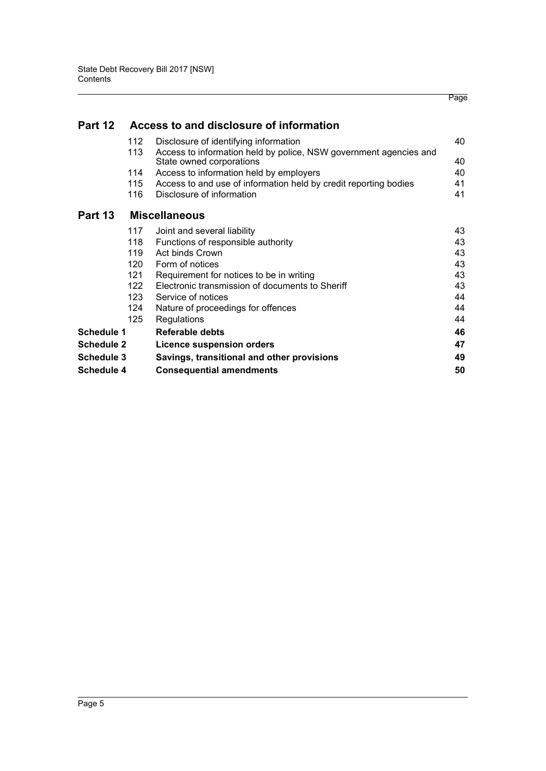| Part 12           |     | Access to and disclosure of information                                                       |    |
|-------------------|-----|-----------------------------------------------------------------------------------------------|----|
|                   | 112 | Disclosure of identifying information                                                         | 40 |
|                   | 113 | Access to information held by police, NSW government agencies and<br>State owned corporations | 40 |
|                   | 114 | Access to information held by employers                                                       | 40 |
|                   | 115 | Access to and use of information held by credit reporting bodies                              | 41 |
|                   | 116 | Disclosure of information                                                                     | 41 |
| Part 13           |     | <b>Miscellaneous</b>                                                                          |    |
|                   | 117 | Joint and several liability                                                                   | 43 |
|                   | 118 | Functions of responsible authority                                                            | 43 |
|                   | 119 | <b>Act binds Crown</b>                                                                        | 43 |
|                   | 120 | Form of notices                                                                               | 43 |
|                   | 121 | Requirement for notices to be in writing                                                      | 43 |
|                   | 122 | Electronic transmission of documents to Sheriff                                               | 43 |
|                   | 123 | Service of notices                                                                            | 44 |
|                   | 124 | Nature of proceedings for offences                                                            | 44 |
|                   | 125 | Regulations                                                                                   | 44 |
| Schedule 1        |     | Referable debts                                                                               | 46 |
| <b>Schedule 2</b> |     | <b>Licence suspension orders</b>                                                              | 47 |
| Schedule 3        |     | Savings, transitional and other provisions                                                    | 49 |
| <b>Schedule 4</b> |     | <b>Consequential amendments</b>                                                               | 50 |

Page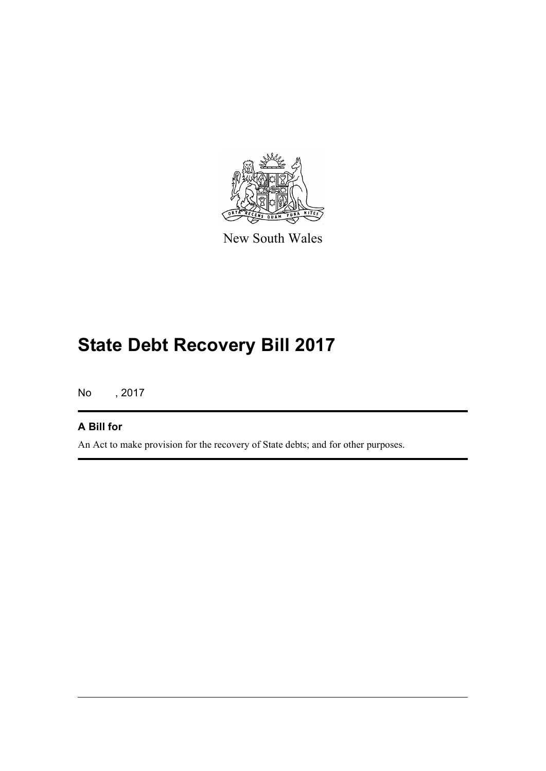

New South Wales

# **State Debt Recovery Bill 2017**

No , 2017

### **A Bill for**

An Act to make provision for the recovery of State debts; and for other purposes.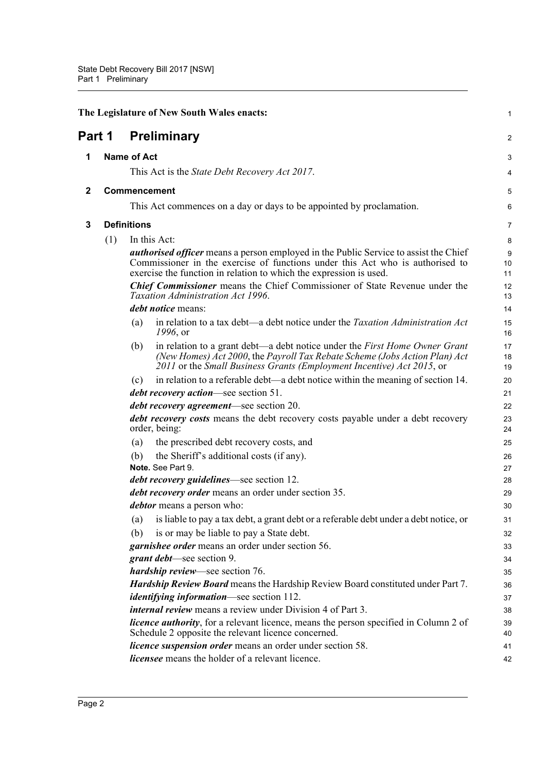<span id="page-18-3"></span><span id="page-18-2"></span><span id="page-18-1"></span><span id="page-18-0"></span>

|             |                    |                    | The Legislature of New South Wales enacts:                                                                                                                                                                                                                                                                                                                                            | $\mathbf{1}$                   |
|-------------|--------------------|--------------------|---------------------------------------------------------------------------------------------------------------------------------------------------------------------------------------------------------------------------------------------------------------------------------------------------------------------------------------------------------------------------------------|--------------------------------|
| Part 1      |                    |                    | <b>Preliminary</b>                                                                                                                                                                                                                                                                                                                                                                    | 2                              |
| 1           |                    | <b>Name of Act</b> |                                                                                                                                                                                                                                                                                                                                                                                       | 3                              |
|             |                    |                    | This Act is the <i>State Debt Recovery Act 2017</i> .                                                                                                                                                                                                                                                                                                                                 | 4                              |
| $\mathbf 2$ |                    |                    | <b>Commencement</b>                                                                                                                                                                                                                                                                                                                                                                   | 5                              |
|             |                    |                    | This Act commences on a day or days to be appointed by proclamation.                                                                                                                                                                                                                                                                                                                  | 6                              |
|             |                    |                    |                                                                                                                                                                                                                                                                                                                                                                                       |                                |
| 3           | <b>Definitions</b> |                    |                                                                                                                                                                                                                                                                                                                                                                                       | $\overline{7}$                 |
|             | (1)                |                    | In this Act:<br><i>authorised officer</i> means a person employed in the Public Service to assist the Chief<br>Commissioner in the exercise of functions under this Act who is authorised to<br>exercise the function in relation to which the expression is used.<br>Chief Commissioner means the Chief Commissioner of State Revenue under the<br>Taxation Administration Act 1996. | 8<br>9<br>10<br>11<br>12<br>13 |
|             |                    |                    | <i>debt notice</i> means:                                                                                                                                                                                                                                                                                                                                                             | 14                             |
|             |                    | (a)                | in relation to a tax debt—a debt notice under the <i>Taxation Administration Act</i><br>1996, or                                                                                                                                                                                                                                                                                      | 15<br>16                       |
|             |                    | (b)                | in relation to a grant debt—a debt notice under the First Home Owner Grant<br>(New Homes) Act 2000, the Payroll Tax Rebate Scheme (Jobs Action Plan) Act<br>2011 or the Small Business Grants (Employment Incentive) Act 2015, or                                                                                                                                                     | 17<br>18<br>19                 |
|             |                    | (c)                | in relation to a referable debt—a debt notice within the meaning of section 14.                                                                                                                                                                                                                                                                                                       | 20                             |
|             |                    |                    | <i>debt recovery action</i> —see section 51.                                                                                                                                                                                                                                                                                                                                          | 21                             |
|             |                    |                    | <i>debt recovery agreement</i> —see section 20.                                                                                                                                                                                                                                                                                                                                       | 22                             |
|             |                    |                    | <i>debt recovery costs</i> means the debt recovery costs payable under a debt recovery<br>order, being:                                                                                                                                                                                                                                                                               | 23<br>24                       |
|             |                    | (a)                | the prescribed debt recovery costs, and                                                                                                                                                                                                                                                                                                                                               | 25                             |
|             |                    | (b)                | the Sheriff's additional costs (if any).                                                                                                                                                                                                                                                                                                                                              | 26                             |
|             |                    |                    | Note. See Part 9.                                                                                                                                                                                                                                                                                                                                                                     | 27                             |
|             |                    |                    | <i>debt recovery guidelines</i> —see section 12.                                                                                                                                                                                                                                                                                                                                      | 28                             |
|             |                    |                    | debt recovery order means an order under section 35.                                                                                                                                                                                                                                                                                                                                  | 29                             |
|             |                    |                    | <i>debtor</i> means a person who:                                                                                                                                                                                                                                                                                                                                                     | 30                             |
|             |                    | (a)                | is liable to pay a tax debt, a grant debt or a referable debt under a debt notice, or                                                                                                                                                                                                                                                                                                 | 31                             |
|             |                    | (b)                | is or may be liable to pay a State debt.                                                                                                                                                                                                                                                                                                                                              | 32                             |
|             |                    |                    | garnishee order means an order under section 56.                                                                                                                                                                                                                                                                                                                                      | 33                             |
|             |                    |                    | grant debt—see section 9.                                                                                                                                                                                                                                                                                                                                                             | 34                             |
|             |                    |                    | hardship review—see section 76.                                                                                                                                                                                                                                                                                                                                                       | 35                             |
|             |                    |                    | <b>Hardship Review Board</b> means the Hardship Review Board constituted under Part 7.<br><i>identifying information</i> —see section 112.                                                                                                                                                                                                                                            | 36<br>37                       |
|             |                    |                    | <i>internal review</i> means a review under Division 4 of Part 3.                                                                                                                                                                                                                                                                                                                     | 38                             |
|             |                    |                    | <i>licence authority</i> , for a relevant licence, means the person specified in Column 2 of<br>Schedule 2 opposite the relevant licence concerned.                                                                                                                                                                                                                                   | 39<br>40                       |
|             |                    |                    | <i>licence suspension order</i> means an order under section 58.                                                                                                                                                                                                                                                                                                                      | 41                             |
|             |                    |                    | <i>licensee</i> means the holder of a relevant licence.                                                                                                                                                                                                                                                                                                                               | 42                             |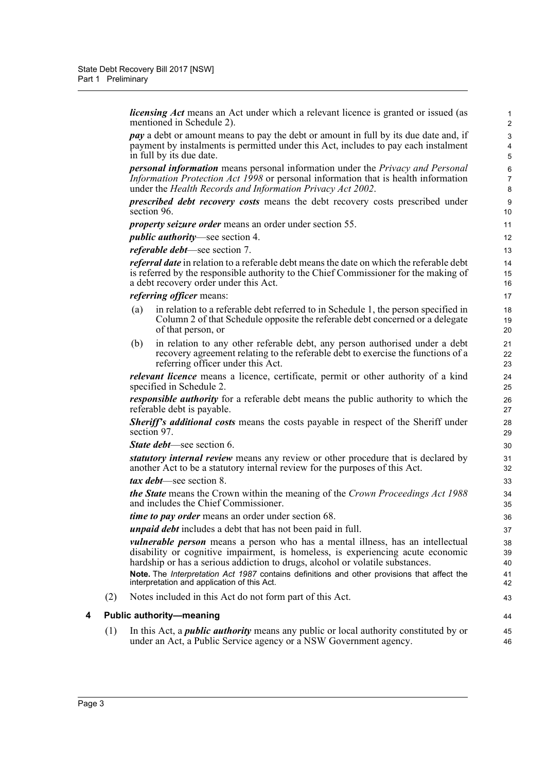*licensing Act* means an Act under which a relevant licence is granted or issued (as mentioned in Schedule 2).

44 45 46

*pay* a debt or amount means to pay the debt or amount in full by its due date and, if payment by instalments is permitted under this Act, includes to pay each instalment in full by its due date.

*personal information* means personal information under the *Privacy and Personal Information Protection Act 1998* or personal information that is health information under the *Health Records and Information Privacy Act 2002*.

*prescribed debt recovery costs* means the debt recovery costs prescribed under section 96.

*property seizure order* means an order under section 55.

*public authority*—see section 4.

*referable debt*—see section 7.

*referral date* in relation to a referable debt means the date on which the referable debt is referred by the responsible authority to the Chief Commissioner for the making of a debt recovery order under this Act.

*referring officer* means:

- (a) in relation to a referable debt referred to in Schedule 1, the person specified in Column 2 of that Schedule opposite the referable debt concerned or a delegate of that person, or
- (b) in relation to any other referable debt, any person authorised under a debt recovery agreement relating to the referable debt to exercise the functions of a referring officer under this Act.

*relevant licence* means a licence, certificate, permit or other authority of a kind specified in Schedule 2.

*responsible authority* for a referable debt means the public authority to which the referable debt is payable.

*Sheriff's additional costs* means the costs payable in respect of the Sheriff under section 97.

*State debt*—see section 6.

*statutory internal review* means any review or other procedure that is declared by another Act to be a statutory internal review for the purposes of this Act.

*tax debt*—see section 8.

*the State* means the Crown within the meaning of the *Crown Proceedings Act 1988* and includes the Chief Commissioner.

*time to pay order* means an order under section 68.

*unpaid debt* includes a debt that has not been paid in full.

*vulnerable person* means a person who has a mental illness, has an intellectual disability or cognitive impairment, is homeless, is experiencing acute economic hardship or has a serious addiction to drugs, alcohol or volatile substances.

**Note.** The *Interpretation Act 1987* contains definitions and other provisions that affect the interpretation and application of this Act.

(2) Notes included in this Act do not form part of this Act.

#### <span id="page-19-0"></span>**4 Public authority—meaning**

(1) In this Act, a *public authority* means any public or local authority constituted by or under an Act, a Public Service agency or a NSW Government agency.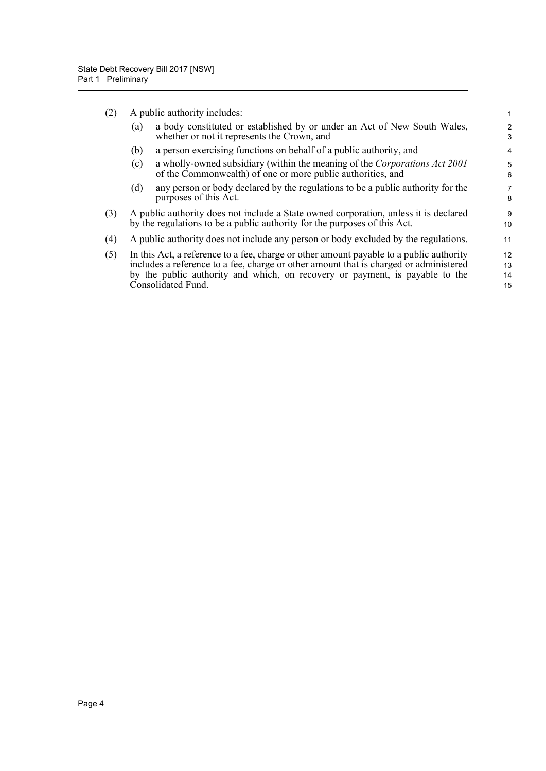|     | (2) A public authority includes:                                                                                                           |
|-----|--------------------------------------------------------------------------------------------------------------------------------------------|
| (a) | a body constituted or established by or under an Act of New South Wales.<br>whether or not it represents the Crown, and                    |
| (b) | a person exercising functions on behalf of a public authority, and                                                                         |
| (c) | a wholly-owned subsidiary (within the meaning of the Corporations Act 2001)<br>of the Commonwealth) of one or more public authorities, and |

(d) any person or body declared by the regulations to be a public authority for the purposes of this Act.

- (3) A public authority does not include a State owned corporation, unless it is declared by the regulations to be a public authority for the purposes of this Act.
- (4) A public authority does not include any person or body excluded by the regulations.
- (5) In this Act, a reference to a fee, charge or other amount payable to a public authority includes a reference to a fee, charge or other amount that is charged or administered by the public authority and which, on recovery or payment, is payable to the Consolidated Fund. 12 13 14 15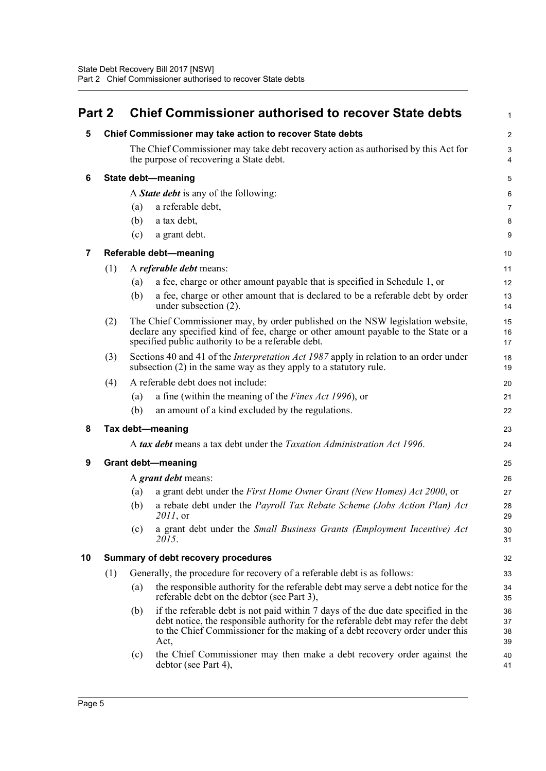<span id="page-21-6"></span><span id="page-21-5"></span><span id="page-21-4"></span><span id="page-21-3"></span><span id="page-21-2"></span><span id="page-21-1"></span><span id="page-21-0"></span>

| Part 2 |                  | <b>Chief Commissioner authorised to recover State debts</b>                                                                                                                                                                                                         | 1                              |  |  |  |  |  |
|--------|------------------|---------------------------------------------------------------------------------------------------------------------------------------------------------------------------------------------------------------------------------------------------------------------|--------------------------------|--|--|--|--|--|
| 5      |                  | Chief Commissioner may take action to recover State debts                                                                                                                                                                                                           | $\overline{2}$                 |  |  |  |  |  |
|        |                  | The Chief Commissioner may take debt recovery action as authorised by this Act for<br>the purpose of recovering a State debt.                                                                                                                                       | $\ensuremath{\mathsf{3}}$<br>4 |  |  |  |  |  |
| 6      |                  | State debt-meaning                                                                                                                                                                                                                                                  | 5                              |  |  |  |  |  |
|        |                  | A <b>State debt</b> is any of the following:                                                                                                                                                                                                                        | 6                              |  |  |  |  |  |
|        |                  | a referable debt,<br>(a)                                                                                                                                                                                                                                            | $\overline{7}$                 |  |  |  |  |  |
|        |                  | a tax debt,<br>(b)                                                                                                                                                                                                                                                  | 8                              |  |  |  |  |  |
|        |                  | a grant debt.<br>(c)                                                                                                                                                                                                                                                | 9                              |  |  |  |  |  |
| 7      |                  | Referable debt-meaning                                                                                                                                                                                                                                              | 10                             |  |  |  |  |  |
|        | (1)              | A <i>referable debt</i> means:                                                                                                                                                                                                                                      | 11                             |  |  |  |  |  |
|        |                  | a fee, charge or other amount payable that is specified in Schedule 1, or<br>(a)                                                                                                                                                                                    | 12                             |  |  |  |  |  |
|        |                  | a fee, charge or other amount that is declared to be a referable debt by order<br>(b)<br>under subsection (2).                                                                                                                                                      | 13<br>14                       |  |  |  |  |  |
|        | (2)              | The Chief Commissioner may, by order published on the NSW legislation website,<br>declare any specified kind of fee, charge or other amount payable to the State or a<br>specified public authority to be a referable debt.                                         | 15<br>16<br>17                 |  |  |  |  |  |
|        | (3)              | Sections 40 and 41 of the <i>Interpretation Act 1987</i> apply in relation to an order under<br>subsection $(2)$ in the same way as they apply to a statutory rule.                                                                                                 | 18<br>19                       |  |  |  |  |  |
|        | (4)              | A referable debt does not include:                                                                                                                                                                                                                                  | 20                             |  |  |  |  |  |
|        |                  | a fine (within the meaning of the Fines Act 1996), or<br>(a)                                                                                                                                                                                                        | 21                             |  |  |  |  |  |
|        |                  | an amount of a kind excluded by the regulations.<br>(b)                                                                                                                                                                                                             | 22                             |  |  |  |  |  |
| 8      | Tax debt-meaning |                                                                                                                                                                                                                                                                     |                                |  |  |  |  |  |
|        |                  | A tax debt means a tax debt under the Taxation Administration Act 1996.                                                                                                                                                                                             | 24                             |  |  |  |  |  |
| 9      |                  | <b>Grant debt-meaning</b>                                                                                                                                                                                                                                           | 25                             |  |  |  |  |  |
|        |                  | A <i>grant debt</i> means:                                                                                                                                                                                                                                          | 26                             |  |  |  |  |  |
|        |                  | a grant debt under the First Home Owner Grant (New Homes) Act 2000, or<br>(a)                                                                                                                                                                                       | 27                             |  |  |  |  |  |
|        |                  | a rebate debt under the Payroll Tax Rebate Scheme (Jobs Action Plan) Act<br>(b)<br>2011, or                                                                                                                                                                         | 28<br>29                       |  |  |  |  |  |
|        |                  | a grant debt under the Small Business Grants (Employment Incentive) Act<br>(c)<br>2015.                                                                                                                                                                             | 30<br>31                       |  |  |  |  |  |
| 10     |                  | Summary of debt recovery procedures                                                                                                                                                                                                                                 | 32                             |  |  |  |  |  |
|        | (1)              | Generally, the procedure for recovery of a referable debt is as follows:                                                                                                                                                                                            | 33                             |  |  |  |  |  |
|        |                  | the responsible authority for the referable debt may serve a debt notice for the<br>(a)<br>referable debt on the debtor (see Part 3),                                                                                                                               | 34<br>35                       |  |  |  |  |  |
|        |                  | if the referable debt is not paid within 7 days of the due date specified in the<br>(b)<br>debt notice, the responsible authority for the referable debt may refer the debt<br>to the Chief Commissioner for the making of a debt recovery order under this<br>Act, | 36<br>37<br>38<br>39           |  |  |  |  |  |
|        |                  | the Chief Commissioner may then make a debt recovery order against the<br>(c)<br>debtor (see Part 4),                                                                                                                                                               | 40<br>41                       |  |  |  |  |  |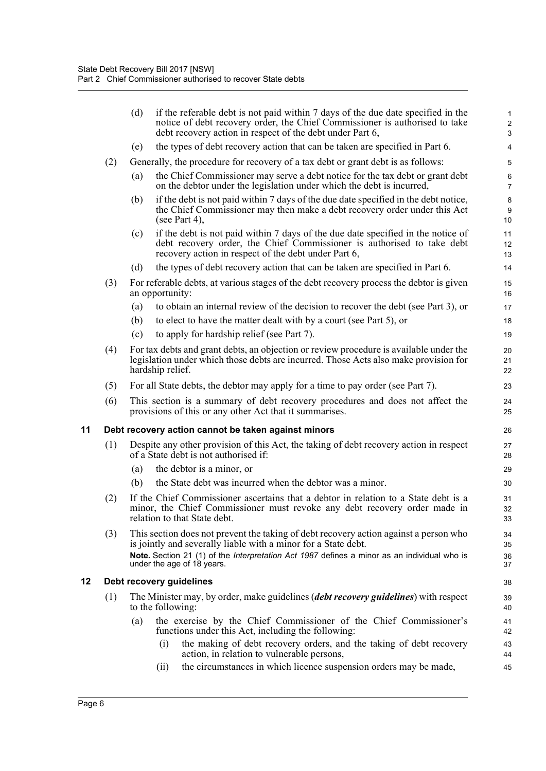<span id="page-22-1"></span><span id="page-22-0"></span>

|    |     | (d) | if the referable debt is not paid within 7 days of the due date specified in the<br>notice of debt recovery order, the Chief Commissioner is authorised to take<br>debt recovery action in respect of the debt under Part 6,                                                         | $\mathbf{1}$<br>$\overline{2}$<br>$\mathsf 3$ |
|----|-----|-----|--------------------------------------------------------------------------------------------------------------------------------------------------------------------------------------------------------------------------------------------------------------------------------------|-----------------------------------------------|
|    |     | (e) | the types of debt recovery action that can be taken are specified in Part 6.                                                                                                                                                                                                         | 4                                             |
|    | (2) |     | Generally, the procedure for recovery of a tax debt or grant debt is as follows:                                                                                                                                                                                                     | 5                                             |
|    |     | (a) | the Chief Commissioner may serve a debt notice for the tax debt or grant debt<br>on the debtor under the legislation under which the debt is incurred,                                                                                                                               | 6<br>$\overline{7}$                           |
|    |     | (b) | if the debt is not paid within 7 days of the due date specified in the debt notice,<br>the Chief Commissioner may then make a debt recovery order under this Act<br>(see Part 4),                                                                                                    | 8<br>$9\,$<br>10                              |
|    |     | (c) | if the debt is not paid within 7 days of the due date specified in the notice of<br>debt recovery order, the Chief Commissioner is authorised to take debt<br>recovery action in respect of the debt under Part 6,                                                                   | 11<br>12<br>13                                |
|    |     | (d) | the types of debt recovery action that can be taken are specified in Part 6.                                                                                                                                                                                                         | 14                                            |
|    | (3) |     | For referable debts, at various stages of the debt recovery process the debtor is given<br>an opportunity:                                                                                                                                                                           | 15<br>16                                      |
|    |     | (a) | to obtain an internal review of the decision to recover the debt (see Part 3), or                                                                                                                                                                                                    | 17                                            |
|    |     | (b) | to elect to have the matter dealt with by a court (see Part 5), or                                                                                                                                                                                                                   | 18                                            |
|    |     | (c) | to apply for hardship relief (see Part 7).                                                                                                                                                                                                                                           | 19                                            |
|    | (4) |     | For tax debts and grant debts, an objection or review procedure is available under the<br>legislation under which those debts are incurred. Those Acts also make provision for<br>hardship relief.                                                                                   | 20<br>21<br>22                                |
|    | (5) |     | For all State debts, the debtor may apply for a time to pay order (see Part 7).                                                                                                                                                                                                      | 23                                            |
|    | (6) |     | This section is a summary of debt recovery procedures and does not affect the<br>provisions of this or any other Act that it summarises.                                                                                                                                             | 24<br>25                                      |
| 11 |     |     | Debt recovery action cannot be taken against minors                                                                                                                                                                                                                                  | 26                                            |
|    | (1) |     | Despite any other provision of this Act, the taking of debt recovery action in respect<br>of a State debt is not authorised if:                                                                                                                                                      | 27<br>28                                      |
|    |     | (a) | the debtor is a minor, or                                                                                                                                                                                                                                                            | 29                                            |
|    |     | (b) | the State debt was incurred when the debtor was a minor.                                                                                                                                                                                                                             | 30                                            |
|    | (2) |     | If the Chief Commissioner ascertains that a debtor in relation to a State debt is a<br>minor, the Chief Commissioner must revoke any debt recovery order made in<br>relation to that State debt.                                                                                     | 31<br>32<br>33                                |
|    | (3) |     | This section does not prevent the taking of debt recovery action against a person who<br>is jointly and severally liable with a minor for a State debt.<br>Note. Section 21 (1) of the Interpretation Act 1987 defines a minor as an individual who is<br>under the age of 18 years. | 34<br>35<br>36<br>37                          |
| 12 |     |     | Debt recovery guidelines                                                                                                                                                                                                                                                             | 38                                            |
|    | (1) |     | The Minister may, by order, make guidelines (debt recovery guidelines) with respect<br>to the following:                                                                                                                                                                             | 39<br>40                                      |
|    |     | (a) | the exercise by the Chief Commissioner of the Chief Commissioner's<br>functions under this Act, including the following:                                                                                                                                                             | 41<br>42                                      |
|    |     |     | the making of debt recovery orders, and the taking of debt recovery<br>(i)<br>action, in relation to vulnerable persons,                                                                                                                                                             | 43<br>44                                      |
|    |     |     | the circumstances in which licence suspension orders may be made,<br>(ii)                                                                                                                                                                                                            | 45                                            |
|    |     |     |                                                                                                                                                                                                                                                                                      |                                               |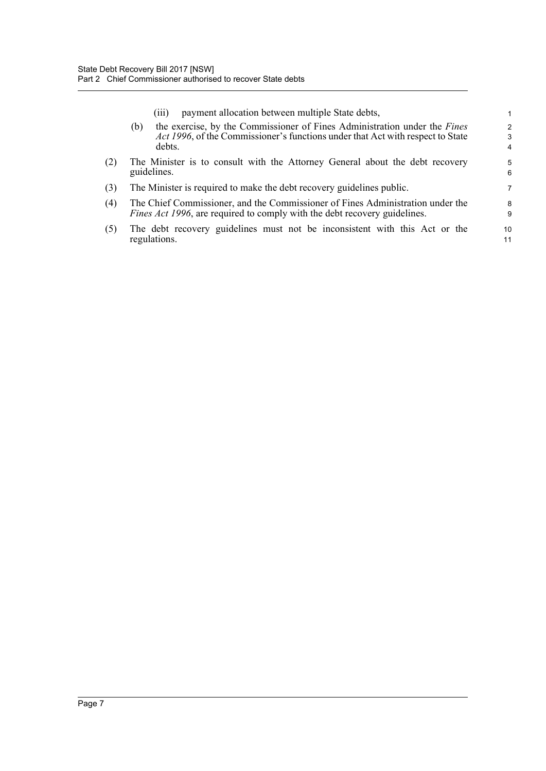|     | payment allocation between multiple State debts,<br>(111)                                                                                                                    |                                      |
|-----|------------------------------------------------------------------------------------------------------------------------------------------------------------------------------|--------------------------------------|
|     | the exercise, by the Commissioner of Fines Administration under the Fines<br>(b)<br>Act 1996, of the Commissioner's functions under that Act with respect to State<br>debts. | $\mathcal{P}$<br>3<br>$\overline{4}$ |
| (2) | The Minister is to consult with the Attorney General about the debt recovery<br>guidelines.                                                                                  | 5<br>6                               |
| (3) | The Minister is required to make the debt recovery guidelines public.                                                                                                        | 7                                    |
| (4) | The Chief Commissioner, and the Commissioner of Fines Administration under the<br>Fines Act 1996, are required to comply with the debt recovery guidelines.                  | 8<br>9                               |
| (5) | The debt recovery guidelines must not be inconsistent with this Act or the<br>regulations.                                                                                   | 10<br>11                             |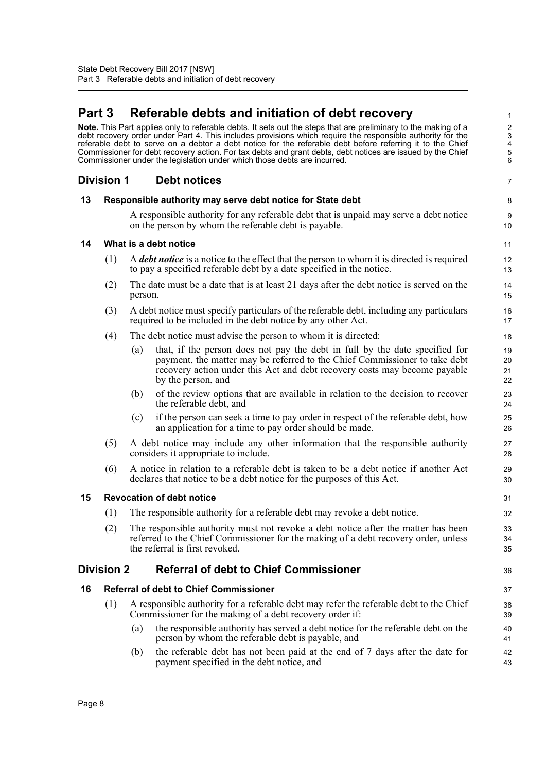# <span id="page-24-0"></span>**Part 3 Referable debts and initiation of debt recovery**

**Note.** This Part applies only to referable debts. It sets out the steps that are preliminary to the making of a debt recovery order under Part 4. This includes provisions which require the responsible authority for the referable debt to serve on a debtor a debt notice for the referable debt before referring it to the Chief Commissioner for debt recovery action. For tax debts and grant debts, debt notices are issued by the Chief Commissioner under the legislation under which those debts are incurred.

### <span id="page-24-1"></span>**Division 1 Debt notices**

#### <span id="page-24-2"></span>**13 Responsible authority may serve debt notice for State debt**

A responsible authority for any referable debt that is unpaid may serve a debt notice on the person by whom the referable debt is payable.

7

8 9 10

36

#### <span id="page-24-3"></span>**14 What is a debt notice**

- (1) A *debt notice* is a notice to the effect that the person to whom it is directed is required to pay a specified referable debt by a date specified in the notice.
- (2) The date must be a date that is at least 21 days after the debt notice is served on the person.
- (3) A debt notice must specify particulars of the referable debt, including any particulars required to be included in the debt notice by any other Act.
- (4) The debt notice must advise the person to whom it is directed:
	- (a) that, if the person does not pay the debt in full by the date specified for payment, the matter may be referred to the Chief Commissioner to take debt recovery action under this Act and debt recovery costs may become payable by the person, and
	- (b) of the review options that are available in relation to the decision to recover the referable debt, and
	- (c) if the person can seek a time to pay order in respect of the referable debt, how an application for a time to pay order should be made.
- (5) A debt notice may include any other information that the responsible authority considers it appropriate to include.
- (6) A notice in relation to a referable debt is taken to be a debt notice if another Act declares that notice to be a debt notice for the purposes of this Act.

#### <span id="page-24-4"></span>**15 Revocation of debt notice**

- (1) The responsible authority for a referable debt may revoke a debt notice.
- (2) The responsible authority must not revoke a debt notice after the matter has been referred to the Chief Commissioner for the making of a debt recovery order, unless the referral is first revoked.

### <span id="page-24-5"></span>**Division 2 Referral of debt to Chief Commissioner**

#### <span id="page-24-6"></span>**16 Referral of debt to Chief Commissioner**

- (1) A responsible authority for a referable debt may refer the referable debt to the Chief Commissioner for the making of a debt recovery order if:
	- (a) the responsible authority has served a debt notice for the referable debt on the person by whom the referable debt is payable, and
	- (b) the referable debt has not been paid at the end of 7 days after the date for payment specified in the debt notice, and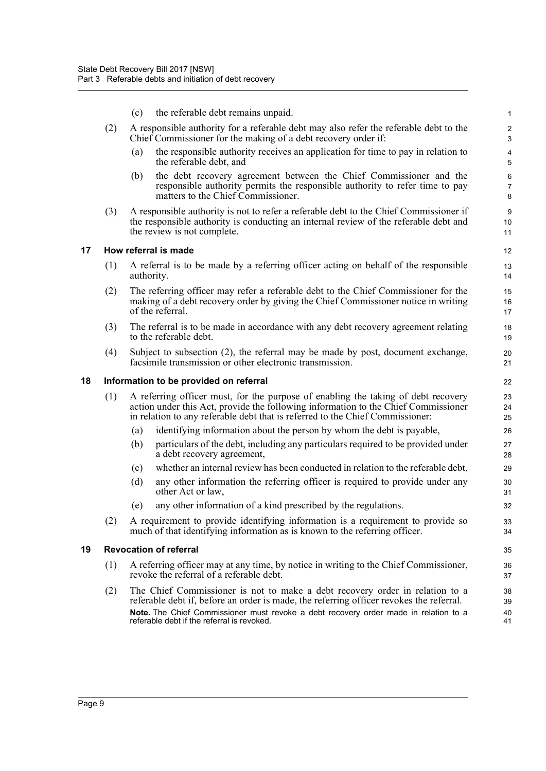<span id="page-25-2"></span><span id="page-25-1"></span><span id="page-25-0"></span>

|    |     | (c) | the referable debt remains unpaid.                                                                                                                                                                                                                       | $\mathbf{1}$             |
|----|-----|-----|----------------------------------------------------------------------------------------------------------------------------------------------------------------------------------------------------------------------------------------------------------|--------------------------|
|    | (2) |     | A responsible authority for a referable debt may also refer the referable debt to the<br>Chief Commissioner for the making of a debt recovery order if:                                                                                                  | 2<br>$\mathsf 3$         |
|    |     | (a) | the responsible authority receives an application for time to pay in relation to<br>the referable debt, and                                                                                                                                              | 4<br>5                   |
|    |     | (b) | the debt recovery agreement between the Chief Commissioner and the<br>responsible authority permits the responsible authority to refer time to pay<br>matters to the Chief Commissioner.                                                                 | 6<br>$\overline{7}$<br>8 |
|    | (3) |     | A responsible authority is not to refer a referable debt to the Chief Commissioner if<br>the responsible authority is conducting an internal review of the referable debt and<br>the review is not complete.                                             | 9<br>10<br>11            |
| 17 |     |     | How referral is made                                                                                                                                                                                                                                     | 12                       |
|    | (1) |     | A referral is to be made by a referring officer acting on behalf of the responsible<br>authority.                                                                                                                                                        | 13<br>14                 |
|    | (2) |     | The referring officer may refer a referable debt to the Chief Commissioner for the<br>making of a debt recovery order by giving the Chief Commissioner notice in writing<br>of the referral.                                                             | 15<br>16<br>17           |
|    | (3) |     | The referral is to be made in accordance with any debt recovery agreement relating<br>to the referable debt.                                                                                                                                             | 18<br>19                 |
|    | (4) |     | Subject to subsection (2), the referral may be made by post, document exchange,<br>facsimile transmission or other electronic transmission.                                                                                                              | 20<br>21                 |
| 18 |     |     | Information to be provided on referral                                                                                                                                                                                                                   | 22                       |
|    | (1) |     | A referring officer must, for the purpose of enabling the taking of debt recovery<br>action under this Act, provide the following information to the Chief Commissioner<br>in relation to any referable debt that is referred to the Chief Commissioner: | 23<br>24<br>25           |
|    |     | (a) | identifying information about the person by whom the debt is payable,                                                                                                                                                                                    | 26                       |
|    |     | (b) | particulars of the debt, including any particulars required to be provided under<br>a debt recovery agreement,                                                                                                                                           | 27<br>28                 |
|    |     | (c) | whether an internal review has been conducted in relation to the referable debt,                                                                                                                                                                         | 29                       |
|    |     | (d) | any other information the referring officer is required to provide under any<br>other Act or law,                                                                                                                                                        | 30<br>31                 |
|    |     | (e) | any other information of a kind prescribed by the regulations.                                                                                                                                                                                           | 32                       |
|    | (2) |     | A requirement to provide identifying information is a requirement to provide so<br>much of that identifying information as is known to the referring officer.                                                                                            | 33<br>34                 |
| 19 |     |     | <b>Revocation of referral</b>                                                                                                                                                                                                                            | 35                       |
|    | (1) |     | A referring officer may at any time, by notice in writing to the Chief Commissioner,<br>revoke the referral of a referable debt.                                                                                                                         | 36<br>37                 |
|    | (2) |     | The Chief Commissioner is not to make a debt recovery order in relation to a<br>referable debt if, before an order is made, the referring officer revokes the referral.                                                                                  | 38<br>39                 |
|    |     |     | Note. The Chief Commissioner must revoke a debt recovery order made in relation to a<br>referable debt if the referral is revoked.                                                                                                                       | 40<br>41                 |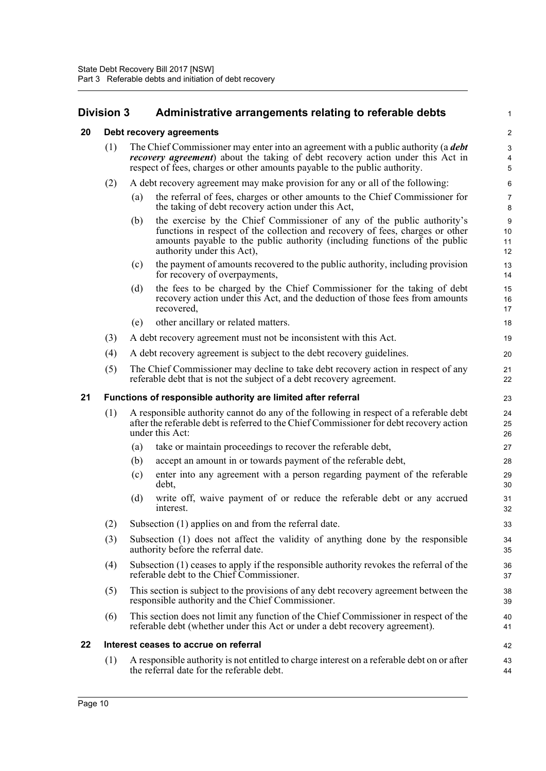<span id="page-26-1"></span>**20 Debt recovery agreements**

# <span id="page-26-0"></span>**Division 3 Administrative arrangements relating to referable debts**

(1) The Chief Commissioner may enter into an agreement with a public authority (a *debt recovery agreement*) about the taking of debt recovery action under this Act in

#### 2 3 4 5 6 7 8 9 10 11 12 13 14

1

<span id="page-26-3"></span><span id="page-26-2"></span>

|    |     |     | respect of fees, charges or other amounts payable to the public authority.                                                                                                                                                                                           | 5                                  |
|----|-----|-----|----------------------------------------------------------------------------------------------------------------------------------------------------------------------------------------------------------------------------------------------------------------------|------------------------------------|
|    | (2) |     | A debt recovery agreement may make provision for any or all of the following:                                                                                                                                                                                        | 6                                  |
|    |     | (a) | the referral of fees, charges or other amounts to the Chief Commissioner for<br>the taking of debt recovery action under this Act,                                                                                                                                   | $\boldsymbol{7}$<br>$\bf 8$        |
|    |     | (b) | the exercise by the Chief Commissioner of any of the public authority's<br>functions in respect of the collection and recovery of fees, charges or other<br>amounts payable to the public authority (including functions of the public<br>authority under this Act), | $\boldsymbol{9}$<br>10<br>11<br>12 |
|    |     | (c) | the payment of amounts recovered to the public authority, including provision<br>for recovery of overpayments,                                                                                                                                                       | 13<br>14                           |
|    |     | (d) | the fees to be charged by the Chief Commissioner for the taking of debt<br>recovery action under this Act, and the deduction of those fees from amounts<br>recovered,                                                                                                | 15<br>16<br>17                     |
|    |     | (e) | other ancillary or related matters.                                                                                                                                                                                                                                  | 18                                 |
|    | (3) |     | A debt recovery agreement must not be inconsistent with this Act.                                                                                                                                                                                                    | 19                                 |
|    | (4) |     | A debt recovery agreement is subject to the debt recovery guidelines.                                                                                                                                                                                                | 20                                 |
|    | (5) |     | The Chief Commissioner may decline to take debt recovery action in respect of any<br>referable debt that is not the subject of a debt recovery agreement.                                                                                                            | 21<br>22                           |
| 21 |     |     | Functions of responsible authority are limited after referral                                                                                                                                                                                                        | 23                                 |
|    | (1) |     | A responsible authority cannot do any of the following in respect of a referable debt<br>after the referable debt is referred to the Chief Commissioner for debt recovery action<br>under this Act:                                                                  | 24<br>25<br>26                     |
|    |     | (a) | take or maintain proceedings to recover the referable debt,                                                                                                                                                                                                          | 27                                 |
|    |     | (b) | accept an amount in or towards payment of the referable debt,                                                                                                                                                                                                        | 28                                 |
|    |     | (c) | enter into any agreement with a person regarding payment of the referable<br>debt,                                                                                                                                                                                   | 29<br>30                           |
|    |     | (d) | write off, waive payment of or reduce the referable debt or any accrued<br>interest.                                                                                                                                                                                 | 31<br>32                           |
|    | (2) |     | Subsection (1) applies on and from the referral date.                                                                                                                                                                                                                | 33                                 |
|    | (3) |     | Subsection (1) does not affect the validity of anything done by the responsible<br>authority before the referral date.                                                                                                                                               | 34<br>35                           |
|    | (4) |     | Subsection (1) ceases to apply if the responsible authority revokes the referral of the<br>referable debt to the Chief Commissioner.                                                                                                                                 | 36<br>37                           |
|    | (5) |     | This section is subject to the provisions of any debt recovery agreement between the<br>responsible authority and the Chief Commissioner.                                                                                                                            | 38<br>39                           |
|    | (6) |     | This section does not limit any function of the Chief Commissioner in respect of the<br>referable debt (whether under this Act or under a debt recovery agreement).                                                                                                  | 40<br>41                           |
| 22 |     |     | Interest ceases to accrue on referral                                                                                                                                                                                                                                | 42                                 |
|    | (1) |     | A responsible authority is not entitled to charge interest on a referable debt on or after<br>the referral date for the referable debt.                                                                                                                              | 43<br>44                           |
|    |     |     |                                                                                                                                                                                                                                                                      |                                    |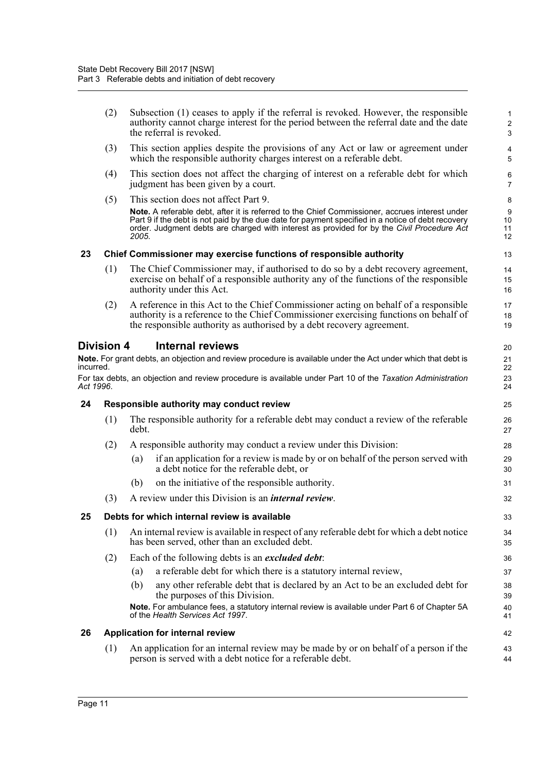<span id="page-27-4"></span><span id="page-27-3"></span><span id="page-27-2"></span><span id="page-27-1"></span><span id="page-27-0"></span>

|           | (2)               | Subsection (1) ceases to apply if the referral is revoked. However, the responsible<br>authority cannot charge interest for the period between the referral date and the date<br>the referral is revoked.                                                                                                  | $\mathbf{1}$<br>$\sqrt{2}$<br>3 |
|-----------|-------------------|------------------------------------------------------------------------------------------------------------------------------------------------------------------------------------------------------------------------------------------------------------------------------------------------------------|---------------------------------|
|           | (3)               | This section applies despite the provisions of any Act or law or agreement under<br>which the responsible authority charges interest on a referable debt.                                                                                                                                                  | 4<br>5                          |
|           | (4)               | This section does not affect the charging of interest on a referable debt for which<br>judgment has been given by a court.                                                                                                                                                                                 | 6<br>$\overline{7}$             |
|           | (5)               | This section does not affect Part 9.                                                                                                                                                                                                                                                                       | 8                               |
|           |                   | Note. A referable debt, after it is referred to the Chief Commissioner, accrues interest under<br>Part 9 if the debt is not paid by the due date for payment specified in a notice of debt recovery<br>order. Judgment debts are charged with interest as provided for by the Civil Procedure Act<br>2005. | 9<br>10<br>11<br>12             |
| 23        |                   | Chief Commissioner may exercise functions of responsible authority                                                                                                                                                                                                                                         | 13                              |
|           | (1)               | The Chief Commissioner may, if authorised to do so by a debt recovery agreement,<br>exercise on behalf of a responsible authority any of the functions of the responsible<br>authority under this Act.                                                                                                     | 14<br>15<br>16                  |
|           | (2)               | A reference in this Act to the Chief Commissioner acting on behalf of a responsible<br>authority is a reference to the Chief Commissioner exercising functions on behalf of<br>the responsible authority as authorised by a debt recovery agreement.                                                       | 17<br>18<br>19                  |
|           | <b>Division 4</b> | <b>Internal reviews</b>                                                                                                                                                                                                                                                                                    | 20                              |
| incurred. |                   | Note. For grant debts, an objection and review procedure is available under the Act under which that debt is                                                                                                                                                                                               | 21<br>22                        |
| Act 1996. |                   | For tax debts, an objection and review procedure is available under Part 10 of the Taxation Administration                                                                                                                                                                                                 | 23<br>24                        |
| 24        |                   | Responsible authority may conduct review                                                                                                                                                                                                                                                                   | 25                              |
|           | (1)               | The responsible authority for a referable debt may conduct a review of the referable<br>debt.                                                                                                                                                                                                              | 26<br>27                        |
|           | (2)               | A responsible authority may conduct a review under this Division:                                                                                                                                                                                                                                          | 28                              |
|           |                   | if an application for a review is made by or on behalf of the person served with<br>(a)<br>a debt notice for the referable debt, or                                                                                                                                                                        | 29<br>30                        |
|           |                   | on the initiative of the responsible authority.<br>(b)                                                                                                                                                                                                                                                     | 31                              |
|           | (3)               | A review under this Division is an <i>internal review</i> .                                                                                                                                                                                                                                                | 32                              |
| 25        |                   | Debts for which internal review is available                                                                                                                                                                                                                                                               | 33                              |
|           | (1)               | An internal review is available in respect of any referable debt for which a debt notice<br>has been served, other than an excluded debt.                                                                                                                                                                  | 34<br>35                        |
|           | (2)               | Each of the following debts is an <i>excluded debt</i> :                                                                                                                                                                                                                                                   | 36                              |
|           |                   | a referable debt for which there is a statutory internal review,<br>(a)                                                                                                                                                                                                                                    | 37                              |
|           |                   | any other referable debt that is declared by an Act to be an excluded debt for<br>(b)<br>the purposes of this Division.                                                                                                                                                                                    | 38<br>39                        |
|           |                   | Note. For ambulance fees, a statutory internal review is available under Part 6 of Chapter 5A<br>of the Health Services Act 1997.                                                                                                                                                                          | 40<br>41                        |
| 26        |                   | Application for internal review                                                                                                                                                                                                                                                                            | 42                              |
|           | (1)               | An application for an internal review may be made by or on behalf of a person if the<br>person is served with a debt notice for a referable debt.                                                                                                                                                          | 43<br>44                        |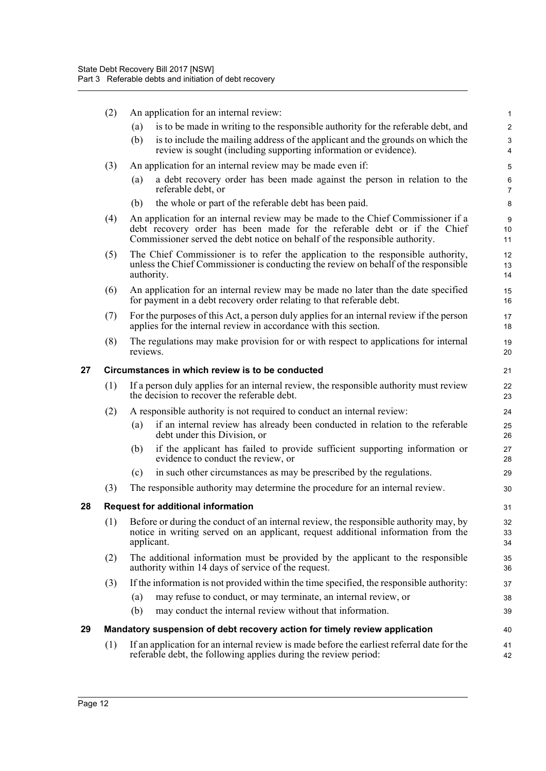<span id="page-28-2"></span><span id="page-28-1"></span><span id="page-28-0"></span>

|    | (2)                                              | An application for an internal review:                                                                                                                                                                                                      | $\mathbf{1}$        |  |  |  |
|----|--------------------------------------------------|---------------------------------------------------------------------------------------------------------------------------------------------------------------------------------------------------------------------------------------------|---------------------|--|--|--|
|    |                                                  | is to be made in writing to the responsible authority for the referable debt, and<br>(a)                                                                                                                                                    | $\overline{c}$      |  |  |  |
|    |                                                  | (b)<br>is to include the mailing address of the applicant and the grounds on which the<br>review is sought (including supporting information or evidence).                                                                                  | 3<br>4              |  |  |  |
|    | (3)                                              | An application for an internal review may be made even if:                                                                                                                                                                                  | 5                   |  |  |  |
|    |                                                  | a debt recovery order has been made against the person in relation to the<br>(a)<br>referable debt, or                                                                                                                                      | 6<br>$\overline{7}$ |  |  |  |
|    |                                                  | the whole or part of the referable debt has been paid.<br>(b)                                                                                                                                                                               | 8                   |  |  |  |
|    | (4)                                              | An application for an internal review may be made to the Chief Commissioner if a<br>debt recovery order has been made for the referable debt or if the Chief<br>Commissioner served the debt notice on behalf of the responsible authority. | $9\,$<br>10<br>11   |  |  |  |
|    | (5)                                              | The Chief Commissioner is to refer the application to the responsible authority,<br>unless the Chief Commissioner is conducting the review on behalf of the responsible<br>authority.                                                       |                     |  |  |  |
|    | (6)                                              | An application for an internal review may be made no later than the date specified<br>for payment in a debt recovery order relating to that referable debt.                                                                                 | 15<br>16            |  |  |  |
|    | (7)                                              | For the purposes of this Act, a person duly applies for an internal review if the person<br>applies for the internal review in accordance with this section.                                                                                | 17<br>18            |  |  |  |
|    | (8)                                              | The regulations may make provision for or with respect to applications for internal<br>reviews.                                                                                                                                             | 19<br>20            |  |  |  |
| 27 | Circumstances in which review is to be conducted |                                                                                                                                                                                                                                             |                     |  |  |  |
|    | (1)                                              | If a person duly applies for an internal review, the responsible authority must review<br>the decision to recover the referable debt.                                                                                                       | 22<br>23            |  |  |  |
|    | (2)                                              | A responsible authority is not required to conduct an internal review:                                                                                                                                                                      | 24                  |  |  |  |
|    |                                                  | if an internal review has already been conducted in relation to the referable<br>(a)<br>debt under this Division, or                                                                                                                        | 25<br>26            |  |  |  |
|    |                                                  | if the applicant has failed to provide sufficient supporting information or<br>(b)<br>evidence to conduct the review, or                                                                                                                    | 27<br>28            |  |  |  |
|    |                                                  | in such other circumstances as may be prescribed by the regulations.<br>(c)                                                                                                                                                                 | 29                  |  |  |  |
|    | (3)                                              | The responsible authority may determine the procedure for an internal review.                                                                                                                                                               | 30                  |  |  |  |
| 28 |                                                  | <b>Request for additional information</b>                                                                                                                                                                                                   | 31                  |  |  |  |
|    | (1)                                              | Before or during the conduct of an internal review, the responsible authority may, by<br>notice in writing served on an applicant, request additional information from the<br>applicant.                                                    | 32<br>33<br>34      |  |  |  |
|    | (2)                                              | The additional information must be provided by the applicant to the responsible<br>authority within 14 days of service of the request.                                                                                                      | 35<br>36            |  |  |  |
|    | (3)                                              | If the information is not provided within the time specified, the responsible authority:                                                                                                                                                    | 37                  |  |  |  |
|    |                                                  | may refuse to conduct, or may terminate, an internal review, or<br>(a)                                                                                                                                                                      | 38                  |  |  |  |
|    |                                                  | may conduct the internal review without that information.<br>(b)                                                                                                                                                                            | 39                  |  |  |  |
| 29 |                                                  | Mandatory suspension of debt recovery action for timely review application                                                                                                                                                                  | 40                  |  |  |  |
|    | (1)                                              | If an application for an internal review is made before the earliest referral date for the<br>referable debt, the following applies during the review period:                                                                               | 41<br>42            |  |  |  |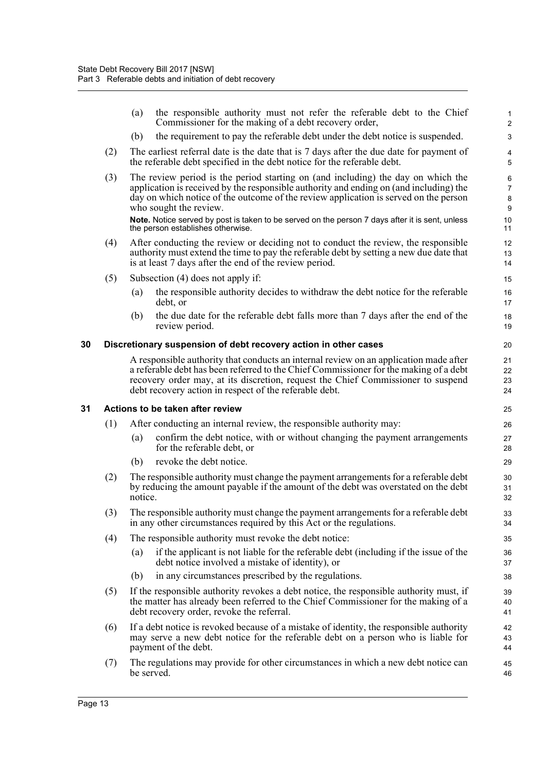<span id="page-29-1"></span><span id="page-29-0"></span>

|    |                                  | the responsible authority must not refer the referable debt to the Chief<br>(a)<br>Commissioner for the making of a debt recovery order,                                                                                                                                                                                     | $\mathbf{1}$<br>2             |  |  |  |
|----|----------------------------------|------------------------------------------------------------------------------------------------------------------------------------------------------------------------------------------------------------------------------------------------------------------------------------------------------------------------------|-------------------------------|--|--|--|
|    |                                  | the requirement to pay the referable debt under the debt notice is suspended.<br>(b)                                                                                                                                                                                                                                         | 3                             |  |  |  |
|    | (2)                              | The earliest referral date is the date that is 7 days after the due date for payment of<br>the referable debt specified in the debt notice for the referable debt.                                                                                                                                                           | $\overline{\mathbf{4}}$<br>5  |  |  |  |
|    | (3)                              | The review period is the period starting on (and including) the day on which the<br>application is received by the responsible authority and ending on (and including) the<br>day on which notice of the outcome of the review application is served on the person<br>who sought the review.                                 | 6<br>$\overline{7}$<br>8<br>9 |  |  |  |
|    |                                  | Note. Notice served by post is taken to be served on the person 7 days after it is sent, unless<br>the person establishes otherwise.                                                                                                                                                                                         | 10<br>11                      |  |  |  |
|    | (4)                              | After conducting the review or deciding not to conduct the review, the responsible<br>authority must extend the time to pay the referable debt by setting a new due date that<br>is at least 7 days after the end of the review period.                                                                                      | 12<br>13<br>14                |  |  |  |
|    | (5)                              | Subsection (4) does not apply if:                                                                                                                                                                                                                                                                                            | 15                            |  |  |  |
|    |                                  | the responsible authority decides to withdraw the debt notice for the referable<br>(a)<br>debt, or                                                                                                                                                                                                                           | 16<br>17                      |  |  |  |
|    |                                  | the due date for the referable debt falls more than 7 days after the end of the<br>(b)<br>review period.                                                                                                                                                                                                                     | 18<br>19                      |  |  |  |
| 30 |                                  | Discretionary suspension of debt recovery action in other cases                                                                                                                                                                                                                                                              | 20                            |  |  |  |
|    |                                  | A responsible authority that conducts an internal review on an application made after<br>a referable debt has been referred to the Chief Commissioner for the making of a debt<br>recovery order may, at its discretion, request the Chief Commissioner to suspend<br>debt recovery action in respect of the referable debt. | 21<br>22<br>23<br>24          |  |  |  |
| 31 | Actions to be taken after review |                                                                                                                                                                                                                                                                                                                              |                               |  |  |  |
|    | (1)                              | After conducting an internal review, the responsible authority may:                                                                                                                                                                                                                                                          | 26                            |  |  |  |
|    |                                  | confirm the debt notice, with or without changing the payment arrangements<br>(a)<br>for the referable debt, or                                                                                                                                                                                                              | 27<br>28                      |  |  |  |
|    |                                  | revoke the debt notice.<br>(b)                                                                                                                                                                                                                                                                                               | 29                            |  |  |  |
|    | (2)                              | The responsible authority must change the payment arrangements for a referable debt<br>by reducing the amount payable if the amount of the debt was overstated on the debt<br>notice.                                                                                                                                        | 30<br>31<br>32                |  |  |  |
|    | (3)                              | The responsible authority must change the payment arrangements for a referable debt<br>in any other circumstances required by this Act or the regulations.                                                                                                                                                                   | 33<br>34                      |  |  |  |
|    | (4)                              | The responsible authority must revoke the debt notice:                                                                                                                                                                                                                                                                       | 35                            |  |  |  |
|    |                                  | if the applicant is not liable for the referable debt (including if the issue of the<br>(a)<br>debt notice involved a mistake of identity), or                                                                                                                                                                               | 36<br>37                      |  |  |  |
|    |                                  | in any circumstances prescribed by the regulations.<br>(b)                                                                                                                                                                                                                                                                   | 38                            |  |  |  |
|    | (5)                              | If the responsible authority revokes a debt notice, the responsible authority must, if<br>the matter has already been referred to the Chief Commissioner for the making of a<br>debt recovery order, revoke the referral.                                                                                                    | 39<br>40<br>41                |  |  |  |
|    | (6)                              | If a debt notice is revoked because of a mistake of identity, the responsible authority<br>may serve a new debt notice for the referable debt on a person who is liable for<br>payment of the debt.                                                                                                                          | 42<br>43<br>44                |  |  |  |
|    | (7)                              | The regulations may provide for other circumstances in which a new debt notice can<br>be served.                                                                                                                                                                                                                             | 45<br>46                      |  |  |  |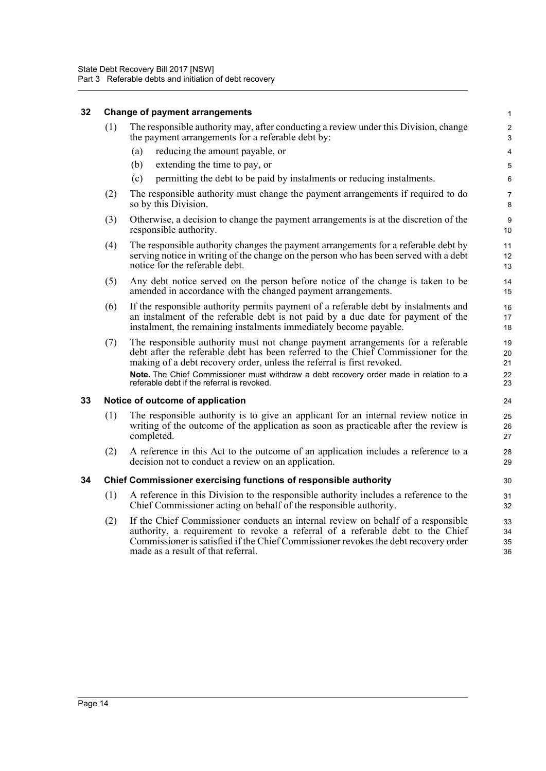#### <span id="page-30-0"></span>**32 Change of payment arrangements**

(1) The responsible authority may, after conducting a review under this Division, change the payment arrangements for a referable debt by:

- (a) reducing the amount payable, or
- (b) extending the time to pay, or
- (c) permitting the debt to be paid by instalments or reducing instalments.
- (2) The responsible authority must change the payment arrangements if required to do so by this Division.
- (3) Otherwise, a decision to change the payment arrangements is at the discretion of the responsible authority.
- (4) The responsible authority changes the payment arrangements for a referable debt by serving notice in writing of the change on the person who has been served with a debt notice for the referable debt.
- (5) Any debt notice served on the person before notice of the change is taken to be amended in accordance with the changed payment arrangements.
- (6) If the responsible authority permits payment of a referable debt by instalments and an instalment of the referable debt is not paid by a due date for payment of the instalment, the remaining instalments immediately become payable.
- (7) The responsible authority must not change payment arrangements for a referable debt after the referable debt has been referred to the Chief Commissioner for the making of a debt recovery order, unless the referral is first revoked. **Note.** The Chief Commissioner must withdraw a debt recovery order made in relation to a referable debt if the referral is revoked.

#### <span id="page-30-1"></span>**33 Notice of outcome of application**

- (1) The responsible authority is to give an applicant for an internal review notice in writing of the outcome of the application as soon as practicable after the review is completed.
- (2) A reference in this Act to the outcome of an application includes a reference to a decision not to conduct a review on an application.

#### <span id="page-30-2"></span>**34 Chief Commissioner exercising functions of responsible authority**

- (1) A reference in this Division to the responsible authority includes a reference to the Chief Commissioner acting on behalf of the responsible authority.
- (2) If the Chief Commissioner conducts an internal review on behalf of a responsible authority, a requirement to revoke a referral of a referable debt to the Chief Commissioner is satisfied if the Chief Commissioner revokes the debt recovery order made as a result of that referral.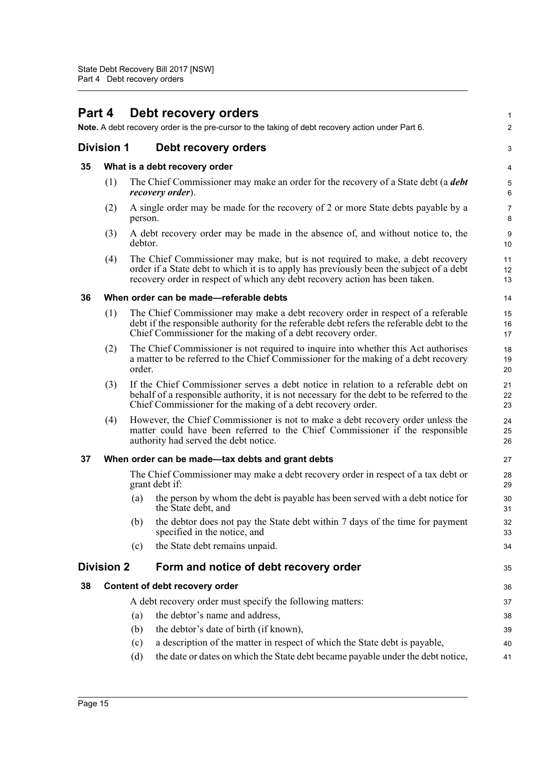#### <span id="page-31-6"></span><span id="page-31-5"></span><span id="page-31-4"></span><span id="page-31-3"></span><span id="page-31-2"></span><span id="page-31-1"></span><span id="page-31-0"></span>**Part 4 Debt recovery orders Note.** A debt recovery order is the pre-cursor to the taking of debt recovery action under Part 6. **Division 1 Debt recovery orders 35 What is a debt recovery order** (1) The Chief Commissioner may make an order for the recovery of a State debt (a *debt recovery order*). (2) A single order may be made for the recovery of 2 or more State debts payable by a person. (3) A debt recovery order may be made in the absence of, and without notice to, the debtor. (4) The Chief Commissioner may make, but is not required to make, a debt recovery order if a State debt to which it is to apply has previously been the subject of a debt recovery order in respect of which any debt recovery action has been taken. **36 When order can be made—referable debts** (1) The Chief Commissioner may make a debt recovery order in respect of a referable debt if the responsible authority for the referable debt refers the referable debt to the Chief Commissioner for the making of a debt recovery order. (2) The Chief Commissioner is not required to inquire into whether this Act authorises a matter to be referred to the Chief Commissioner for the making of a debt recovery order. (3) If the Chief Commissioner serves a debt notice in relation to a referable debt on behalf of a responsible authority, it is not necessary for the debt to be referred to the Chief Commissioner for the making of a debt recovery order. (4) However, the Chief Commissioner is not to make a debt recovery order unless the matter could have been referred to the Chief Commissioner if the responsible authority had served the debt notice. **37 When order can be made—tax debts and grant debts** The Chief Commissioner may make a debt recovery order in respect of a tax debt or grant debt if: (a) the person by whom the debt is payable has been served with a debt notice for the State debt, and (b) the debtor does not pay the State debt within 7 days of the time for payment specified in the notice, and (c) the State debt remains unpaid. **Division 2 Form and notice of debt recovery order 38 Content of debt recovery order** A debt recovery order must specify the following matters: (a) the debtor's name and address, (b) the debtor's date of birth (if known), (c) a description of the matter in respect of which the State debt is payable, (d) the date or dates on which the State debt became payable under the debt notice, 1  $\mathcal{D}$ 3 4 5 6 7 8 9 10 11 12 13 14 15 16 17 18 19  $20$ 21 22 23 24 25 26 27 28 29 30 31 32 33 34 35 36 37 38 39 40 41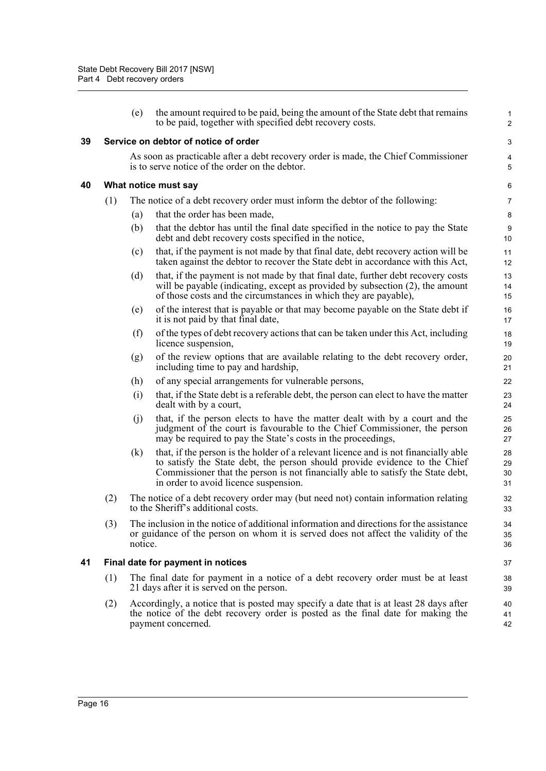<span id="page-32-2"></span><span id="page-32-1"></span><span id="page-32-0"></span>

|    |                                   | (e)                                                                                                                           | the amount required to be paid, being the amount of the State debt that remains<br>to be paid, together with specified debt recovery costs.                                                                                                                                                   | $\mathbf{1}$<br>$\overline{2}$ |  |  |
|----|-----------------------------------|-------------------------------------------------------------------------------------------------------------------------------|-----------------------------------------------------------------------------------------------------------------------------------------------------------------------------------------------------------------------------------------------------------------------------------------------|--------------------------------|--|--|
| 39 |                                   |                                                                                                                               | Service on debtor of notice of order                                                                                                                                                                                                                                                          | 3                              |  |  |
|    |                                   |                                                                                                                               | As soon as practicable after a debt recovery order is made, the Chief Commissioner<br>is to serve notice of the order on the debtor.                                                                                                                                                          | $\overline{\mathbf{4}}$<br>5   |  |  |
| 40 |                                   |                                                                                                                               | What notice must say                                                                                                                                                                                                                                                                          | 6                              |  |  |
|    | (1)                               |                                                                                                                               | The notice of a debt recovery order must inform the debtor of the following:                                                                                                                                                                                                                  | $\overline{7}$                 |  |  |
|    |                                   | (a)                                                                                                                           | that the order has been made,                                                                                                                                                                                                                                                                 | 8                              |  |  |
|    |                                   | (b)                                                                                                                           | that the debtor has until the final date specified in the notice to pay the State<br>debt and debt recovery costs specified in the notice,                                                                                                                                                    | 9<br>10                        |  |  |
|    |                                   | (c)                                                                                                                           | that, if the payment is not made by that final date, debt recovery action will be<br>taken against the debtor to recover the State debt in accordance with this Act,                                                                                                                          | 11<br>12                       |  |  |
|    |                                   | (d)                                                                                                                           | that, if the payment is not made by that final date, further debt recovery costs<br>will be payable (indicating, except as provided by subsection $(2)$ , the amount<br>of those costs and the circumstances in which they are payable),                                                      | 13<br>14<br>15                 |  |  |
|    |                                   | (e)                                                                                                                           | of the interest that is payable or that may become payable on the State debt if<br>it is not paid by that final date,                                                                                                                                                                         | 16<br>17                       |  |  |
|    |                                   | (f)                                                                                                                           | of the types of debt recovery actions that can be taken under this Act, including<br>licence suspension,                                                                                                                                                                                      | 18<br>19                       |  |  |
|    |                                   | (g)                                                                                                                           | of the review options that are available relating to the debt recovery order,<br>including time to pay and hardship,                                                                                                                                                                          | 20<br>21                       |  |  |
|    |                                   | (h)                                                                                                                           | of any special arrangements for vulnerable persons,                                                                                                                                                                                                                                           | 22                             |  |  |
|    |                                   | (i)                                                                                                                           | that, if the State debt is a referable debt, the person can elect to have the matter<br>dealt with by a court,                                                                                                                                                                                | 23<br>24                       |  |  |
|    |                                   | (i)                                                                                                                           | that, if the person elects to have the matter dealt with by a court and the<br>judgment of the court is favourable to the Chief Commissioner, the person<br>may be required to pay the State's costs in the proceedings,                                                                      | 25<br>26<br>27                 |  |  |
|    |                                   | (k)                                                                                                                           | that, if the person is the holder of a relevant licence and is not financially able<br>to satisfy the State debt, the person should provide evidence to the Chief<br>Commissioner that the person is not financially able to satisfy the State debt,<br>in order to avoid licence suspension. | 28<br>29<br>30<br>31           |  |  |
|    | (2)                               |                                                                                                                               | The notice of a debt recovery order may (but need not) contain information relating<br>to the Sheriff's additional costs.                                                                                                                                                                     | 32<br>33                       |  |  |
|    | (3)                               | notice.                                                                                                                       | The inclusion in the notice of additional information and directions for the assistance<br>or guidance of the person on whom it is served does not affect the validity of the                                                                                                                 | 34<br>35<br>36                 |  |  |
| 41 | Final date for payment in notices |                                                                                                                               |                                                                                                                                                                                                                                                                                               |                                |  |  |
|    | (1)                               | The final date for payment in a notice of a debt recovery order must be at least<br>21 days after it is served on the person. |                                                                                                                                                                                                                                                                                               |                                |  |  |
|    | (2)                               |                                                                                                                               | Accordingly, a notice that is posted may specify a date that is at least 28 days after<br>the notice of the debt recovery order is posted as the final date for making the<br>payment concerned.                                                                                              | 40<br>41<br>42                 |  |  |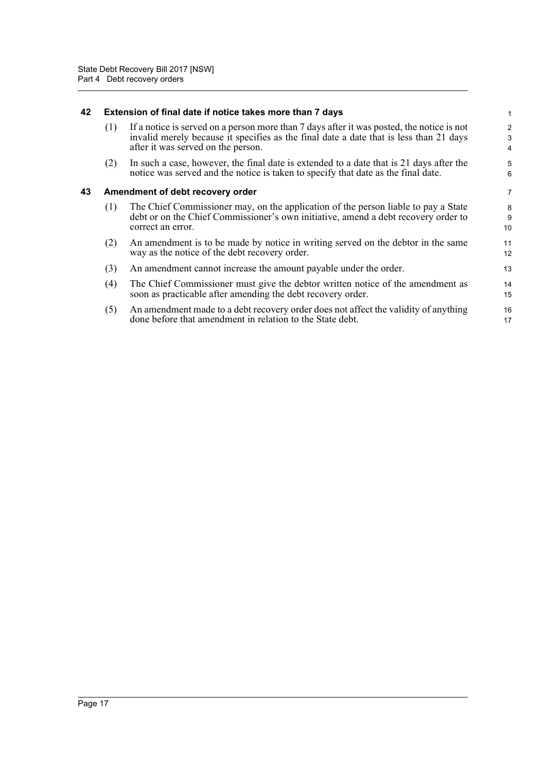#### <span id="page-33-0"></span>**42 Extension of final date if notice takes more than 7 days**

| $(1)$ If a notice is served on a person more than 7 days after it was posted, the notice is not |
|-------------------------------------------------------------------------------------------------|
| invalid merely because it specifies as the final date a date that is less than 21 days          |
| after it was served on the person.                                                              |

(2) In such a case, however, the final date is extended to a date that is 21 days after the notice was served and the notice is taken to specify that date as the final date.

#### <span id="page-33-1"></span>**43 Amendment of debt recovery order**

- (1) The Chief Commissioner may, on the application of the person liable to pay a State debt or on the Chief Commissioner's own initiative, amend a debt recovery order to correct an error.
- (2) An amendment is to be made by notice in writing served on the debtor in the same way as the notice of the debt recovery order.
- (3) An amendment cannot increase the amount payable under the order.
- (4) The Chief Commissioner must give the debtor written notice of the amendment as soon as practicable after amending the debt recovery order. 14 15
- (5) An amendment made to a debt recovery order does not affect the validity of anything done before that amendment in relation to the State debt. 16 17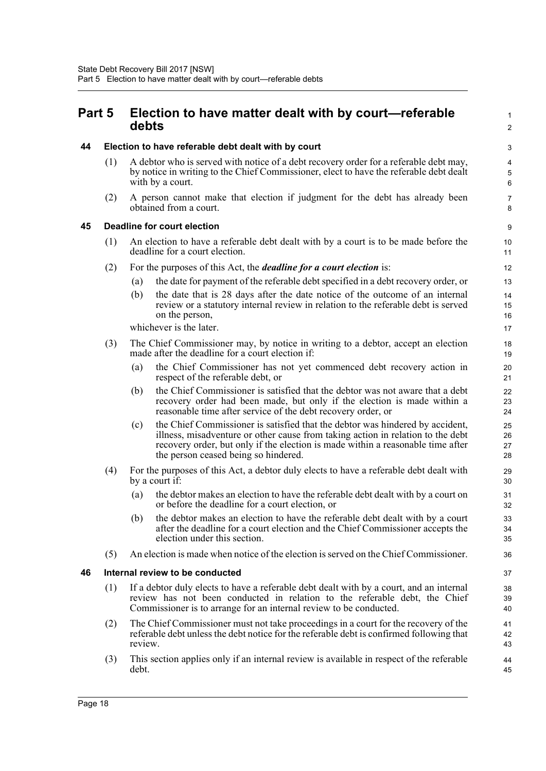<span id="page-34-0"></span>

| <b>Part 5</b> | Election to have matter dealt with by court-referable |
|---------------|-------------------------------------------------------|
|               | debts                                                 |

<span id="page-34-1"></span>

| 44 | Election to have referable debt dealt with by court |  |
|----|-----------------------------------------------------|--|
|    |                                                     |  |

(1) A debtor who is served with notice of a debt recovery order for a referable debt may, by notice in writing to the Chief Commissioner, elect to have the referable debt dealt with by a court.

1  $\mathfrak{p}$ 

(2) A person cannot make that election if judgment for the debt has already been obtained from a court.

#### <span id="page-34-2"></span>**45 Deadline for court election**

- (1) An election to have a referable debt dealt with by a court is to be made before the deadline for a court election.
- (2) For the purposes of this Act, the *deadline for a court election* is:
	- (a) the date for payment of the referable debt specified in a debt recovery order, or
	- (b) the date that is 28 days after the date notice of the outcome of an internal review or a statutory internal review in relation to the referable debt is served on the person,

whichever is the later.

| (3) | The Chief Commissioner may, by notice in writing to a debtor, accept an election |
|-----|----------------------------------------------------------------------------------|
|     | made after the deadline for a court election if:                                 |

- (a) the Chief Commissioner has not yet commenced debt recovery action in respect of the referable debt, or
- (b) the Chief Commissioner is satisfied that the debtor was not aware that a debt recovery order had been made, but only if the election is made within a reasonable time after service of the debt recovery order, or
- (c) the Chief Commissioner is satisfied that the debtor was hindered by accident, illness, misadventure or other cause from taking action in relation to the debt recovery order, but only if the election is made within a reasonable time after the person ceased being so hindered.
- (4) For the purposes of this Act, a debtor duly elects to have a referable debt dealt with by a court if:
	- (a) the debtor makes an election to have the referable debt dealt with by a court on or before the deadline for a court election, or
	- (b) the debtor makes an election to have the referable debt dealt with by a court after the deadline for a court election and the Chief Commissioner accepts the election under this section.
- (5) An election is made when notice of the election is served on the Chief Commissioner.

#### <span id="page-34-3"></span>**46 Internal review to be conducted**

- (1) If a debtor duly elects to have a referable debt dealt with by a court, and an internal review has not been conducted in relation to the referable debt, the Chief Commissioner is to arrange for an internal review to be conducted.
- (2) The Chief Commissioner must not take proceedings in a court for the recovery of the referable debt unless the debt notice for the referable debt is confirmed following that review.
- (3) This section applies only if an internal review is available in respect of the referable debt.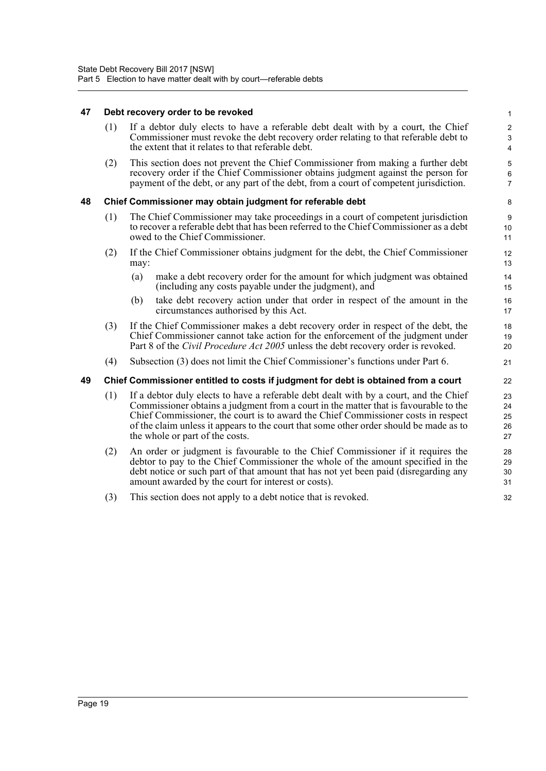#### <span id="page-35-0"></span>**47 Debt recovery order to be revoked**

<span id="page-35-2"></span><span id="page-35-1"></span>

| 47 | Debt recovery order to be revoked                         |                                                                                                                                                                                                                                                                                                                                                                                                 |                                 |  |  |
|----|-----------------------------------------------------------|-------------------------------------------------------------------------------------------------------------------------------------------------------------------------------------------------------------------------------------------------------------------------------------------------------------------------------------------------------------------------------------------------|---------------------------------|--|--|
|    | (1)                                                       | If a debtor duly elects to have a referable debt dealt with by a court, the Chief<br>Commissioner must revoke the debt recovery order relating to that referable debt to<br>the extent that it relates to that referable debt.                                                                                                                                                                  | $\mathbf 2$<br>$\mathsf 3$<br>4 |  |  |
|    | (2)                                                       | This section does not prevent the Chief Commissioner from making a further debt<br>recovery order if the Chief Commissioner obtains judgment against the person for<br>payment of the debt, or any part of the debt, from a court of competent jurisdiction.                                                                                                                                    | 5<br>6<br>$\overline{7}$        |  |  |
| 48 | Chief Commissioner may obtain judgment for referable debt |                                                                                                                                                                                                                                                                                                                                                                                                 |                                 |  |  |
|    | (1)                                                       | The Chief Commissioner may take proceedings in a court of competent jurisdiction<br>to recover a referable debt that has been referred to the Chief Commissioner as a debt<br>owed to the Chief Commissioner.                                                                                                                                                                                   | $\boldsymbol{9}$<br>10<br>11    |  |  |
|    | (2)                                                       | If the Chief Commissioner obtains judgment for the debt, the Chief Commissioner<br>may:                                                                                                                                                                                                                                                                                                         | 12<br>13                        |  |  |
|    |                                                           | make a debt recovery order for the amount for which judgment was obtained<br>(a)<br>(including any costs payable under the judgment), and                                                                                                                                                                                                                                                       | 14<br>15                        |  |  |
|    |                                                           | take debt recovery action under that order in respect of the amount in the<br>(b)<br>circumstances authorised by this Act.                                                                                                                                                                                                                                                                      | 16<br>17                        |  |  |
|    | (3)                                                       | If the Chief Commissioner makes a debt recovery order in respect of the debt, the<br>Chief Commissioner cannot take action for the enforcement of the judgment under<br>Part 8 of the <i>Civil Procedure Act 2005</i> unless the debt recovery order is revoked.                                                                                                                                | 18<br>19<br>20                  |  |  |
|    | (4)                                                       | Subsection (3) does not limit the Chief Commissioner's functions under Part 6.                                                                                                                                                                                                                                                                                                                  | 21                              |  |  |
| 49 |                                                           | Chief Commissioner entitled to costs if judgment for debt is obtained from a court                                                                                                                                                                                                                                                                                                              | 22                              |  |  |
|    | (1)                                                       | If a debtor duly elects to have a referable debt dealt with by a court, and the Chief<br>Commissioner obtains a judgment from a court in the matter that is favourable to the<br>Chief Commissioner, the court is to award the Chief Commissioner costs in respect<br>of the claim unless it appears to the court that some other order should be made as to<br>the whole or part of the costs. | 23<br>24<br>25<br>26<br>27      |  |  |
|    | (2)                                                       | An order or judgment is favourable to the Chief Commissioner if it requires the<br>debtor to pay to the Chief Commissioner the whole of the amount specified in the<br>debt notice or such part of that amount that has not yet been paid (disregarding any<br>amount awarded by the court for interest or costs).                                                                              | 28<br>29<br>30<br>31            |  |  |
|    | (3)                                                       | This section does not apply to a debt notice that is revoked.                                                                                                                                                                                                                                                                                                                                   | 32                              |  |  |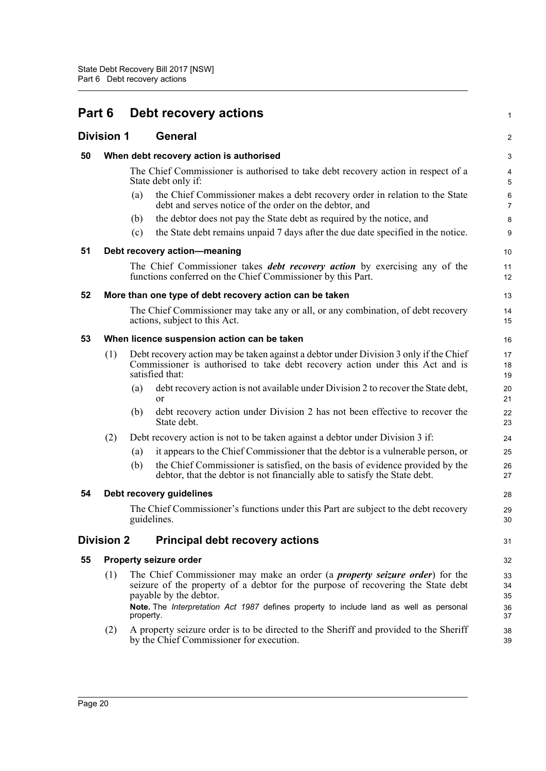| Part 6 |                   |           | Debt recovery actions                                                                                                                                                                             | 1                   |
|--------|-------------------|-----------|---------------------------------------------------------------------------------------------------------------------------------------------------------------------------------------------------|---------------------|
|        | <b>Division 1</b> |           | General                                                                                                                                                                                           | 2                   |
| 50     |                   |           | When debt recovery action is authorised                                                                                                                                                           | 3                   |
|        |                   |           | The Chief Commissioner is authorised to take debt recovery action in respect of a<br>State debt only if:                                                                                          | 4<br>5              |
|        |                   | (a)       | the Chief Commissioner makes a debt recovery order in relation to the State<br>debt and serves notice of the order on the debtor, and                                                             | 6<br>$\overline{7}$ |
|        |                   | (b)       | the debtor does not pay the State debt as required by the notice, and                                                                                                                             | 8                   |
|        |                   | (c)       | the State debt remains unpaid 7 days after the due date specified in the notice.                                                                                                                  | $\boldsymbol{9}$    |
| 51     |                   |           | Debt recovery action-meaning                                                                                                                                                                      | 10                  |
|        |                   |           | The Chief Commissioner takes <i>debt recovery action</i> by exercising any of the<br>functions conferred on the Chief Commissioner by this Part.                                                  | 11<br>12            |
| 52     |                   |           | More than one type of debt recovery action can be taken                                                                                                                                           | 13                  |
|        |                   |           | The Chief Commissioner may take any or all, or any combination, of debt recovery<br>actions, subject to this Act.                                                                                 | 14<br>15            |
| 53     |                   |           | When licence suspension action can be taken                                                                                                                                                       | 16                  |
|        | (1)               |           | Debt recovery action may be taken against a debtor under Division 3 only if the Chief<br>Commissioner is authorised to take debt recovery action under this Act and is<br>satisfied that:         | 17<br>18<br>19      |
|        |                   | (a)       | debt recovery action is not available under Division 2 to recover the State debt,<br>or                                                                                                           | 20<br>21            |
|        |                   | (b)       | debt recovery action under Division 2 has not been effective to recover the<br>State debt.                                                                                                        | 22<br>23            |
|        | (2)               |           | Debt recovery action is not to be taken against a debtor under Division 3 if:                                                                                                                     | 24                  |
|        |                   | (a)       | it appears to the Chief Commissioner that the debtor is a vulnerable person, or                                                                                                                   | 25                  |
|        |                   | (b)       | the Chief Commissioner is satisfied, on the basis of evidence provided by the<br>debtor, that the debtor is not financially able to satisfy the State debt.                                       | 26<br>27            |
| 54     |                   |           | Debt recovery guidelines                                                                                                                                                                          | 28                  |
|        |                   |           | The Chief Commissioner's functions under this Part are subject to the debt recovery<br>guidelines.                                                                                                | 29<br>30            |
|        | <b>Division 2</b> |           | <b>Principal debt recovery actions</b>                                                                                                                                                            | 31                  |
| 55     |                   |           | <b>Property seizure order</b>                                                                                                                                                                     | 32                  |
|        | (1)               |           | The Chief Commissioner may make an order (a <i>property seizure order</i> ) for the<br>seizure of the property of a debtor for the purpose of recovering the State debt<br>payable by the debtor. | 33<br>34<br>35      |
|        |                   | property. | Note. The Interpretation Act 1987 defines property to include land as well as personal                                                                                                            | 36<br>37            |
|        | (2)               |           | A property seizure order is to be directed to the Sheriff and provided to the Sheriff<br>by the Chief Commissioner for execution.                                                                 | 38<br>39            |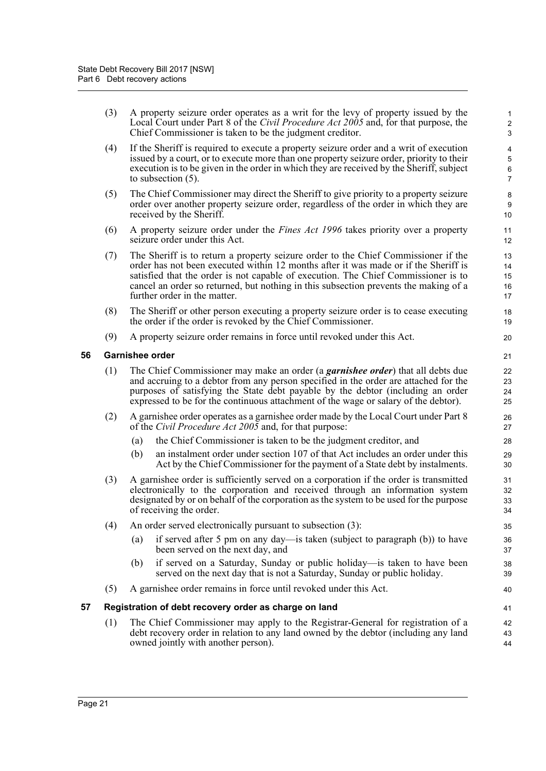| (3) A property seizure order operates as a writ for the levy of property issued by the |
|----------------------------------------------------------------------------------------|
| Local Court under Part 8 of the Civil Procedure Act 2005 and, for that purpose, the    |
| Chief Commissioner is taken to be the judgment creditor.                               |

- (4) If the Sheriff is required to execute a property seizure order and a writ of execution issued by a court, or to execute more than one property seizure order, priority to their execution is to be given in the order in which they are received by the Sheriff, subject to subsection (5).
- (5) The Chief Commissioner may direct the Sheriff to give priority to a property seizure order over another property seizure order, regardless of the order in which they are received by the Sheriff.
- (6) A property seizure order under the *Fines Act 1996* takes priority over a property seizure order under this Act.
- (7) The Sheriff is to return a property seizure order to the Chief Commissioner if the order has not been executed within 12 months after it was made or if the Sheriff is satisfied that the order is not capable of execution. The Chief Commissioner is to cancel an order so returned, but nothing in this subsection prevents the making of a further order in the matter.
- (8) The Sheriff or other person executing a property seizure order is to cease executing the order if the order is revoked by the Chief Commissioner.
- (9) A property seizure order remains in force until revoked under this Act.

#### **56 Garnishee order**

- (1) The Chief Commissioner may make an order (a *garnishee order*) that all debts due and accruing to a debtor from any person specified in the order are attached for the purposes of satisfying the State debt payable by the debtor (including an order expressed to be for the continuous attachment of the wage or salary of the debtor).
- (2) A garnishee order operates as a garnishee order made by the Local Court under Part 8 of the *Civil Procedure Act 2005* and, for that purpose:
	- (a) the Chief Commissioner is taken to be the judgment creditor, and
	- (b) an instalment order under section 107 of that Act includes an order under this Act by the Chief Commissioner for the payment of a State debt by instalments.
- (3) A garnishee order is sufficiently served on a corporation if the order is transmitted electronically to the corporation and received through an information system designated by or on behalf of the corporation as the system to be used for the purpose of receiving the order.
- (4) An order served electronically pursuant to subsection (3):
	- (a) if served after 5 pm on any day—is taken (subject to paragraph (b)) to have been served on the next day, and
	- (b) if served on a Saturday, Sunday or public holiday—is taken to have been served on the next day that is not a Saturday, Sunday or public holiday.
- (5) A garnishee order remains in force until revoked under this Act.

### **57 Registration of debt recovery order as charge on land**

(1) The Chief Commissioner may apply to the Registrar-General for registration of a debt recovery order in relation to any land owned by the debtor (including any land owned jointly with another person).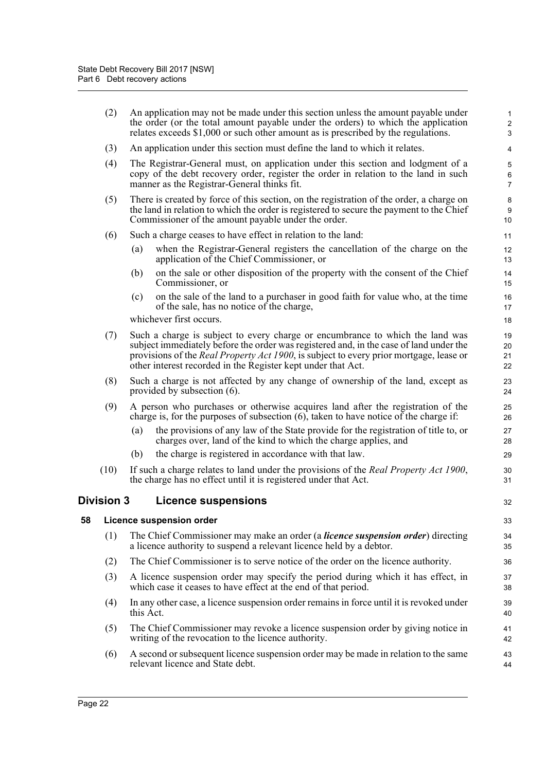|    | (2)               | An application may not be made under this section unless the amount payable under<br>the order (or the total amount payable under the orders) to which the application<br>relates exceeds \$1,000 or such other amount as is prescribed by the regulations.                                                                               | 1<br>$\overline{\mathbf{c}}$<br>3 |
|----|-------------------|-------------------------------------------------------------------------------------------------------------------------------------------------------------------------------------------------------------------------------------------------------------------------------------------------------------------------------------------|-----------------------------------|
|    | (3)               | An application under this section must define the land to which it relates.                                                                                                                                                                                                                                                               | 4                                 |
|    | (4)               | The Registrar-General must, on application under this section and lodgment of a<br>copy of the debt recovery order, register the order in relation to the land in such<br>manner as the Registrar-General thinks fit.                                                                                                                     | 5<br>6<br>$\overline{7}$          |
|    | (5)               | There is created by force of this section, on the registration of the order, a charge on<br>the land in relation to which the order is registered to secure the payment to the Chief<br>Commissioner of the amount payable under the order.                                                                                               | 8<br>9<br>10                      |
|    | (6)               | Such a charge ceases to have effect in relation to the land:                                                                                                                                                                                                                                                                              | 11                                |
|    |                   | when the Registrar-General registers the cancellation of the charge on the<br>(a)<br>application of the Chief Commissioner, or                                                                                                                                                                                                            | 12<br>13                          |
|    |                   | on the sale or other disposition of the property with the consent of the Chief<br>(b)<br>Commissioner, or                                                                                                                                                                                                                                 | 14<br>15                          |
|    |                   | on the sale of the land to a purchaser in good faith for value who, at the time<br>(c)<br>of the sale, has no notice of the charge,                                                                                                                                                                                                       | 16<br>17                          |
|    |                   | whichever first occurs.                                                                                                                                                                                                                                                                                                                   | 18                                |
|    | (7)               | Such a charge is subject to every charge or encumbrance to which the land was<br>subject immediately before the order was registered and, in the case of land under the<br>provisions of the <i>Real Property Act 1900</i> , is subject to every prior mortgage, lease or<br>other interest recorded in the Register kept under that Act. | 19<br>20<br>21<br>22              |
|    | (8)               | Such a charge is not affected by any change of ownership of the land, except as<br>provided by subsection (6).                                                                                                                                                                                                                            | 23<br>24                          |
|    | (9)               | A person who purchases or otherwise acquires land after the registration of the<br>charge is, for the purposes of subsection (6), taken to have notice of the charge if:                                                                                                                                                                  | 25<br>26                          |
|    |                   | the provisions of any law of the State provide for the registration of title to, or<br>(a)<br>charges over, land of the kind to which the charge applies, and                                                                                                                                                                             | 27<br>28                          |
|    |                   | the charge is registered in accordance with that law.<br>(b)                                                                                                                                                                                                                                                                              | 29                                |
|    | (10)              | If such a charge relates to land under the provisions of the <i>Real Property Act 1900</i> ,<br>the charge has no effect until it is registered under that Act.                                                                                                                                                                           | 30<br>31                          |
|    | <b>Division 3</b> | <b>Licence suspensions</b>                                                                                                                                                                                                                                                                                                                | 32                                |
| 58 |                   | <b>Licence suspension order</b>                                                                                                                                                                                                                                                                                                           | 33                                |
|    | (1)               | The Chief Commissioner may make an order (a licence suspension order) directing<br>a licence authority to suspend a relevant licence held by a debtor.                                                                                                                                                                                    | 34<br>35                          |
|    | (2)               | The Chief Commissioner is to serve notice of the order on the licence authority.                                                                                                                                                                                                                                                          | 36                                |
|    | (3)               | A licence suspension order may specify the period during which it has effect, in<br>which case it ceases to have effect at the end of that period.                                                                                                                                                                                        | 37<br>38                          |
|    | (4)               | In any other case, a licence suspension order remains in force until it is revoked under<br>this Act.                                                                                                                                                                                                                                     | 39<br>40                          |
|    | (5)               | The Chief Commissioner may revoke a licence suspension order by giving notice in<br>writing of the revocation to the licence authority.                                                                                                                                                                                                   | 41<br>42                          |
|    | (6)               | A second or subsequent licence suspension order may be made in relation to the same<br>relevant licence and State debt.                                                                                                                                                                                                                   | 43<br>44                          |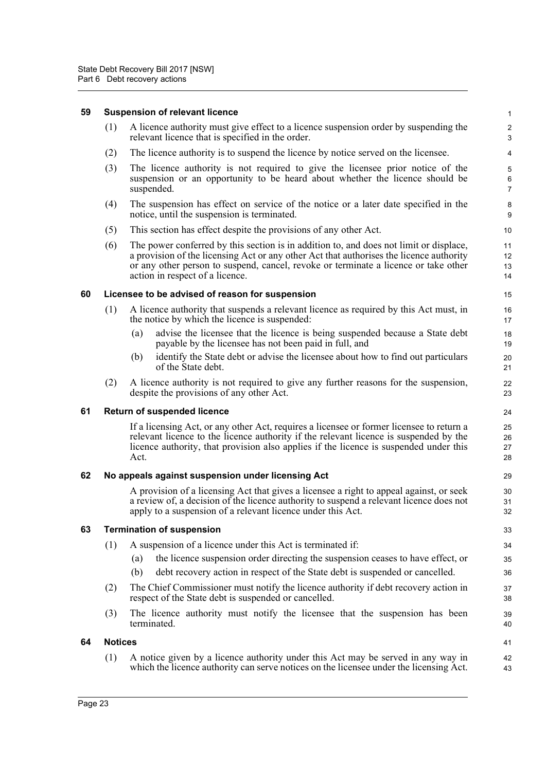| 59 |                                                         | <b>Suspension of relevant licence</b>                                                                                                                                                                                                                                                                       | 1                          |  |  |  |  |
|----|---------------------------------------------------------|-------------------------------------------------------------------------------------------------------------------------------------------------------------------------------------------------------------------------------------------------------------------------------------------------------------|----------------------------|--|--|--|--|
|    | (1)                                                     | A licence authority must give effect to a licence suspension order by suspending the<br>relevant licence that is specified in the order.                                                                                                                                                                    | 2<br>3                     |  |  |  |  |
|    | (2)                                                     | The licence authority is to suspend the licence by notice served on the licensee.                                                                                                                                                                                                                           | 4                          |  |  |  |  |
|    | (3)                                                     | The licence authority is not required to give the licensee prior notice of the<br>suspension or an opportunity to be heard about whether the licence should be<br>suspended.                                                                                                                                | 5<br>6<br>$\boldsymbol{7}$ |  |  |  |  |
|    | (4)                                                     | The suspension has effect on service of the notice or a later date specified in the<br>notice, until the suspension is terminated.                                                                                                                                                                          | 8<br>9                     |  |  |  |  |
|    | (5)                                                     | This section has effect despite the provisions of any other Act.                                                                                                                                                                                                                                            | 10                         |  |  |  |  |
|    | (6)                                                     | The power conferred by this section is in addition to, and does not limit or displace,<br>a provision of the licensing Act or any other Act that authorises the licence authority<br>or any other person to suspend, cancel, revoke or terminate a licence or take other<br>action in respect of a licence. | 11<br>12<br>13<br>14       |  |  |  |  |
| 60 |                                                         | Licensee to be advised of reason for suspension                                                                                                                                                                                                                                                             | 15                         |  |  |  |  |
|    | (1)                                                     | A licence authority that suspends a relevant licence as required by this Act must, in<br>the notice by which the licence is suspended:                                                                                                                                                                      | 16<br>17                   |  |  |  |  |
|    |                                                         | advise the licensee that the licence is being suspended because a State debt<br>(a)<br>payable by the licensee has not been paid in full, and                                                                                                                                                               | 18<br>19                   |  |  |  |  |
|    |                                                         | identify the State debt or advise the licensee about how to find out particulars<br>(b)<br>of the State debt.                                                                                                                                                                                               | 20<br>21                   |  |  |  |  |
|    | (2)                                                     | A licence authority is not required to give any further reasons for the suspension,<br>despite the provisions of any other Act.                                                                                                                                                                             | 22<br>23                   |  |  |  |  |
| 61 | <b>Return of suspended licence</b>                      |                                                                                                                                                                                                                                                                                                             |                            |  |  |  |  |
|    |                                                         | If a licensing Act, or any other Act, requires a licensee or former licensee to return a<br>relevant licence to the licence authority if the relevant licence is suspended by the<br>licence authority, that provision also applies if the licence is suspended under this<br>Act.                          | 25<br>26<br>27<br>28       |  |  |  |  |
| 62 | No appeals against suspension under licensing Act<br>29 |                                                                                                                                                                                                                                                                                                             |                            |  |  |  |  |
|    |                                                         | A provision of a licensing Act that gives a licensee a right to appeal against, or seek<br>a review of, a decision of the licence authority to suspend a relevant licence does not<br>apply to a suspension of a relevant licence under this Act.                                                           | 30<br>31<br>32             |  |  |  |  |
| 63 |                                                         | <b>Termination of suspension</b>                                                                                                                                                                                                                                                                            | 33                         |  |  |  |  |
|    | (1)                                                     | A suspension of a licence under this Act is terminated if:                                                                                                                                                                                                                                                  | 34                         |  |  |  |  |
|    |                                                         | the licence suspension order directing the suspension ceases to have effect, or<br>(a)                                                                                                                                                                                                                      | 35                         |  |  |  |  |
|    |                                                         | debt recovery action in respect of the State debt is suspended or cancelled.<br>(b)                                                                                                                                                                                                                         | 36                         |  |  |  |  |
|    | (2)                                                     | The Chief Commissioner must notify the licence authority if debt recovery action in<br>respect of the State debt is suspended or cancelled.                                                                                                                                                                 | 37<br>38                   |  |  |  |  |
|    | (3)                                                     | The licence authority must notify the licensee that the suspension has been<br>terminated.                                                                                                                                                                                                                  | 39<br>40                   |  |  |  |  |
| 64 | <b>Notices</b>                                          |                                                                                                                                                                                                                                                                                                             | 41                         |  |  |  |  |
|    | (1)                                                     | A notice given by a licence authority under this Act may be served in any way in<br>which the licence authority can serve notices on the licensee under the licensing Act.                                                                                                                                  | 42<br>43                   |  |  |  |  |
|    |                                                         |                                                                                                                                                                                                                                                                                                             |                            |  |  |  |  |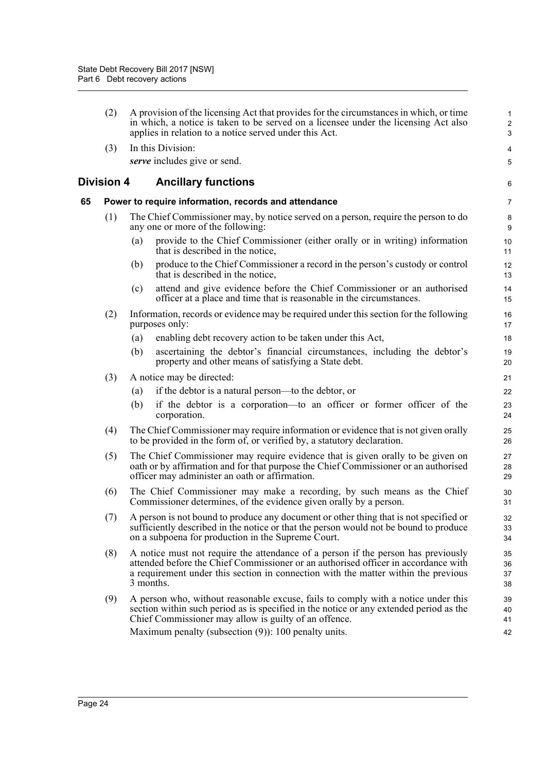|    | (2)               | A provision of the licensing Act that provides for the circumstances in which, or time<br>in which, a notice is taken to be served on a licensee under the licensing Act also<br>applies in relation to a notice served under this Act.                                    | $\mathbf{1}$<br>$\overline{2}$<br>3 |
|----|-------------------|----------------------------------------------------------------------------------------------------------------------------------------------------------------------------------------------------------------------------------------------------------------------------|-------------------------------------|
|    | (3)               | In this Division:                                                                                                                                                                                                                                                          | 4                                   |
|    |                   | serve includes give or send.                                                                                                                                                                                                                                               | 5                                   |
|    | <b>Division 4</b> | <b>Ancillary functions</b>                                                                                                                                                                                                                                                 | 6                                   |
| 65 |                   | Power to require information, records and attendance                                                                                                                                                                                                                       | 7                                   |
|    | (1)               | The Chief Commissioner may, by notice served on a person, require the person to do<br>any one or more of the following:                                                                                                                                                    | 8<br>9                              |
|    |                   | provide to the Chief Commissioner (either orally or in writing) information<br>(a)<br>that is described in the notice,                                                                                                                                                     | 10<br>11                            |
|    |                   | produce to the Chief Commissioner a record in the person's custody or control<br>(b)<br>that is described in the notice,                                                                                                                                                   | 12<br>13                            |
|    |                   | attend and give evidence before the Chief Commissioner or an authorised<br>(c)<br>officer at a place and time that is reasonable in the circumstances.                                                                                                                     | 14<br>15                            |
|    | (2)               | Information, records or evidence may be required under this section for the following<br>purposes only:                                                                                                                                                                    | 16<br>17                            |
|    |                   | enabling debt recovery action to be taken under this Act,<br>(a)                                                                                                                                                                                                           | 18                                  |
|    |                   | (b)<br>ascertaining the debtor's financial circumstances, including the debtor's<br>property and other means of satisfying a State debt.                                                                                                                                   | 19<br>20                            |
|    | (3)               | A notice may be directed:                                                                                                                                                                                                                                                  | 21                                  |
|    |                   | if the debtor is a natural person—to the debtor, or<br>(a)                                                                                                                                                                                                                 | 22                                  |
|    |                   | if the debtor is a corporation—to an officer or former officer of the<br>(b)<br>corporation.                                                                                                                                                                               | 23<br>24                            |
|    | (4)               | The Chief Commissioner may require information or evidence that is not given orally<br>to be provided in the form of, or verified by, a statutory declaration.                                                                                                             | 25<br>26                            |
|    | (5)               | The Chief Commissioner may require evidence that is given orally to be given on<br>oath or by affirmation and for that purpose the Chief Commissioner or an authorised<br>officer may administer an oath or affirmation.                                                   | 27<br>28<br>29                      |
|    | (6)               | The Chief Commissioner may make a recording, by such means as the Chief<br>Commissioner determines, of the evidence given orally by a person.                                                                                                                              | 30<br>31                            |
|    | (7)               | A person is not bound to produce any document or other thing that is not specified or<br>sufficiently described in the notice or that the person would not be bound to produce<br>on a subpoena for production in the Supreme Court.                                       | 32<br>33<br>34                      |
|    | (8)               | A notice must not require the attendance of a person if the person has previously<br>attended before the Chief Commissioner or an authorised officer in accordance with<br>a requirement under this section in connection with the matter within the previous<br>3 months. | 35<br>36<br>37<br>38                |
|    | (9)               | A person who, without reasonable excuse, fails to comply with a notice under this<br>section within such period as is specified in the notice or any extended period as the<br>Chief Commissioner may allow is guilty of an offence.                                       | 39<br>40<br>41                      |
|    |                   | Maximum penalty (subsection (9)): 100 penalty units.                                                                                                                                                                                                                       | 42                                  |
|    |                   |                                                                                                                                                                                                                                                                            |                                     |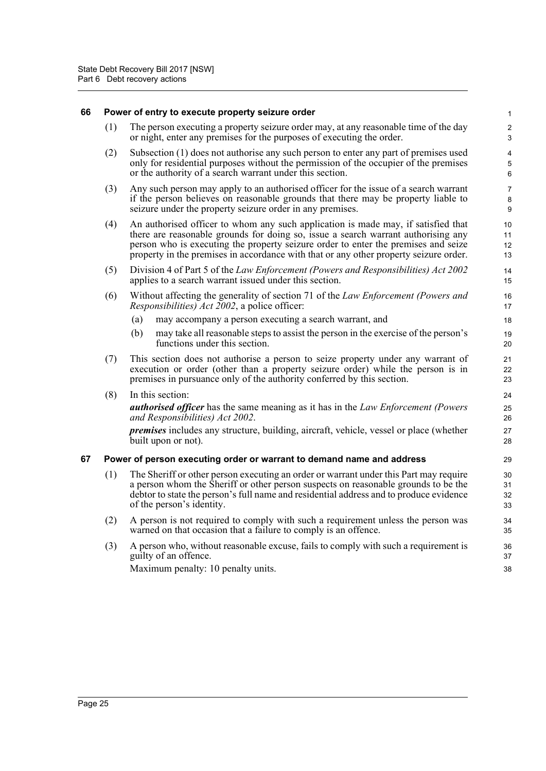| 66 | Power of entry to execute property seizure order |                                                                                                                                                                                                                                                                                                                                                       |                              |  |  |  |  |
|----|--------------------------------------------------|-------------------------------------------------------------------------------------------------------------------------------------------------------------------------------------------------------------------------------------------------------------------------------------------------------------------------------------------------------|------------------------------|--|--|--|--|
|    | (1)                                              | The person executing a property seizure order may, at any reasonable time of the day<br>or night, enter any premises for the purposes of executing the order.                                                                                                                                                                                         | $\overline{\mathbf{c}}$<br>3 |  |  |  |  |
|    | (2)                                              | Subsection (1) does not authorise any such person to enter any part of premises used<br>only for residential purposes without the permission of the occupier of the premises<br>or the authority of a search warrant under this section.                                                                                                              | 4<br>5<br>6                  |  |  |  |  |
|    | (3)                                              | Any such person may apply to an authorised officer for the issue of a search warrant<br>if the person believes on reasonable grounds that there may be property liable to<br>seizure under the property seizure order in any premises.                                                                                                                | 7<br>8<br>9                  |  |  |  |  |
|    | (4)                                              | An authorised officer to whom any such application is made may, if satisfied that<br>there are reasonable grounds for doing so, issue a search warrant authorising any<br>person who is executing the property seizure order to enter the premises and seize<br>property in the premises in accordance with that or any other property seizure order. | 10<br>11<br>12<br>13         |  |  |  |  |
|    | (5)                                              | Division 4 of Part 5 of the Law Enforcement (Powers and Responsibilities) Act 2002<br>applies to a search warrant issued under this section.                                                                                                                                                                                                          | 14<br>15                     |  |  |  |  |
|    | (6)                                              | Without affecting the generality of section 71 of the Law Enforcement (Powers and<br><i>Responsibilities) Act 2002</i> , a police officer:                                                                                                                                                                                                            | 16<br>17                     |  |  |  |  |
|    |                                                  | may accompany a person executing a search warrant, and<br>(a)                                                                                                                                                                                                                                                                                         | 18                           |  |  |  |  |
|    |                                                  | (b)<br>may take all reasonable steps to assist the person in the exercise of the person's<br>functions under this section.                                                                                                                                                                                                                            | 19<br>20                     |  |  |  |  |
|    | (7)                                              | This section does not authorise a person to seize property under any warrant of<br>execution or order (other than a property seizure order) while the person is in<br>premises in pursuance only of the authority conferred by this section.                                                                                                          | 21<br>22<br>23               |  |  |  |  |
|    | (8)                                              | In this section:                                                                                                                                                                                                                                                                                                                                      | 24                           |  |  |  |  |
|    |                                                  | <b>authorised officer</b> has the same meaning as it has in the Law Enforcement (Powers<br>and Responsibilities) Act 2002.                                                                                                                                                                                                                            | 25<br>26                     |  |  |  |  |
|    |                                                  | <i>premises</i> includes any structure, building, aircraft, vehicle, vessel or place (whether<br>built upon or not).                                                                                                                                                                                                                                  | 27<br>28                     |  |  |  |  |
| 67 |                                                  | Power of person executing order or warrant to demand name and address                                                                                                                                                                                                                                                                                 | 29                           |  |  |  |  |
|    | (1)                                              | The Sheriff or other person executing an order or warrant under this Part may require<br>a person whom the Sheriff or other person suspects on reasonable grounds to be the<br>debtor to state the person's full name and residential address and to produce evidence<br>of the person's identity.                                                    | 30<br>31<br>32<br>33         |  |  |  |  |
|    | (2)                                              | A person is not required to comply with such a requirement unless the person was<br>warned on that occasion that a failure to comply is an offence.                                                                                                                                                                                                   | 34<br>35                     |  |  |  |  |
|    | (3)                                              | A person who, without reasonable excuse, fails to comply with such a requirement is<br>guilty of an offence.                                                                                                                                                                                                                                          | 36<br>37                     |  |  |  |  |
|    |                                                  | Maximum penalty: 10 penalty units.                                                                                                                                                                                                                                                                                                                    | 38                           |  |  |  |  |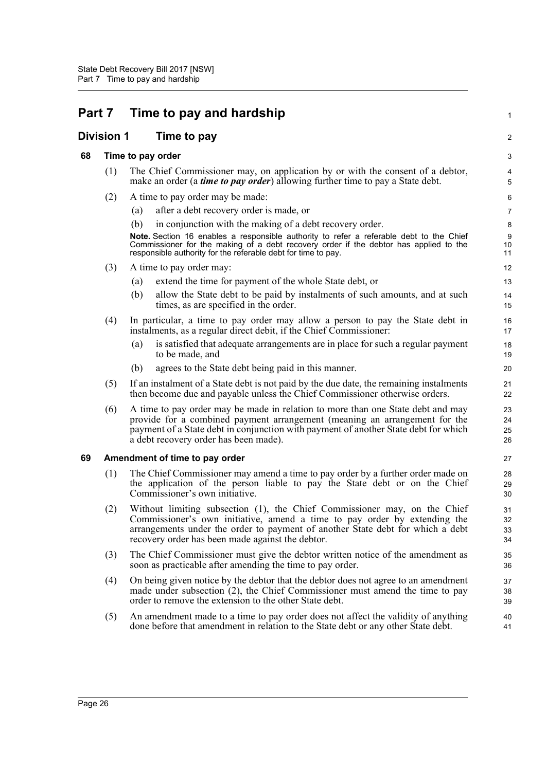| <b>Part 7</b> |                   | Time to pay and hardship |                                                                                                                                                                                                                                                                                               |                      |  |
|---------------|-------------------|--------------------------|-----------------------------------------------------------------------------------------------------------------------------------------------------------------------------------------------------------------------------------------------------------------------------------------------|----------------------|--|
|               | <b>Division 1</b> | Time to pay              |                                                                                                                                                                                                                                                                                               | 2                    |  |
| 68            |                   |                          | Time to pay order                                                                                                                                                                                                                                                                             | 3                    |  |
|               | (1)               |                          | The Chief Commissioner may, on application by or with the consent of a debtor,<br>make an order (a <i>time to pay order</i> ) allowing further time to pay a State debt.                                                                                                                      | 4<br>5               |  |
|               | (2)               |                          | A time to pay order may be made:                                                                                                                                                                                                                                                              | 6                    |  |
|               |                   | (a)                      | after a debt recovery order is made, or                                                                                                                                                                                                                                                       | $\overline{7}$       |  |
|               |                   | (b)                      | in conjunction with the making of a debt recovery order.                                                                                                                                                                                                                                      | 8                    |  |
|               |                   |                          | Note. Section 16 enables a responsible authority to refer a referable debt to the Chief<br>Commissioner for the making of a debt recovery order if the debtor has applied to the<br>responsible authority for the referable debt for time to pay.                                             | 9<br>10<br>11        |  |
|               | (3)               |                          | A time to pay order may:                                                                                                                                                                                                                                                                      | 12                   |  |
|               |                   | (a)                      | extend the time for payment of the whole State debt, or                                                                                                                                                                                                                                       | 13                   |  |
|               |                   | (b)                      | allow the State debt to be paid by instalments of such amounts, and at such<br>times, as are specified in the order.                                                                                                                                                                          | 14<br>15             |  |
|               | (4)               |                          | In particular, a time to pay order may allow a person to pay the State debt in<br>instalments, as a regular direct debit, if the Chief Commissioner:                                                                                                                                          | 16<br>17             |  |
|               |                   | (a)                      | is satisfied that adequate arrangements are in place for such a regular payment<br>to be made, and                                                                                                                                                                                            | 18<br>19             |  |
|               |                   | (b)                      | agrees to the State debt being paid in this manner.                                                                                                                                                                                                                                           | 20                   |  |
|               | (5)               |                          | If an instalment of a State debt is not paid by the due date, the remaining instalments<br>then become due and payable unless the Chief Commissioner otherwise orders.                                                                                                                        | 21<br>22             |  |
|               | (6)               |                          | A time to pay order may be made in relation to more than one State debt and may<br>provide for a combined payment arrangement (meaning an arrangement for the<br>payment of a State debt in conjunction with payment of another State debt for which<br>a debt recovery order has been made). | 23<br>24<br>25<br>26 |  |
| 69            |                   |                          | Amendment of time to pay order                                                                                                                                                                                                                                                                | 27                   |  |
|               | (1)               |                          | The Chief Commissioner may amend a time to pay order by a further order made on<br>the application of the person liable to pay the State debt or on the Chief<br>Commissioner's own initiative.                                                                                               | 28<br>29<br>30       |  |
|               | (2)               |                          | Without limiting subsection (1), the Chief Commissioner may, on the Chief<br>Commissioner's own initiative, amend a time to pay order by extending the<br>arrangements under the order to payment of another State debt for which a debt<br>recovery order has been made against the debtor.  | 31<br>32<br>33<br>34 |  |
|               | (3)               |                          | The Chief Commissioner must give the debtor written notice of the amendment as<br>soon as practicable after amending the time to pay order.                                                                                                                                                   | 35<br>36             |  |
|               | (4)               |                          | On being given notice by the debtor that the debtor does not agree to an amendment<br>made under subsection (2), the Chief Commissioner must amend the time to pay<br>order to remove the extension to the other State debt.                                                                  | 37<br>38<br>39       |  |
|               | (5)               |                          | An amendment made to a time to pay order does not affect the validity of anything<br>done before that amendment in relation to the State debt or any other State debt.                                                                                                                        | 40<br>41             |  |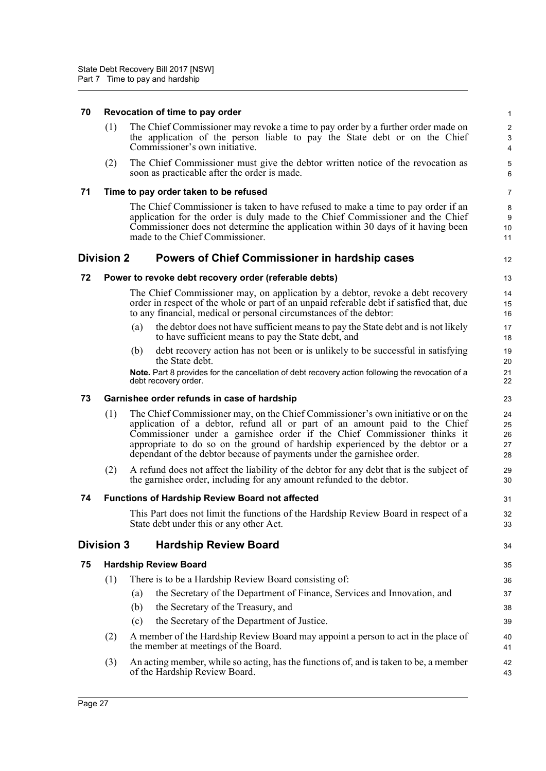#### **70 Revocation of time to pay order**

(1) The Chief Commissioner may revoke a time to pay order by a further order made on the application of the person liable to pay the State debt or on the Chief Commissioner's own initiative.

12

31 32 33

34

(2) The Chief Commissioner must give the debtor written notice of the revocation as soon as practicable after the order is made.

#### **71 Time to pay order taken to be refused**

The Chief Commissioner is taken to have refused to make a time to pay order if an application for the order is duly made to the Chief Commissioner and the Chief Commissioner does not determine the application within 30 days of it having been made to the Chief Commissioner.

### **Division 2 Powers of Chief Commissioner in hardship cases**

#### **72 Power to revoke debt recovery order (referable debts)**

The Chief Commissioner may, on application by a debtor, revoke a debt recovery order in respect of the whole or part of an unpaid referable debt if satisfied that, due to any financial, medical or personal circumstances of the debtor:

- (a) the debtor does not have sufficient means to pay the State debt and is not likely to have sufficient means to pay the State debt, and
- (b) debt recovery action has not been or is unlikely to be successful in satisfying the State debt.

**Note.** Part 8 provides for the cancellation of debt recovery action following the revocation of a debt recovery order.

### **73 Garnishee order refunds in case of hardship**

- (1) The Chief Commissioner may, on the Chief Commissioner's own initiative or on the application of a debtor, refund all or part of an amount paid to the Chief Commissioner under a garnishee order if the Chief Commissioner thinks it appropriate to do so on the ground of hardship experienced by the debtor or a dependant of the debtor because of payments under the garnishee order.
- (2) A refund does not affect the liability of the debtor for any debt that is the subject of the garnishee order, including for any amount refunded to the debtor.

### **74 Functions of Hardship Review Board not affected**

This Part does not limit the functions of the Hardship Review Board in respect of a State debt under this or any other Act.

# **Division 3 Hardship Review Board**

### **75 Hardship Review Board**

- (1) There is to be a Hardship Review Board consisting of:
	- (a) the Secretary of the Department of Finance, Services and Innovation, and
	- (b) the Secretary of the Treasury, and
	- (c) the Secretary of the Department of Justice.
- (2) A member of the Hardship Review Board may appoint a person to act in the place of the member at meetings of the Board.
- (3) An acting member, while so acting, has the functions of, and is taken to be, a member of the Hardship Review Board.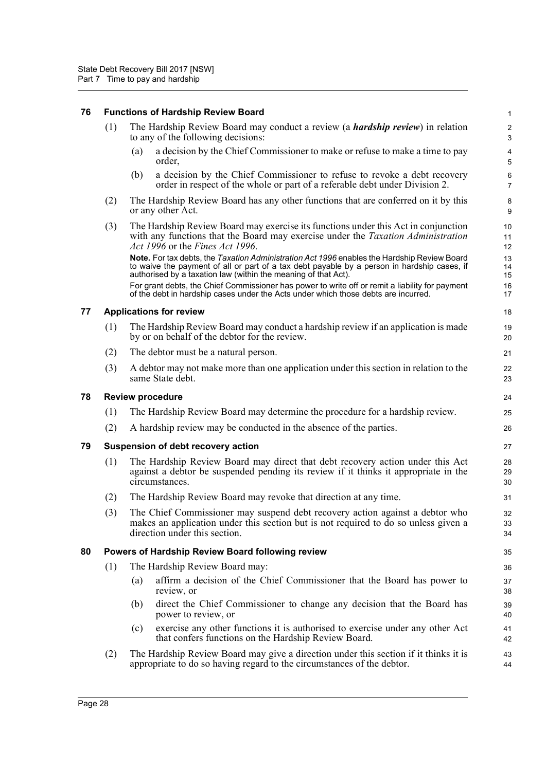# **76 Functions of Hardship Review Board**

|    | (1) | The Hardship Review Board may conduct a review (a <i>hardship review</i> ) in relation<br>to any of the following decisions:                                                                                                                                                                                                                                    | 2<br>$\mathbf{3}$    |
|----|-----|-----------------------------------------------------------------------------------------------------------------------------------------------------------------------------------------------------------------------------------------------------------------------------------------------------------------------------------------------------------------|----------------------|
|    |     | a decision by the Chief Commissioner to make or refuse to make a time to pay<br>(a)<br>order,                                                                                                                                                                                                                                                                   | 4<br>5               |
|    |     | a decision by the Chief Commissioner to refuse to revoke a debt recovery<br>(b)<br>order in respect of the whole or part of a referable debt under Division 2.                                                                                                                                                                                                  | 6<br>$\overline{7}$  |
|    | (2) | The Hardship Review Board has any other functions that are conferred on it by this<br>or any other Act.                                                                                                                                                                                                                                                         | 8<br>9               |
|    | (3) | The Hardship Review Board may exercise its functions under this Act in conjunction<br>with any functions that the Board may exercise under the <i>Taxation Administration</i><br>Act 1996 or the Fines Act 1996.                                                                                                                                                | 10<br>11<br>12       |
|    |     | Note. For tax debts, the Taxation Administration Act 1996 enables the Hardship Review Board<br>to waive the payment of all or part of a tax debt payable by a person in hardship cases, if<br>authorised by a taxation law (within the meaning of that Act).<br>For grant debts, the Chief Commissioner has power to write off or remit a liability for payment | 13<br>14<br>15<br>16 |
|    |     | of the debt in hardship cases under the Acts under which those debts are incurred.                                                                                                                                                                                                                                                                              | 17                   |
| 77 |     | <b>Applications for review</b>                                                                                                                                                                                                                                                                                                                                  | 18                   |
|    | (1) | The Hardship Review Board may conduct a hardship review if an application is made<br>by or on behalf of the debtor for the review.                                                                                                                                                                                                                              | 19<br>20             |
|    | (2) | The debtor must be a natural person.                                                                                                                                                                                                                                                                                                                            | 21                   |
|    | (3) | A debtor may not make more than one application under this section in relation to the<br>same State debt.                                                                                                                                                                                                                                                       | 22<br>23             |
| 78 |     | <b>Review procedure</b>                                                                                                                                                                                                                                                                                                                                         | 24                   |
|    | (1) | The Hardship Review Board may determine the procedure for a hardship review.                                                                                                                                                                                                                                                                                    | 25                   |
|    | (2) | A hardship review may be conducted in the absence of the parties.                                                                                                                                                                                                                                                                                               | 26                   |
| 79 |     | Suspension of debt recovery action                                                                                                                                                                                                                                                                                                                              | 27                   |
|    | (1) | The Hardship Review Board may direct that debt recovery action under this Act<br>against a debtor be suspended pending its review if it thinks it appropriate in the<br>circumstances.                                                                                                                                                                          | 28<br>29<br>30       |
|    | (2) | The Hardship Review Board may revoke that direction at any time.                                                                                                                                                                                                                                                                                                | 31                   |
|    | (3) | The Chief Commissioner may suspend debt recovery action against a debtor who<br>makes an application under this section but is not required to do so unless given a<br>direction under this section.                                                                                                                                                            | 32<br>33<br>34       |
| 80 |     | Powers of Hardship Review Board following review                                                                                                                                                                                                                                                                                                                | 35                   |
|    | (1) | The Hardship Review Board may:                                                                                                                                                                                                                                                                                                                                  | 36                   |
|    |     | affirm a decision of the Chief Commissioner that the Board has power to<br>(a)<br>review, or                                                                                                                                                                                                                                                                    | 37<br>38             |
|    |     | direct the Chief Commissioner to change any decision that the Board has<br>(b)<br>power to review, or                                                                                                                                                                                                                                                           | 39<br>40             |
|    |     | exercise any other functions it is authorised to exercise under any other Act<br>(c)<br>that confers functions on the Hardship Review Board.                                                                                                                                                                                                                    | 41<br>42             |
|    | (2) | The Hardship Review Board may give a direction under this section if it thinks it is<br>appropriate to do so having regard to the circumstances of the debtor.                                                                                                                                                                                                  | 43<br>44             |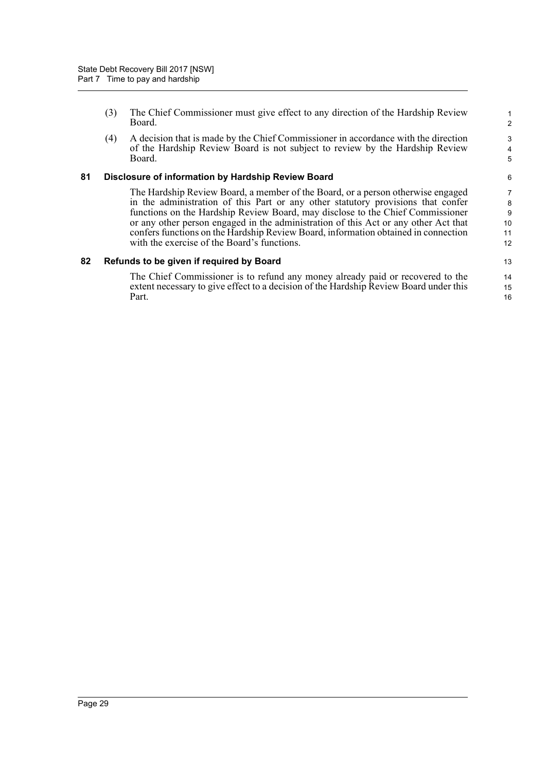(3) The Chief Commissioner must give effect to any direction of the Hardship Review Board.

(4) A decision that is made by the Chief Commissioner in accordance with the direction of the Hardship Review Board is not subject to review by the Hardship Review Board.

#### **81 Disclosure of information by Hardship Review Board**

The Hardship Review Board, a member of the Board, or a person otherwise engaged in the administration of this Part or any other statutory provisions that confer functions on the Hardship Review Board, may disclose to the Chief Commissioner or any other person engaged in the administration of this Act or any other Act that confers functions on the Hardship Review Board, information obtained in connection with the exercise of the Board's functions.

### **82 Refunds to be given if required by Board**

The Chief Commissioner is to refund any money already paid or recovered to the extent necessary to give effect to a decision of the Hardship Review Board under this Part.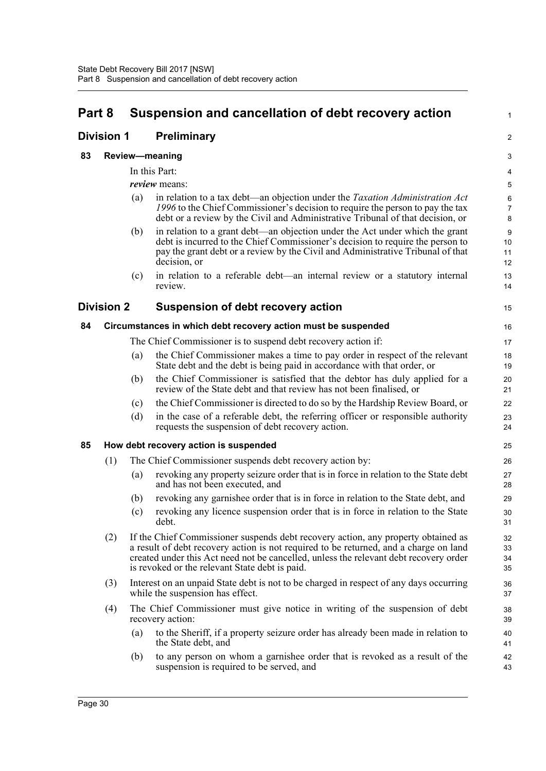# **Part 8 Suspension and cancellation of debt recovery action**

| Part 8<br><b>Division 1</b> |                   | Suspension and cancellation of debt recovery action |                                                                                                                                                                                                                                                                                                                       |                          |  |  |
|-----------------------------|-------------------|-----------------------------------------------------|-----------------------------------------------------------------------------------------------------------------------------------------------------------------------------------------------------------------------------------------------------------------------------------------------------------------------|--------------------------|--|--|
|                             |                   | <b>Preliminary</b>                                  |                                                                                                                                                                                                                                                                                                                       |                          |  |  |
| 83                          |                   |                                                     | <b>Review-meaning</b>                                                                                                                                                                                                                                                                                                 | 3                        |  |  |
|                             |                   |                                                     | In this Part:                                                                                                                                                                                                                                                                                                         | 4                        |  |  |
|                             |                   |                                                     | <i>review</i> means:                                                                                                                                                                                                                                                                                                  | 5                        |  |  |
|                             |                   | (a)                                                 | in relation to a tax debt—an objection under the Taxation Administration Act<br>1996 to the Chief Commissioner's decision to require the person to pay the tax<br>debt or a review by the Civil and Administrative Tribunal of that decision, or                                                                      | 6<br>$\overline{7}$<br>8 |  |  |
|                             |                   | (b)                                                 | in relation to a grant debt-an objection under the Act under which the grant<br>debt is incurred to the Chief Commissioner's decision to require the person to<br>pay the grant debt or a review by the Civil and Administrative Tribunal of that<br>decision, or                                                     | 9<br>10<br>11<br>12      |  |  |
|                             |                   | (c)                                                 | in relation to a referable debt—an internal review or a statutory internal<br>review.                                                                                                                                                                                                                                 | 13<br>14                 |  |  |
|                             | <b>Division 2</b> |                                                     | <b>Suspension of debt recovery action</b>                                                                                                                                                                                                                                                                             | 15                       |  |  |
| 84                          |                   |                                                     | Circumstances in which debt recovery action must be suspended                                                                                                                                                                                                                                                         | 16                       |  |  |
|                             |                   |                                                     | The Chief Commissioner is to suspend debt recovery action if:                                                                                                                                                                                                                                                         | 17                       |  |  |
|                             |                   | (a)                                                 | the Chief Commissioner makes a time to pay order in respect of the relevant<br>State debt and the debt is being paid in accordance with that order, or                                                                                                                                                                | 18<br>19                 |  |  |
|                             |                   | (b)                                                 | the Chief Commissioner is satisfied that the debtor has duly applied for a<br>review of the State debt and that review has not been finalised, or                                                                                                                                                                     | 20<br>21                 |  |  |
|                             |                   | (c)                                                 | the Chief Commissioner is directed to do so by the Hardship Review Board, or                                                                                                                                                                                                                                          | 22                       |  |  |
|                             |                   | (d)                                                 | in the case of a referable debt, the referring officer or responsible authority<br>requests the suspension of debt recovery action.                                                                                                                                                                                   | 23<br>24                 |  |  |
| 85                          |                   |                                                     | How debt recovery action is suspended                                                                                                                                                                                                                                                                                 | 25                       |  |  |
|                             | (1)               |                                                     | The Chief Commissioner suspends debt recovery action by:                                                                                                                                                                                                                                                              | 26                       |  |  |
|                             |                   | (a)                                                 | revoking any property seizure order that is in force in relation to the State debt<br>and has not been executed, and                                                                                                                                                                                                  | 27<br>28                 |  |  |
|                             |                   | (b)                                                 | revoking any garnishee order that is in force in relation to the State debt, and                                                                                                                                                                                                                                      | 29                       |  |  |
|                             |                   | (c)                                                 | revoking any licence suspension order that is in force in relation to the State<br>debt.                                                                                                                                                                                                                              | 30<br>31                 |  |  |
|                             | (2)               |                                                     | If the Chief Commissioner suspends debt recovery action, any property obtained as<br>a result of debt recovery action is not required to be returned, and a charge on land<br>created under this Act need not be cancelled, unless the relevant debt recovery order<br>is revoked or the relevant State debt is paid. | 32<br>33<br>34<br>35     |  |  |
|                             | (3)               |                                                     | Interest on an unpaid State debt is not to be charged in respect of any days occurring<br>while the suspension has effect.                                                                                                                                                                                            | 36<br>37                 |  |  |
|                             | (4)               |                                                     | The Chief Commissioner must give notice in writing of the suspension of debt<br>recovery action:                                                                                                                                                                                                                      | 38<br>39                 |  |  |
|                             |                   | (a)                                                 | to the Sheriff, if a property seizure order has already been made in relation to<br>the State debt, and                                                                                                                                                                                                               | 40<br>41                 |  |  |
|                             |                   | (b)                                                 | to any person on whom a garnishee order that is revoked as a result of the<br>suspension is required to be served, and                                                                                                                                                                                                | 42<br>43                 |  |  |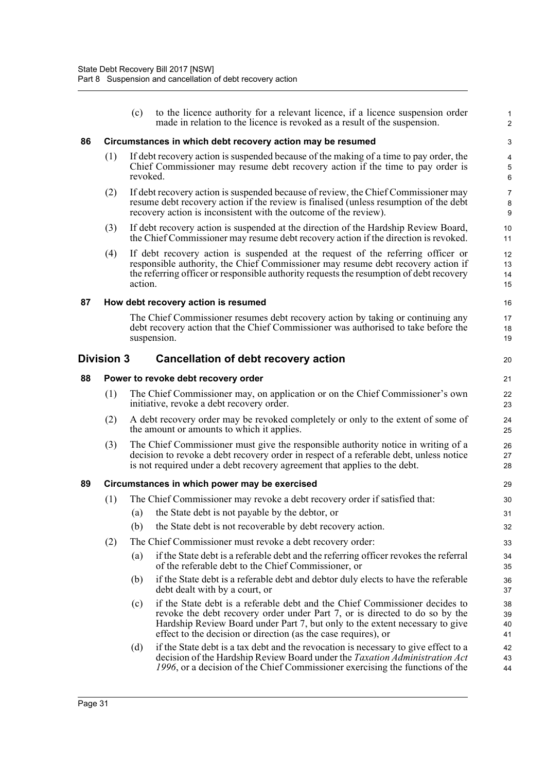|    |                                                            | (c)      | to the licence authority for a relevant licence, if a licence suspension order<br>made in relation to the licence is revoked as a result of the suspension.                                                                                                                                                  | $\mathbf{1}$<br>2                          |  |  |  |
|----|------------------------------------------------------------|----------|--------------------------------------------------------------------------------------------------------------------------------------------------------------------------------------------------------------------------------------------------------------------------------------------------------------|--------------------------------------------|--|--|--|
| 86 | Circumstances in which debt recovery action may be resumed |          |                                                                                                                                                                                                                                                                                                              |                                            |  |  |  |
|    | (1)                                                        | revoked. | If debt recovery action is suspended because of the making of a time to pay order, the<br>Chief Commissioner may resume debt recovery action if the time to pay order is                                                                                                                                     | $\overline{\mathbf{4}}$<br>$\sqrt{5}$<br>6 |  |  |  |
|    | (2)                                                        |          | If debt recovery action is suspended because of review, the Chief Commissioner may<br>resume debt recovery action if the review is finalised (unless resumption of the debt<br>recovery action is inconsistent with the outcome of the review).                                                              | 7<br>8<br>$\boldsymbol{9}$                 |  |  |  |
|    | (3)                                                        |          | If debt recovery action is suspended at the direction of the Hardship Review Board,<br>the Chief Commissioner may resume debt recovery action if the direction is revoked.                                                                                                                                   | 10<br>11                                   |  |  |  |
|    | (4)                                                        | action.  | If debt recovery action is suspended at the request of the referring officer or<br>responsible authority, the Chief Commissioner may resume debt recovery action if<br>the referring officer or responsible authority requests the resumption of debt recovery                                               | 12<br>13<br>14<br>15                       |  |  |  |
| 87 |                                                            |          | How debt recovery action is resumed                                                                                                                                                                                                                                                                          | 16                                         |  |  |  |
|    |                                                            |          | The Chief Commissioner resumes debt recovery action by taking or continuing any<br>debt recovery action that the Chief Commissioner was authorised to take before the<br>suspension.                                                                                                                         | 17<br>18<br>19                             |  |  |  |
|    | <b>Division 3</b>                                          |          | <b>Cancellation of debt recovery action</b>                                                                                                                                                                                                                                                                  | 20                                         |  |  |  |
| 88 |                                                            |          | Power to revoke debt recovery order                                                                                                                                                                                                                                                                          | 21                                         |  |  |  |
|    | (1)                                                        |          | The Chief Commissioner may, on application or on the Chief Commissioner's own<br>initiative, revoke a debt recovery order.                                                                                                                                                                                   | 22<br>23                                   |  |  |  |
|    | (2)                                                        |          | A debt recovery order may be revoked completely or only to the extent of some of<br>the amount or amounts to which it applies.                                                                                                                                                                               | 24<br>25                                   |  |  |  |
|    | (3)                                                        |          | The Chief Commissioner must give the responsible authority notice in writing of a<br>decision to revoke a debt recovery order in respect of a referable debt, unless notice<br>is not required under a debt recovery agreement that applies to the debt.                                                     | 26<br>27<br>28                             |  |  |  |
| 89 |                                                            |          | Circumstances in which power may be exercised                                                                                                                                                                                                                                                                | 29                                         |  |  |  |
|    | (1)                                                        |          | The Chief Commissioner may revoke a debt recovery order if satisfied that:                                                                                                                                                                                                                                   | 30                                         |  |  |  |
|    |                                                            |          | (a) the State debt is not payable by the debtor, or                                                                                                                                                                                                                                                          | 31                                         |  |  |  |
|    |                                                            | (b)      | the State debt is not recoverable by debt recovery action.                                                                                                                                                                                                                                                   | 32                                         |  |  |  |
|    | (2)                                                        |          | The Chief Commissioner must revoke a debt recovery order:                                                                                                                                                                                                                                                    | 33                                         |  |  |  |
|    |                                                            | (a)      | if the State debt is a referable debt and the referring officer revokes the referral<br>of the referable debt to the Chief Commissioner, or                                                                                                                                                                  | 34<br>35                                   |  |  |  |
|    |                                                            | (b)      | if the State debt is a referable debt and debtor duly elects to have the referable<br>debt dealt with by a court, or                                                                                                                                                                                         | 36<br>37                                   |  |  |  |
|    |                                                            | (c)      | if the State debt is a referable debt and the Chief Commissioner decides to<br>revoke the debt recovery order under Part 7, or is directed to do so by the<br>Hardship Review Board under Part 7, but only to the extent necessary to give<br>effect to the decision or direction (as the case requires), or | 38<br>39<br>40<br>41                       |  |  |  |
|    |                                                            | (d)      | if the State debt is a tax debt and the revocation is necessary to give effect to a<br>decision of the Hardship Review Board under the Taxation Administration Act<br>1996, or a decision of the Chief Commissioner exercising the functions of the                                                          | 42<br>43<br>44                             |  |  |  |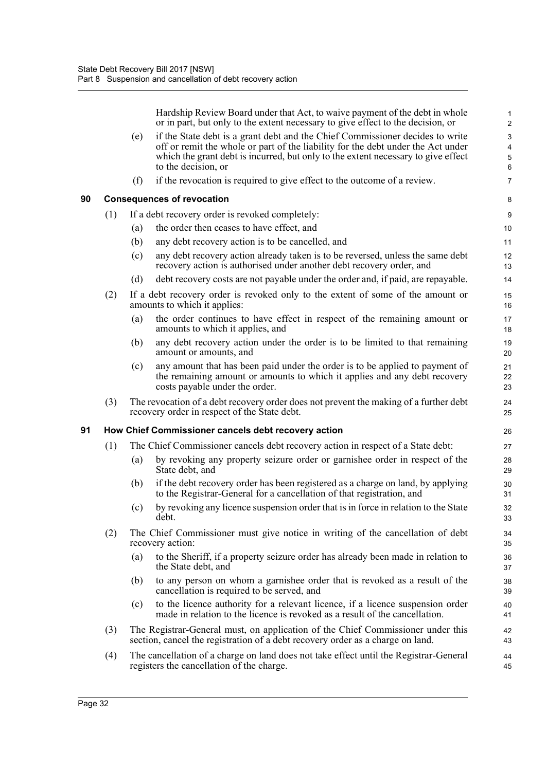Hardship Review Board under that Act, to waive payment of the debt in whole or in part, but only to the extent necessary to give effect to the decision, or

|    |     |     | or in part, but only to the extent necessary to give effect to the decision, or                                                                                                                                                                                               | $\overline{\mathbf{c}}$ |
|----|-----|-----|-------------------------------------------------------------------------------------------------------------------------------------------------------------------------------------------------------------------------------------------------------------------------------|-------------------------|
|    |     | (e) | if the State debt is a grant debt and the Chief Commissioner decides to write<br>off or remit the whole or part of the liability for the debt under the Act under<br>which the grant debt is incurred, but only to the extent necessary to give effect<br>to the decision, or | 3<br>4<br>5<br>6        |
|    |     | (f) | if the revocation is required to give effect to the outcome of a review.                                                                                                                                                                                                      | 7                       |
| 90 |     |     | <b>Consequences of revocation</b>                                                                                                                                                                                                                                             | 8                       |
|    | (1) |     | If a debt recovery order is revoked completely:                                                                                                                                                                                                                               | 9                       |
|    |     | (a) | the order then ceases to have effect, and                                                                                                                                                                                                                                     | 10                      |
|    |     | (b) | any debt recovery action is to be cancelled, and                                                                                                                                                                                                                              | 11                      |
|    |     | (c) | any debt recovery action already taken is to be reversed, unless the same debt<br>recovery action is authorised under another debt recovery order, and                                                                                                                        | 12<br>13                |
|    |     | (d) | debt recovery costs are not payable under the order and, if paid, are repayable.                                                                                                                                                                                              | 14                      |
|    | (2) |     | If a debt recovery order is revoked only to the extent of some of the amount or<br>amounts to which it applies:                                                                                                                                                               | 15<br>16                |
|    |     | (a) | the order continues to have effect in respect of the remaining amount or<br>amounts to which it applies, and                                                                                                                                                                  | 17<br>18                |
|    |     | (b) | any debt recovery action under the order is to be limited to that remaining<br>amount or amounts, and                                                                                                                                                                         | 19<br>20                |
|    |     | (c) | any amount that has been paid under the order is to be applied to payment of<br>the remaining amount or amounts to which it applies and any debt recovery<br>costs payable under the order.                                                                                   | 21<br>22<br>23          |
|    | (3) |     | The revocation of a debt recovery order does not prevent the making of a further debt<br>recovery order in respect of the State debt.                                                                                                                                         | 24<br>25                |
| 91 |     |     | How Chief Commissioner cancels debt recovery action                                                                                                                                                                                                                           | 26                      |
|    | (1) |     | The Chief Commissioner cancels debt recovery action in respect of a State debt:                                                                                                                                                                                               | 27                      |
|    |     | (a) | by revoking any property seizure order or garnishee order in respect of the<br>State debt, and                                                                                                                                                                                | 28<br>29                |
|    |     | (b) | if the debt recovery order has been registered as a charge on land, by applying<br>to the Registrar-General for a cancellation of that registration, and                                                                                                                      | 30<br>31                |
|    |     | (c) | by revoking any licence suspension order that is in force in relation to the State<br>debt.                                                                                                                                                                                   | 32<br>33                |
|    | (2) |     | The Chief Commissioner must give notice in writing of the cancellation of debt<br>recovery action:                                                                                                                                                                            | 34<br>35                |
|    |     | (a) | to the Sheriff, if a property seizure order has already been made in relation to<br>the State debt, and                                                                                                                                                                       | 36<br>37                |
|    |     | (b) | to any person on whom a garnishee order that is revoked as a result of the<br>cancellation is required to be served, and                                                                                                                                                      | 38<br>39                |
|    |     | (c) | to the licence authority for a relevant licence, if a licence suspension order<br>made in relation to the licence is revoked as a result of the cancellation.                                                                                                                 | 40<br>41                |
|    | (3) |     | The Registrar-General must, on application of the Chief Commissioner under this<br>section, cancel the registration of a debt recovery order as a charge on land.                                                                                                             | 42<br>43                |
|    | (4) |     | The cancellation of a charge on land does not take effect until the Registrar-General<br>registers the cancellation of the charge.                                                                                                                                            | 44<br>45                |
|    |     |     |                                                                                                                                                                                                                                                                               |                         |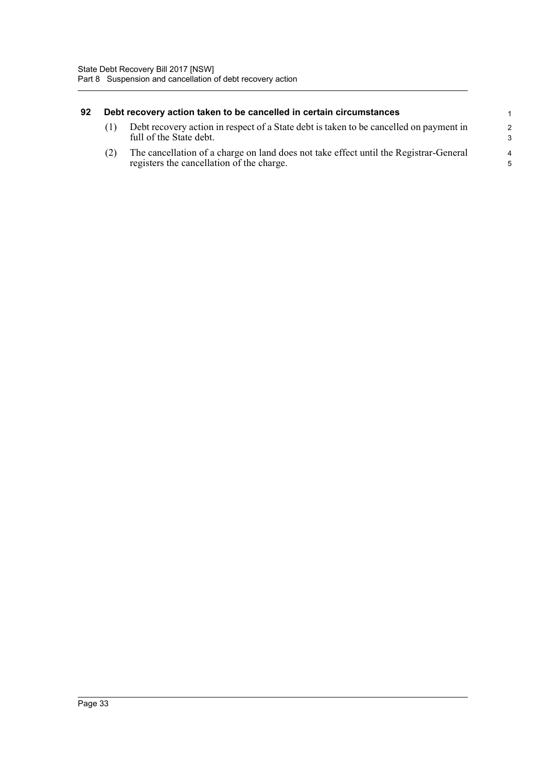| 92 | Debt recovery action taken to be cancelled in certain circumstances |                                                                                                                                    |                      |  |  |
|----|---------------------------------------------------------------------|------------------------------------------------------------------------------------------------------------------------------------|----------------------|--|--|
|    |                                                                     | Debt recovery action in respect of a State debt is taken to be cancelled on payment in<br>full of the State debt.                  | $\overline{2}$<br>-3 |  |  |
|    |                                                                     | The cancellation of a charge on land does not take effect until the Registrar-General<br>registers the cancellation of the charge. | $\overline{4}$<br>.5 |  |  |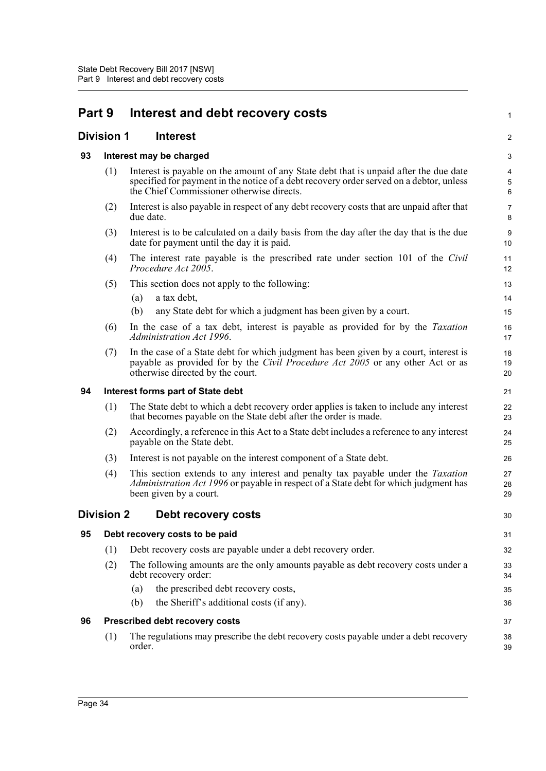| Part 9 |                   | Interest and debt recovery costs                                                                                                                                                                                              | 1                                  |
|--------|-------------------|-------------------------------------------------------------------------------------------------------------------------------------------------------------------------------------------------------------------------------|------------------------------------|
|        | <b>Division 1</b> | <b>Interest</b>                                                                                                                                                                                                               | $\overline{c}$                     |
| 93     |                   | Interest may be charged                                                                                                                                                                                                       | 3                                  |
|        | (1)               | Interest is payable on the amount of any State debt that is unpaid after the due date<br>specified for payment in the notice of a debt recovery order served on a debtor, unless<br>the Chief Commissioner otherwise directs. | $\overline{4}$<br>$\,$ 5 $\,$<br>6 |
|        | (2)               | Interest is also payable in respect of any debt recovery costs that are unpaid after that<br>due date.                                                                                                                        | 7<br>8                             |
|        | (3)               | Interest is to be calculated on a daily basis from the day after the day that is the due<br>date for payment until the day it is paid.                                                                                        | 9<br>10                            |
|        | (4)               | The interest rate payable is the prescribed rate under section 101 of the Civil<br>Procedure Act 2005.                                                                                                                        | 11<br>12                           |
|        | (5)               | This section does not apply to the following:                                                                                                                                                                                 | 13                                 |
|        |                   | a tax debt,<br>(a)                                                                                                                                                                                                            | 14                                 |
|        |                   | (b)<br>any State debt for which a judgment has been given by a court.                                                                                                                                                         | 15                                 |
|        | (6)               | In the case of a tax debt, interest is payable as provided for by the <i>Taxation</i><br>Administration Act 1996.                                                                                                             | 16<br>17                           |
|        | (7)               | In the case of a State debt for which judgment has been given by a court, interest is<br>payable as provided for by the Civil Procedure Act 2005 or any other Act or as<br>otherwise directed by the court.                   | 18<br>19<br>20                     |
| 94     |                   | Interest forms part of State debt                                                                                                                                                                                             | 21                                 |
|        | (1)               | The State debt to which a debt recovery order applies is taken to include any interest<br>that becomes payable on the State debt after the order is made.                                                                     | 22<br>23                           |
|        | (2)               | Accordingly, a reference in this Act to a State debt includes a reference to any interest<br>payable on the State debt.                                                                                                       | 24<br>25                           |
|        | (3)               | Interest is not payable on the interest component of a State debt.                                                                                                                                                            | 26                                 |
|        | (4)               | This section extends to any interest and penalty tax payable under the <i>Taxation</i><br>Administration Act 1996 or payable in respect of a State debt for which judgment has<br>been given by a court.                      | 27<br>28<br>29                     |
|        | <b>Division 2</b> | Debt recovery costs                                                                                                                                                                                                           | 30                                 |
| 95     |                   | Debt recovery costs to be paid                                                                                                                                                                                                | 31                                 |
|        | (1)               | Debt recovery costs are payable under a debt recovery order.                                                                                                                                                                  | 32                                 |
|        | (2)               | The following amounts are the only amounts payable as debt recovery costs under a<br>debt recovery order:                                                                                                                     | 33<br>34                           |
|        |                   | the prescribed debt recovery costs,<br>(a)                                                                                                                                                                                    | 35                                 |
|        |                   | (b)<br>the Sheriff's additional costs (if any).                                                                                                                                                                               | 36                                 |
| 96     |                   | Prescribed debt recovery costs                                                                                                                                                                                                | 37                                 |
|        | (1)               | The regulations may prescribe the debt recovery costs payable under a debt recovery<br>order.                                                                                                                                 | 38<br>39                           |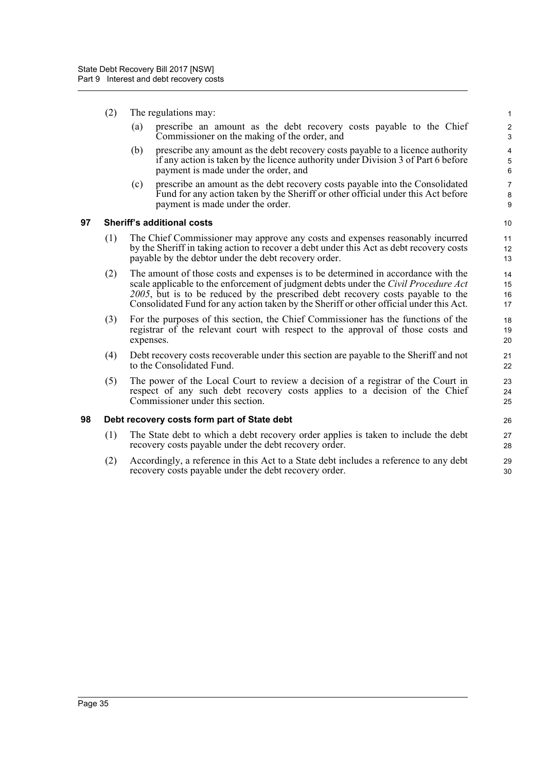- (2) The regulations may:
	- (a) prescribe an amount as the debt recovery costs payable to the Chief Commissioner on the making of the order, and

- (b) prescribe any amount as the debt recovery costs payable to a licence authority if any action is taken by the licence authority under Division 3 of Part 6 before payment is made under the order, and
- (c) prescribe an amount as the debt recovery costs payable into the Consolidated Fund for any action taken by the Sheriff or other official under this Act before payment is made under the order.

#### **97 Sheriff's additional costs**

- (1) The Chief Commissioner may approve any costs and expenses reasonably incurred by the Sheriff in taking action to recover a debt under this Act as debt recovery costs payable by the debtor under the debt recovery order.
- (2) The amount of those costs and expenses is to be determined in accordance with the scale applicable to the enforcement of judgment debts under the *Civil Procedure Act 2005*, but is to be reduced by the prescribed debt recovery costs payable to the Consolidated Fund for any action taken by the Sheriff or other official under this Act.
- (3) For the purposes of this section, the Chief Commissioner has the functions of the registrar of the relevant court with respect to the approval of those costs and expenses.
- (4) Debt recovery costs recoverable under this section are payable to the Sheriff and not to the Consolidated Fund.
- (5) The power of the Local Court to review a decision of a registrar of the Court in respect of any such debt recovery costs applies to a decision of the Chief Commissioner under this section.

#### **98 Debt recovery costs form part of State debt**

- (1) The State debt to which a debt recovery order applies is taken to include the debt recovery costs payable under the debt recovery order.
- (2) Accordingly, a reference in this Act to a State debt includes a reference to any debt recovery costs payable under the debt recovery order.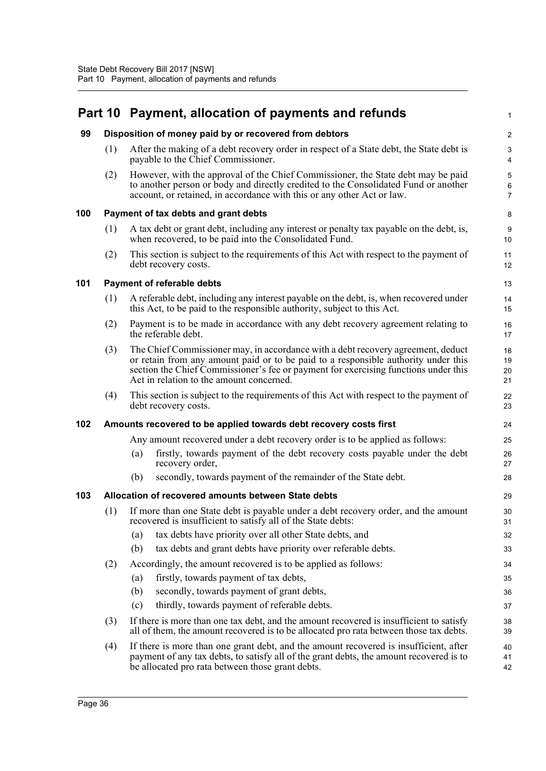#### **Part 10 Payment, allocation of payments and refunds 99 Disposition of money paid by or recovered from debtors** (1) After the making of a debt recovery order in respect of a State debt, the State debt is payable to the Chief Commissioner. (2) However, with the approval of the Chief Commissioner, the State debt may be paid to another person or body and directly credited to the Consolidated Fund or another account, or retained, in accordance with this or any other Act or law. **100 Payment of tax debts and grant debts** (1) A tax debt or grant debt, including any interest or penalty tax payable on the debt, is, when recovered, to be paid into the Consolidated Fund. (2) This section is subject to the requirements of this Act with respect to the payment of debt recovery costs. **101 Payment of referable debts** (1) A referable debt, including any interest payable on the debt, is, when recovered under this Act, to be paid to the responsible authority, subject to this Act. (2) Payment is to be made in accordance with any debt recovery agreement relating to the referable debt. (3) The Chief Commissioner may, in accordance with a debt recovery agreement, deduct or retain from any amount paid or to be paid to a responsible authority under this section the Chief Commissioner's fee or payment for exercising functions under this Act in relation to the amount concerned. (4) This section is subject to the requirements of this Act with respect to the payment of debt recovery costs. **102 Amounts recovered to be applied towards debt recovery costs first** Any amount recovered under a debt recovery order is to be applied as follows: (a) firstly, towards payment of the debt recovery costs payable under the debt recovery order, (b) secondly, towards payment of the remainder of the State debt. **103 Allocation of recovered amounts between State debts** (1) If more than one State debt is payable under a debt recovery order, and the amount recovered is insufficient to satisfy all of the State debts: (a) tax debts have priority over all other State debts, and (b) tax debts and grant debts have priority over referable debts. (2) Accordingly, the amount recovered is to be applied as follows: (a) firstly, towards payment of tax debts, (b) secondly, towards payment of grant debts, (c) thirdly, towards payment of referable debts. (3) If there is more than one tax debt, and the amount recovered is insufficient to satisfy all of them, the amount recovered is to be allocated pro rata between those tax debts. (4) If there is more than one grant debt, and the amount recovered is insufficient, after payment of any tax debts, to satisfy all of the grant debts, the amount recovered is to 1  $\overline{2}$ 3 4 5 6 7 8  $\overline{Q}$ 10 11 12 13 14 15 16 17 18 19 20 21 22 23 24 25 26 27 28 29 30 31 32 33 34 35 36 37 38 39  $40$ 41

42

be allocated pro rata between those grant debts.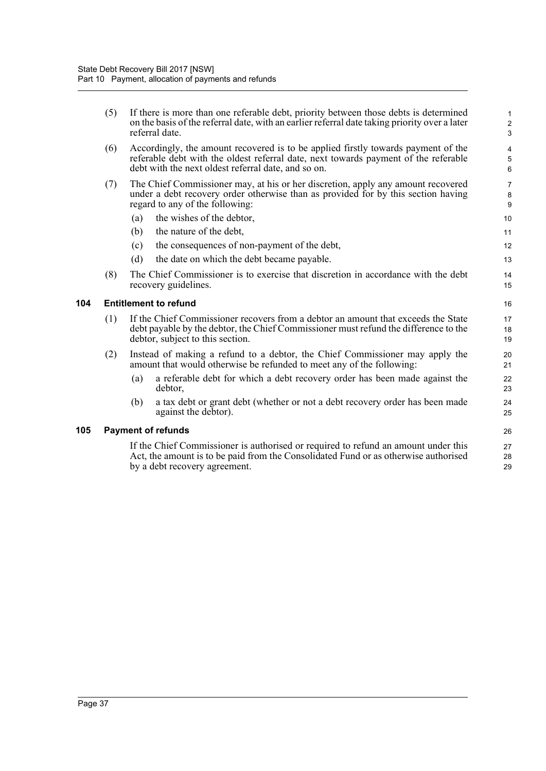| (5) | If there is more than one referable debt, priority between those debts is determined<br>on the basis of the referral date, with an earlier referral date taking priority over a later<br>referral date.                         |                           |  |  |  |  |  |
|-----|---------------------------------------------------------------------------------------------------------------------------------------------------------------------------------------------------------------------------------|---------------------------|--|--|--|--|--|
| (6) | Accordingly, the amount recovered is to be applied firstly towards payment of the<br>referable debt with the oldest referral date, next towards payment of the referable<br>debt with the next oldest referral date, and so on. | 4<br>5<br>$6\phantom{1}6$ |  |  |  |  |  |
| (7) | The Chief Commissioner may, at his or her discretion, apply any amount recovered<br>under a debt recovery order otherwise than as provided for by this section having<br>regard to any of the following:                        |                           |  |  |  |  |  |
|     | the wishes of the debtor,<br>(a)                                                                                                                                                                                                | 10                        |  |  |  |  |  |
|     | (b)<br>the nature of the debt,                                                                                                                                                                                                  | 11                        |  |  |  |  |  |
|     | the consequences of non-payment of the debt,<br>(c)                                                                                                                                                                             | 12                        |  |  |  |  |  |
|     | the date on which the debt became payable.<br>(d)                                                                                                                                                                               | 13                        |  |  |  |  |  |
| (8) | The Chief Commissioner is to exercise that discretion in accordance with the debt<br>recovery guidelines.                                                                                                                       | 14<br>15                  |  |  |  |  |  |
|     | <b>Entitlement to refund</b>                                                                                                                                                                                                    | 16                        |  |  |  |  |  |
| (1) | If the Chief Commissioner recovers from a debtor an amount that exceeds the State<br>debt payable by the debtor, the Chief Commissioner must refund the difference to the<br>debtor, subject to this section.                   | 17<br>18<br>19            |  |  |  |  |  |
| (2) | Instead of making a refund to a debtor, the Chief Commissioner may apply the<br>amount that would otherwise be refunded to meet any of the following:                                                                           | 20<br>21                  |  |  |  |  |  |
|     | a referable debt for which a debt recovery order has been made against the<br>(a)<br>debtor,                                                                                                                                    | 22<br>23                  |  |  |  |  |  |
|     | a tax debt or grant debt (whether or not a debt recovery order has been made<br>(b)<br>against the debtor).                                                                                                                     | 24<br>25                  |  |  |  |  |  |
|     | <b>Payment of refunds</b>                                                                                                                                                                                                       | 26                        |  |  |  |  |  |
|     | If the Chief Commissioner is authorised or required to refund an amount under this<br>Act, the amount is to be paid from the Consolidated Fund or as otherwise authorised<br>by a debt recovery agreement.                      | 27<br>28<br>29            |  |  |  |  |  |
|     |                                                                                                                                                                                                                                 |                           |  |  |  |  |  |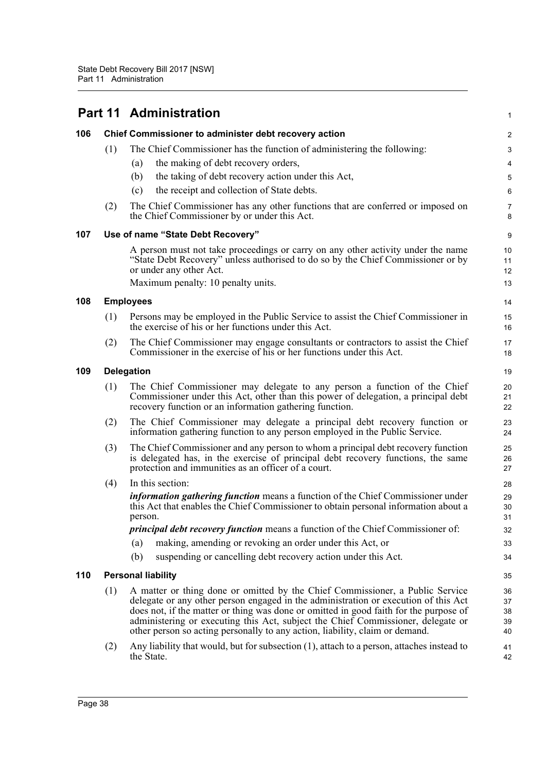|     |     | <b>Part 11 Administration</b>                                                                                                                                                                                                                                                                                                                                                                                                     |                            |  |  |  |  |  |
|-----|-----|-----------------------------------------------------------------------------------------------------------------------------------------------------------------------------------------------------------------------------------------------------------------------------------------------------------------------------------------------------------------------------------------------------------------------------------|----------------------------|--|--|--|--|--|
| 106 |     | Chief Commissioner to administer debt recovery action                                                                                                                                                                                                                                                                                                                                                                             | $\overline{2}$             |  |  |  |  |  |
|     | (1) | The Chief Commissioner has the function of administering the following:                                                                                                                                                                                                                                                                                                                                                           | 3                          |  |  |  |  |  |
|     |     | the making of debt recovery orders,<br>(a)                                                                                                                                                                                                                                                                                                                                                                                        | $\overline{\mathbf{4}}$    |  |  |  |  |  |
|     |     | the taking of debt recovery action under this Act,<br>(b)                                                                                                                                                                                                                                                                                                                                                                         | $\mathbf 5$                |  |  |  |  |  |
|     |     | the receipt and collection of State debts.<br>(c)                                                                                                                                                                                                                                                                                                                                                                                 | 6                          |  |  |  |  |  |
|     | (2) | The Chief Commissioner has any other functions that are conferred or imposed on<br>the Chief Commissioner by or under this Act.                                                                                                                                                                                                                                                                                                   | $\overline{7}$<br>8        |  |  |  |  |  |
| 107 |     | Use of name "State Debt Recovery"                                                                                                                                                                                                                                                                                                                                                                                                 | $\boldsymbol{9}$           |  |  |  |  |  |
|     |     | A person must not take proceedings or carry on any other activity under the name<br>"State Debt Recovery" unless authorised to do so by the Chief Commissioner or by<br>or under any other Act.<br>Maximum penalty: 10 penalty units.                                                                                                                                                                                             | 10<br>11<br>12<br>13       |  |  |  |  |  |
| 108 |     | <b>Employees</b>                                                                                                                                                                                                                                                                                                                                                                                                                  | 14                         |  |  |  |  |  |
|     | (1) | Persons may be employed in the Public Service to assist the Chief Commissioner in<br>the exercise of his or her functions under this Act.                                                                                                                                                                                                                                                                                         | 15<br>16                   |  |  |  |  |  |
|     | (2) | The Chief Commissioner may engage consultants or contractors to assist the Chief<br>Commissioner in the exercise of his or her functions under this Act.                                                                                                                                                                                                                                                                          | 17<br>18                   |  |  |  |  |  |
| 109 |     | <b>Delegation</b>                                                                                                                                                                                                                                                                                                                                                                                                                 | 19                         |  |  |  |  |  |
|     | (1) | The Chief Commissioner may delegate to any person a function of the Chief<br>Commissioner under this Act, other than this power of delegation, a principal debt<br>recovery function or an information gathering function.                                                                                                                                                                                                        | 20<br>21<br>22             |  |  |  |  |  |
|     | (2) | The Chief Commissioner may delegate a principal debt recovery function or<br>information gathering function to any person employed in the Public Service.                                                                                                                                                                                                                                                                         | 23<br>24                   |  |  |  |  |  |
|     | (3) | The Chief Commissioner and any person to whom a principal debt recovery function<br>is delegated has, in the exercise of principal debt recovery functions, the same<br>protection and immunities as an officer of a court.                                                                                                                                                                                                       | 25<br>26<br>27             |  |  |  |  |  |
|     | (4) | In this section:                                                                                                                                                                                                                                                                                                                                                                                                                  | 28                         |  |  |  |  |  |
|     |     | <i>information gathering function</i> means a function of the Chief Commissioner under<br>this Act that enables the Chief Commissioner to obtain personal information about a<br>person.                                                                                                                                                                                                                                          | 29<br>30<br>31             |  |  |  |  |  |
|     |     | principal debt recovery function means a function of the Chief Commissioner of:                                                                                                                                                                                                                                                                                                                                                   | 32                         |  |  |  |  |  |
|     |     | making, amending or revoking an order under this Act, or<br>(a)                                                                                                                                                                                                                                                                                                                                                                   | 33                         |  |  |  |  |  |
|     |     | (b)<br>suspending or cancelling debt recovery action under this Act.                                                                                                                                                                                                                                                                                                                                                              | 34                         |  |  |  |  |  |
| 110 |     | <b>Personal liability</b>                                                                                                                                                                                                                                                                                                                                                                                                         | 35                         |  |  |  |  |  |
|     | (1) | A matter or thing done or omitted by the Chief Commissioner, a Public Service<br>delegate or any other person engaged in the administration or execution of this Act<br>does not, if the matter or thing was done or omitted in good faith for the purpose of<br>administering or executing this Act, subject the Chief Commissioner, delegate or<br>other person so acting personally to any action, liability, claim or demand. | 36<br>37<br>38<br>39<br>40 |  |  |  |  |  |
|     | (2) | Any liability that would, but for subsection (1), attach to a person, attaches instead to<br>the State.                                                                                                                                                                                                                                                                                                                           | 41<br>42                   |  |  |  |  |  |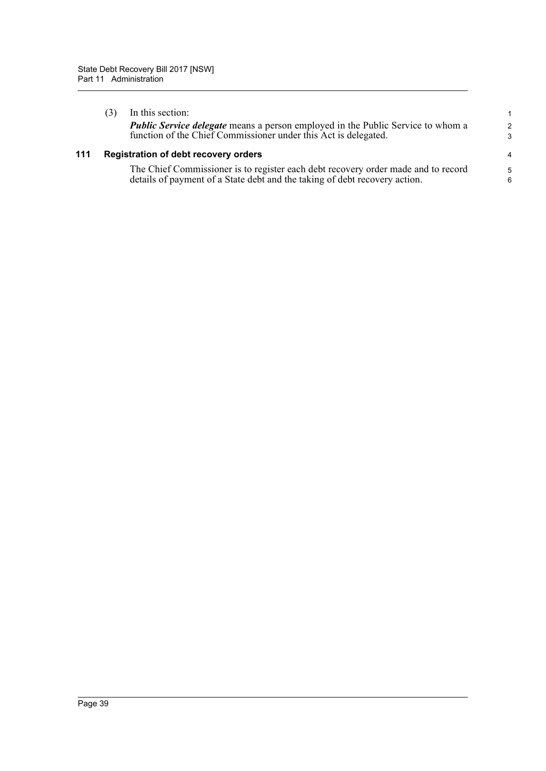|     | In this section:<br><b>Public Service delegate</b> means a person employed in the Public Service to whom a<br>function of the Chief Commissioner under this Act is delegated. | $\mathbf{1}$<br>$\mathcal{P}$<br>3 |
|-----|-------------------------------------------------------------------------------------------------------------------------------------------------------------------------------|------------------------------------|
| 111 | <b>Registration of debt recovery orders</b>                                                                                                                                   | $\overline{4}$                     |
|     | The Chief Commissioner is to register each debt recovery order made and to record<br>details of payment of a State debt and the taking of debt recovery action.               | $\sqrt{5}$<br>6                    |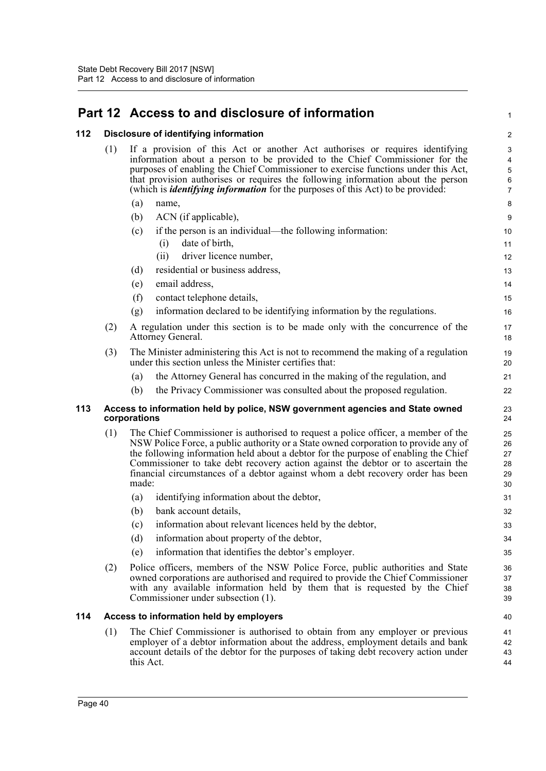# **Part 12 Access to and disclosure of information**

### **112 Disclosure of identifying information**

| 112 | Disclosure of identifying information |                                                                                                     |                                                                                                                                                                                                                                                                                                                                                                                                                                        |                                                    |  |  |  |  |  |  |
|-----|---------------------------------------|-----------------------------------------------------------------------------------------------------|----------------------------------------------------------------------------------------------------------------------------------------------------------------------------------------------------------------------------------------------------------------------------------------------------------------------------------------------------------------------------------------------------------------------------------------|----------------------------------------------------|--|--|--|--|--|--|
|     | (1)                                   |                                                                                                     | If a provision of this Act or another Act authorises or requires identifying<br>information about a person to be provided to the Chief Commissioner for the<br>purposes of enabling the Chief Commissioner to exercise functions under this Act,<br>that provision authorises or requires the following information about the person<br>(which is <i>identifying information</i> for the purposes of this Act) to be provided:         | 3<br>4<br>$\mathbf 5$<br>$\,6\,$<br>$\overline{7}$ |  |  |  |  |  |  |
|     |                                       | (a)                                                                                                 | name,                                                                                                                                                                                                                                                                                                                                                                                                                                  | 8                                                  |  |  |  |  |  |  |
|     |                                       | (b)                                                                                                 | ACN (if applicable),                                                                                                                                                                                                                                                                                                                                                                                                                   | $\boldsymbol{9}$                                   |  |  |  |  |  |  |
|     |                                       | (c)                                                                                                 | if the person is an individual—the following information:                                                                                                                                                                                                                                                                                                                                                                              | 10                                                 |  |  |  |  |  |  |
|     |                                       |                                                                                                     | date of birth,<br>(i)                                                                                                                                                                                                                                                                                                                                                                                                                  | 11                                                 |  |  |  |  |  |  |
|     |                                       |                                                                                                     | driver licence number,<br>(ii)                                                                                                                                                                                                                                                                                                                                                                                                         | 12                                                 |  |  |  |  |  |  |
|     |                                       | (d)                                                                                                 | residential or business address,                                                                                                                                                                                                                                                                                                                                                                                                       | 13                                                 |  |  |  |  |  |  |
|     |                                       | (e)                                                                                                 | email address,                                                                                                                                                                                                                                                                                                                                                                                                                         | 14                                                 |  |  |  |  |  |  |
|     |                                       | (f)                                                                                                 | contact telephone details,                                                                                                                                                                                                                                                                                                                                                                                                             | 15                                                 |  |  |  |  |  |  |
|     |                                       | (g)                                                                                                 | information declared to be identifying information by the regulations.                                                                                                                                                                                                                                                                                                                                                                 | 16                                                 |  |  |  |  |  |  |
|     | (2)                                   | A regulation under this section is to be made only with the concurrence of the<br>Attorney General. |                                                                                                                                                                                                                                                                                                                                                                                                                                        |                                                    |  |  |  |  |  |  |
|     | (3)                                   |                                                                                                     | The Minister administering this Act is not to recommend the making of a regulation<br>under this section unless the Minister certifies that:                                                                                                                                                                                                                                                                                           | 19<br>20                                           |  |  |  |  |  |  |
|     |                                       | (a)                                                                                                 | the Attorney General has concurred in the making of the regulation, and                                                                                                                                                                                                                                                                                                                                                                | 21                                                 |  |  |  |  |  |  |
|     |                                       | (b)                                                                                                 | the Privacy Commissioner was consulted about the proposed regulation.                                                                                                                                                                                                                                                                                                                                                                  | 22                                                 |  |  |  |  |  |  |
| 113 |                                       | corporations                                                                                        | Access to information held by police, NSW government agencies and State owned                                                                                                                                                                                                                                                                                                                                                          | 23<br>24                                           |  |  |  |  |  |  |
|     | (1)                                   | made:                                                                                               | The Chief Commissioner is authorised to request a police officer, a member of the<br>NSW Police Force, a public authority or a State owned corporation to provide any of<br>the following information held about a debtor for the purpose of enabling the Chief<br>Commissioner to take debt recovery action against the debtor or to ascertain the<br>financial circumstances of a debtor against whom a debt recovery order has been | 25<br>26<br>27<br>28<br>29<br>30                   |  |  |  |  |  |  |
|     |                                       | (a)                                                                                                 | identifying information about the debtor,                                                                                                                                                                                                                                                                                                                                                                                              | 31                                                 |  |  |  |  |  |  |
|     |                                       | (b)                                                                                                 | bank account details,                                                                                                                                                                                                                                                                                                                                                                                                                  | 32                                                 |  |  |  |  |  |  |
|     |                                       | (c)                                                                                                 | information about relevant licences held by the debtor,                                                                                                                                                                                                                                                                                                                                                                                | 33                                                 |  |  |  |  |  |  |
|     |                                       | (d)                                                                                                 | information about property of the debtor,                                                                                                                                                                                                                                                                                                                                                                                              | 34                                                 |  |  |  |  |  |  |
|     |                                       | (e)                                                                                                 | information that identifies the debtor's employer.                                                                                                                                                                                                                                                                                                                                                                                     | 35                                                 |  |  |  |  |  |  |
|     | (2)                                   |                                                                                                     | Police officers, members of the NSW Police Force, public authorities and State<br>owned corporations are authorised and required to provide the Chief Commissioner<br>with any available information held by them that is requested by the Chief<br>Commissioner under subsection (1).                                                                                                                                                 | 36<br>37<br>38<br>39                               |  |  |  |  |  |  |
| 114 |                                       |                                                                                                     | Access to information held by employers                                                                                                                                                                                                                                                                                                                                                                                                | 40                                                 |  |  |  |  |  |  |
|     | (1)                                   |                                                                                                     | The Chief Commissioner is authorised to obtain from any employer or previous                                                                                                                                                                                                                                                                                                                                                           | 41                                                 |  |  |  |  |  |  |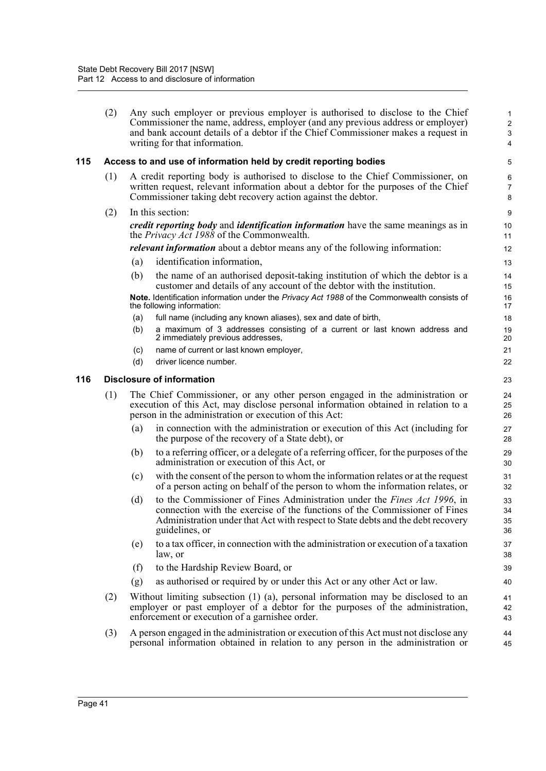|     | (2) |     | Any such employer or previous employer is authorised to disclose to the Chief<br>Commissioner the name, address, employer (and any previous address or employer)<br>and bank account details of a debtor if the Chief Commissioner makes a request in<br>writing for that information. | 1<br>$\sqrt{2}$<br>3<br>4 |
|-----|-----|-----|----------------------------------------------------------------------------------------------------------------------------------------------------------------------------------------------------------------------------------------------------------------------------------------|---------------------------|
| 115 |     |     | Access to and use of information held by credit reporting bodies                                                                                                                                                                                                                       | 5                         |
|     | (1) |     | A credit reporting body is authorised to disclose to the Chief Commissioner, on<br>written request, relevant information about a debtor for the purposes of the Chief<br>Commissioner taking debt recovery action against the debtor.                                                  | 6<br>$\overline{7}$<br>8  |
|     | (2) |     | In this section:                                                                                                                                                                                                                                                                       | $\boldsymbol{9}$          |
|     |     |     | <i>credit reporting body</i> and <i>identification information</i> have the same meanings as in<br>the <i>Privacy Act 1988</i> of the Commonwealth.                                                                                                                                    | 10<br>11                  |
|     |     |     | <i>relevant information</i> about a debtor means any of the following information:                                                                                                                                                                                                     | 12                        |
|     |     | (a) | identification information,                                                                                                                                                                                                                                                            | 13                        |
|     |     | (b) | the name of an authorised deposit-taking institution of which the debtor is a<br>customer and details of any account of the debtor with the institution.                                                                                                                               | 14<br>15                  |
|     |     |     | Note. Identification information under the Privacy Act 1988 of the Commonwealth consists of<br>the following information:                                                                                                                                                              | 16<br>17                  |
|     |     | (a) | full name (including any known aliases), sex and date of birth,                                                                                                                                                                                                                        | 18                        |
|     |     | (b) | a maximum of 3 addresses consisting of a current or last known address and<br>2 immediately previous addresses,                                                                                                                                                                        | 19<br>20                  |
|     |     | (c) | name of current or last known employer,                                                                                                                                                                                                                                                | 21                        |
|     |     | (d) | driver licence number.                                                                                                                                                                                                                                                                 | 22                        |
| 116 |     |     | <b>Disclosure of information</b>                                                                                                                                                                                                                                                       | 23                        |
|     | (1) |     | The Chief Commissioner, or any other person engaged in the administration or<br>execution of this Act, may disclose personal information obtained in relation to a<br>person in the administration or execution of this Act:                                                           | 24<br>25<br>26            |
|     |     | (a) | in connection with the administration or execution of this Act (including for<br>the purpose of the recovery of a State debt), or                                                                                                                                                      | 27<br>28                  |
|     |     | (b) | to a referring officer, or a delegate of a referring officer, for the purposes of the<br>administration or execution of this Act, or                                                                                                                                                   | 29<br>30                  |
|     |     | (c) | with the consent of the person to whom the information relates or at the request<br>of a person acting on behalf of the person to whom the information relates, or                                                                                                                     | 31<br>32                  |
|     |     | (d) | to the Commissioner of Fines Administration under the Fines Act 1996, in<br>connection with the exercise of the functions of the Commissioner of Fines<br>Administration under that Act with respect to State debts and the debt recovery<br>guidelines, or                            | 33<br>34<br>35<br>36      |
|     |     | (e) | to a tax officer, in connection with the administration or execution of a taxation<br>law, or                                                                                                                                                                                          | 37<br>38                  |
|     |     | (f) | to the Hardship Review Board, or                                                                                                                                                                                                                                                       | 39                        |
|     |     | (g) | as authorised or required by or under this Act or any other Act or law.                                                                                                                                                                                                                | 40                        |
|     | (2) |     | Without limiting subsection (1) (a), personal information may be disclosed to an<br>employer or past employer of a debtor for the purposes of the administration,<br>enforcement or execution of a garnishee order.                                                                    | 41<br>42<br>43            |
|     | (3) |     | A person engaged in the administration or execution of this Act must not disclose any<br>personal information obtained in relation to any person in the administration or                                                                                                              | 44<br>45                  |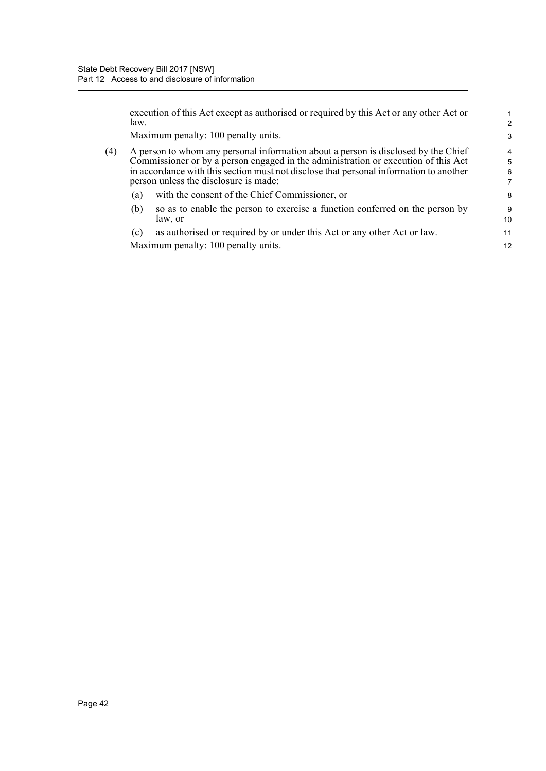|     | law. | execution of this Act except as authorised or required by this Act or any other Act or                                                                                                                                                                                                                      | $\mathcal{P}$                 |
|-----|------|-------------------------------------------------------------------------------------------------------------------------------------------------------------------------------------------------------------------------------------------------------------------------------------------------------------|-------------------------------|
|     |      | Maximum penalty: 100 penalty units.                                                                                                                                                                                                                                                                         | 3                             |
| (4) |      | A person to whom any personal information about a person is disclosed by the Chief<br>Commissioner or by a person engaged in the administration or execution of this Act<br>in accordance with this section must not disclose that personal information to another<br>person unless the disclosure is made: | $\overline{4}$<br>5<br>6<br>7 |
|     | (a)  | with the consent of the Chief Commissioner, or                                                                                                                                                                                                                                                              | 8                             |
|     | (b)  | so as to enable the person to exercise a function conferred on the person by<br>law, or                                                                                                                                                                                                                     | 9<br>10                       |
|     | (c)  | as authorised or required by or under this Act or any other Act or law.                                                                                                                                                                                                                                     | 11                            |
|     |      | Maximum penalty: 100 penalty units.                                                                                                                                                                                                                                                                         | 12                            |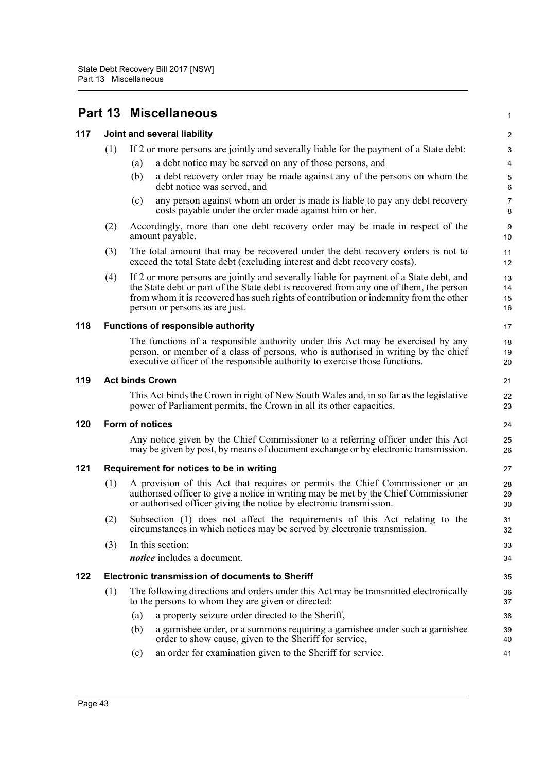|     |     |                                                                                                                                        | 1                                                                                                                                                                                                                                                                                                                                                                                                                                                                                                                                                                                                                                                                                                                                                                                                                                                                                                                                                                                                                                                                                                                                                                                                                                                                                                                                                                                                                                                                                                                                                                                                                                                                                                                                                                                                                                                                                                                                                                                                                                                                                                                                                     |
|-----|-----|----------------------------------------------------------------------------------------------------------------------------------------|-------------------------------------------------------------------------------------------------------------------------------------------------------------------------------------------------------------------------------------------------------------------------------------------------------------------------------------------------------------------------------------------------------------------------------------------------------------------------------------------------------------------------------------------------------------------------------------------------------------------------------------------------------------------------------------------------------------------------------------------------------------------------------------------------------------------------------------------------------------------------------------------------------------------------------------------------------------------------------------------------------------------------------------------------------------------------------------------------------------------------------------------------------------------------------------------------------------------------------------------------------------------------------------------------------------------------------------------------------------------------------------------------------------------------------------------------------------------------------------------------------------------------------------------------------------------------------------------------------------------------------------------------------------------------------------------------------------------------------------------------------------------------------------------------------------------------------------------------------------------------------------------------------------------------------------------------------------------------------------------------------------------------------------------------------------------------------------------------------------------------------------------------------|
|     |     |                                                                                                                                        | $\overline{2}$                                                                                                                                                                                                                                                                                                                                                                                                                                                                                                                                                                                                                                                                                                                                                                                                                                                                                                                                                                                                                                                                                                                                                                                                                                                                                                                                                                                                                                                                                                                                                                                                                                                                                                                                                                                                                                                                                                                                                                                                                                                                                                                                        |
| (1) |     |                                                                                                                                        | $\ensuremath{\mathsf{3}}$                                                                                                                                                                                                                                                                                                                                                                                                                                                                                                                                                                                                                                                                                                                                                                                                                                                                                                                                                                                                                                                                                                                                                                                                                                                                                                                                                                                                                                                                                                                                                                                                                                                                                                                                                                                                                                                                                                                                                                                                                                                                                                                             |
|     | (a) | a debt notice may be served on any of those persons, and                                                                               | $\overline{4}$                                                                                                                                                                                                                                                                                                                                                                                                                                                                                                                                                                                                                                                                                                                                                                                                                                                                                                                                                                                                                                                                                                                                                                                                                                                                                                                                                                                                                                                                                                                                                                                                                                                                                                                                                                                                                                                                                                                                                                                                                                                                                                                                        |
|     | (b) | a debt recovery order may be made against any of the persons on whom the<br>debt notice was served, and                                | $\mathbf 5$<br>6                                                                                                                                                                                                                                                                                                                                                                                                                                                                                                                                                                                                                                                                                                                                                                                                                                                                                                                                                                                                                                                                                                                                                                                                                                                                                                                                                                                                                                                                                                                                                                                                                                                                                                                                                                                                                                                                                                                                                                                                                                                                                                                                      |
|     | (c) | any person against whom an order is made is liable to pay any debt recovery<br>costs payable under the order made against him or her.  | $\overline{7}$<br>8                                                                                                                                                                                                                                                                                                                                                                                                                                                                                                                                                                                                                                                                                                                                                                                                                                                                                                                                                                                                                                                                                                                                                                                                                                                                                                                                                                                                                                                                                                                                                                                                                                                                                                                                                                                                                                                                                                                                                                                                                                                                                                                                   |
| (2) |     |                                                                                                                                        | $\boldsymbol{9}$<br>10                                                                                                                                                                                                                                                                                                                                                                                                                                                                                                                                                                                                                                                                                                                                                                                                                                                                                                                                                                                                                                                                                                                                                                                                                                                                                                                                                                                                                                                                                                                                                                                                                                                                                                                                                                                                                                                                                                                                                                                                                                                                                                                                |
| (3) |     |                                                                                                                                        | 11<br>12                                                                                                                                                                                                                                                                                                                                                                                                                                                                                                                                                                                                                                                                                                                                                                                                                                                                                                                                                                                                                                                                                                                                                                                                                                                                                                                                                                                                                                                                                                                                                                                                                                                                                                                                                                                                                                                                                                                                                                                                                                                                                                                                              |
| (4) |     |                                                                                                                                        | 13<br>14<br>15<br>16                                                                                                                                                                                                                                                                                                                                                                                                                                                                                                                                                                                                                                                                                                                                                                                                                                                                                                                                                                                                                                                                                                                                                                                                                                                                                                                                                                                                                                                                                                                                                                                                                                                                                                                                                                                                                                                                                                                                                                                                                                                                                                                                  |
|     |     |                                                                                                                                        | 17                                                                                                                                                                                                                                                                                                                                                                                                                                                                                                                                                                                                                                                                                                                                                                                                                                                                                                                                                                                                                                                                                                                                                                                                                                                                                                                                                                                                                                                                                                                                                                                                                                                                                                                                                                                                                                                                                                                                                                                                                                                                                                                                                    |
|     |     |                                                                                                                                        | 18<br>19<br>20                                                                                                                                                                                                                                                                                                                                                                                                                                                                                                                                                                                                                                                                                                                                                                                                                                                                                                                                                                                                                                                                                                                                                                                                                                                                                                                                                                                                                                                                                                                                                                                                                                                                                                                                                                                                                                                                                                                                                                                                                                                                                                                                        |
|     |     |                                                                                                                                        | 21                                                                                                                                                                                                                                                                                                                                                                                                                                                                                                                                                                                                                                                                                                                                                                                                                                                                                                                                                                                                                                                                                                                                                                                                                                                                                                                                                                                                                                                                                                                                                                                                                                                                                                                                                                                                                                                                                                                                                                                                                                                                                                                                                    |
|     |     |                                                                                                                                        | 22<br>23                                                                                                                                                                                                                                                                                                                                                                                                                                                                                                                                                                                                                                                                                                                                                                                                                                                                                                                                                                                                                                                                                                                                                                                                                                                                                                                                                                                                                                                                                                                                                                                                                                                                                                                                                                                                                                                                                                                                                                                                                                                                                                                                              |
|     |     |                                                                                                                                        | 24                                                                                                                                                                                                                                                                                                                                                                                                                                                                                                                                                                                                                                                                                                                                                                                                                                                                                                                                                                                                                                                                                                                                                                                                                                                                                                                                                                                                                                                                                                                                                                                                                                                                                                                                                                                                                                                                                                                                                                                                                                                                                                                                                    |
|     |     |                                                                                                                                        | 25<br>26                                                                                                                                                                                                                                                                                                                                                                                                                                                                                                                                                                                                                                                                                                                                                                                                                                                                                                                                                                                                                                                                                                                                                                                                                                                                                                                                                                                                                                                                                                                                                                                                                                                                                                                                                                                                                                                                                                                                                                                                                                                                                                                                              |
|     |     |                                                                                                                                        | 27                                                                                                                                                                                                                                                                                                                                                                                                                                                                                                                                                                                                                                                                                                                                                                                                                                                                                                                                                                                                                                                                                                                                                                                                                                                                                                                                                                                                                                                                                                                                                                                                                                                                                                                                                                                                                                                                                                                                                                                                                                                                                                                                                    |
| (1) |     |                                                                                                                                        | 28<br>29<br>30                                                                                                                                                                                                                                                                                                                                                                                                                                                                                                                                                                                                                                                                                                                                                                                                                                                                                                                                                                                                                                                                                                                                                                                                                                                                                                                                                                                                                                                                                                                                                                                                                                                                                                                                                                                                                                                                                                                                                                                                                                                                                                                                        |
| (2) |     |                                                                                                                                        | 31<br>32                                                                                                                                                                                                                                                                                                                                                                                                                                                                                                                                                                                                                                                                                                                                                                                                                                                                                                                                                                                                                                                                                                                                                                                                                                                                                                                                                                                                                                                                                                                                                                                                                                                                                                                                                                                                                                                                                                                                                                                                                                                                                                                                              |
| (3) |     |                                                                                                                                        | 33<br>34                                                                                                                                                                                                                                                                                                                                                                                                                                                                                                                                                                                                                                                                                                                                                                                                                                                                                                                                                                                                                                                                                                                                                                                                                                                                                                                                                                                                                                                                                                                                                                                                                                                                                                                                                                                                                                                                                                                                                                                                                                                                                                                                              |
|     |     |                                                                                                                                        | 35                                                                                                                                                                                                                                                                                                                                                                                                                                                                                                                                                                                                                                                                                                                                                                                                                                                                                                                                                                                                                                                                                                                                                                                                                                                                                                                                                                                                                                                                                                                                                                                                                                                                                                                                                                                                                                                                                                                                                                                                                                                                                                                                                    |
| (1) |     |                                                                                                                                        | 36<br>37                                                                                                                                                                                                                                                                                                                                                                                                                                                                                                                                                                                                                                                                                                                                                                                                                                                                                                                                                                                                                                                                                                                                                                                                                                                                                                                                                                                                                                                                                                                                                                                                                                                                                                                                                                                                                                                                                                                                                                                                                                                                                                                                              |
|     | (a) | a property seizure order directed to the Sheriff,                                                                                      | 38                                                                                                                                                                                                                                                                                                                                                                                                                                                                                                                                                                                                                                                                                                                                                                                                                                                                                                                                                                                                                                                                                                                                                                                                                                                                                                                                                                                                                                                                                                                                                                                                                                                                                                                                                                                                                                                                                                                                                                                                                                                                                                                                                    |
|     | (b) | a garnishee order, or a summons requiring a garnishee under such a garnishee<br>order to show cause, given to the Sheriff for service, | 39<br>40                                                                                                                                                                                                                                                                                                                                                                                                                                                                                                                                                                                                                                                                                                                                                                                                                                                                                                                                                                                                                                                                                                                                                                                                                                                                                                                                                                                                                                                                                                                                                                                                                                                                                                                                                                                                                                                                                                                                                                                                                                                                                                                                              |
|     | (c) | an order for examination given to the Sheriff for service.                                                                             | 41                                                                                                                                                                                                                                                                                                                                                                                                                                                                                                                                                                                                                                                                                                                                                                                                                                                                                                                                                                                                                                                                                                                                                                                                                                                                                                                                                                                                                                                                                                                                                                                                                                                                                                                                                                                                                                                                                                                                                                                                                                                                                                                                                    |
|     |     |                                                                                                                                        | <b>Part 13 Miscellaneous</b><br>Joint and several liability<br>If 2 or more persons are jointly and severally liable for the payment of a State debt:<br>Accordingly, more than one debt recovery order may be made in respect of the<br>amount payable.<br>The total amount that may be recovered under the debt recovery orders is not to<br>exceed the total State debt (excluding interest and debt recovery costs).<br>If 2 or more persons are jointly and severally liable for payment of a State debt, and<br>the State debt or part of the State debt is recovered from any one of them, the person<br>from whom it is recovered has such rights of contribution or indemnity from the other<br>person or persons as are just.<br>Functions of responsible authority<br>The functions of a responsible authority under this Act may be exercised by any<br>person, or member of a class of persons, who is authorised in writing by the chief<br>executive officer of the responsible authority to exercise those functions.<br><b>Act binds Crown</b><br>This Act binds the Crown in right of New South Wales and, in so far as the legislative<br>power of Parliament permits, the Crown in all its other capacities.<br>Form of notices<br>Any notice given by the Chief Commissioner to a referring officer under this Act<br>may be given by post, by means of document exchange or by electronic transmission.<br>Requirement for notices to be in writing<br>A provision of this Act that requires or permits the Chief Commissioner or an<br>authorised officer to give a notice in writing may be met by the Chief Commissioner<br>or authorised officer giving the notice by electronic transmission.<br>Subsection (1) does not affect the requirements of this Act relating to the<br>circumstances in which notices may be served by electronic transmission.<br>In this section:<br><i>notice</i> includes a document.<br><b>Electronic transmission of documents to Sheriff</b><br>The following directions and orders under this Act may be transmitted electronically<br>to the persons to whom they are given or directed: |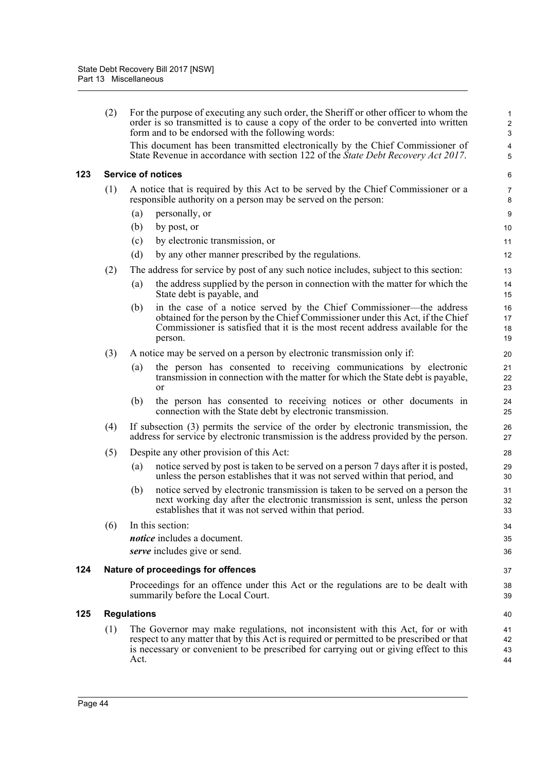|     | (2)       |                                                                                                                                                                             | For the purpose of executing any such order, the Sheriff or other officer to whom the<br>order is so transmitted is to cause a copy of the order to be converted into written<br>form and to be endorsed with the following words:                                                        |                      |  |  |  |  |  |  |
|-----|-----------|-----------------------------------------------------------------------------------------------------------------------------------------------------------------------------|-------------------------------------------------------------------------------------------------------------------------------------------------------------------------------------------------------------------------------------------------------------------------------------------|----------------------|--|--|--|--|--|--|
|     |           |                                                                                                                                                                             | This document has been transmitted electronically by the Chief Commissioner of<br>State Revenue in accordance with section 122 of the State Debt Recovery Act 2017.                                                                                                                       |                      |  |  |  |  |  |  |
| 123 |           |                                                                                                                                                                             | <b>Service of notices</b>                                                                                                                                                                                                                                                                 | 6                    |  |  |  |  |  |  |
|     | (1)       |                                                                                                                                                                             | A notice that is required by this Act to be served by the Chief Commissioner or a<br>responsible authority on a person may be served on the person:                                                                                                                                       | 7<br>8               |  |  |  |  |  |  |
|     |           | (a)                                                                                                                                                                         | personally, or                                                                                                                                                                                                                                                                            | 9                    |  |  |  |  |  |  |
|     |           | (b)                                                                                                                                                                         | by post, or                                                                                                                                                                                                                                                                               | 10                   |  |  |  |  |  |  |
|     |           | (c)                                                                                                                                                                         | by electronic transmission, or                                                                                                                                                                                                                                                            | 11                   |  |  |  |  |  |  |
|     |           | (d)                                                                                                                                                                         | by any other manner prescribed by the regulations.                                                                                                                                                                                                                                        | 12                   |  |  |  |  |  |  |
|     | (2)       |                                                                                                                                                                             | The address for service by post of any such notice includes, subject to this section:                                                                                                                                                                                                     | 13                   |  |  |  |  |  |  |
|     |           | (a)                                                                                                                                                                         | the address supplied by the person in connection with the matter for which the<br>State debt is payable, and                                                                                                                                                                              | 14<br>15             |  |  |  |  |  |  |
|     |           | (b)                                                                                                                                                                         | in the case of a notice served by the Chief Commissioner—the address<br>obtained for the person by the Chief Commissioner under this Act, if the Chief<br>Commissioner is satisfied that it is the most recent address available for the<br>person.                                       | 16<br>17<br>18<br>19 |  |  |  |  |  |  |
|     | (3)       |                                                                                                                                                                             | A notice may be served on a person by electronic transmission only if:                                                                                                                                                                                                                    | 20                   |  |  |  |  |  |  |
|     | (a)<br>or |                                                                                                                                                                             | the person has consented to receiving communications by electronic<br>transmission in connection with the matter for which the State debt is payable,                                                                                                                                     | 21<br>22<br>23       |  |  |  |  |  |  |
|     |           | (b)                                                                                                                                                                         | the person has consented to receiving notices or other documents in<br>connection with the State debt by electronic transmission.                                                                                                                                                         | 24<br>25             |  |  |  |  |  |  |
|     | (4)       | If subsection (3) permits the service of the order by electronic transmission, the<br>address for service by electronic transmission is the address provided by the person. |                                                                                                                                                                                                                                                                                           | 26<br>27             |  |  |  |  |  |  |
|     | (5)       |                                                                                                                                                                             | Despite any other provision of this Act:                                                                                                                                                                                                                                                  | 28                   |  |  |  |  |  |  |
|     |           | (a)                                                                                                                                                                         | notice served by post is taken to be served on a person 7 days after it is posted,<br>unless the person establishes that it was not served within that period, and                                                                                                                        | 29<br>30             |  |  |  |  |  |  |
|     |           | (b)                                                                                                                                                                         | notice served by electronic transmission is taken to be served on a person the<br>next working day after the electronic transmission is sent, unless the person<br>establishes that it was not served within that period.                                                                 | 31<br>32<br>33       |  |  |  |  |  |  |
|     | (6)       |                                                                                                                                                                             | In this section:                                                                                                                                                                                                                                                                          | 34                   |  |  |  |  |  |  |
|     |           |                                                                                                                                                                             | notice includes a document.                                                                                                                                                                                                                                                               | 35                   |  |  |  |  |  |  |
|     |           |                                                                                                                                                                             | serve includes give or send.                                                                                                                                                                                                                                                              | 36                   |  |  |  |  |  |  |
| 124 |           |                                                                                                                                                                             | Nature of proceedings for offences                                                                                                                                                                                                                                                        | 37                   |  |  |  |  |  |  |
|     |           |                                                                                                                                                                             | Proceedings for an offence under this Act or the regulations are to be dealt with<br>summarily before the Local Court.                                                                                                                                                                    | 38<br>39             |  |  |  |  |  |  |
| 125 |           |                                                                                                                                                                             |                                                                                                                                                                                                                                                                                           | 40                   |  |  |  |  |  |  |
|     | (1)       | Act.                                                                                                                                                                        | <b>Regulations</b><br>The Governor may make regulations, not inconsistent with this Act, for or with<br>respect to any matter that by this Act is required or permitted to be prescribed or that<br>is necessary or convenient to be prescribed for carrying out or giving effect to this |                      |  |  |  |  |  |  |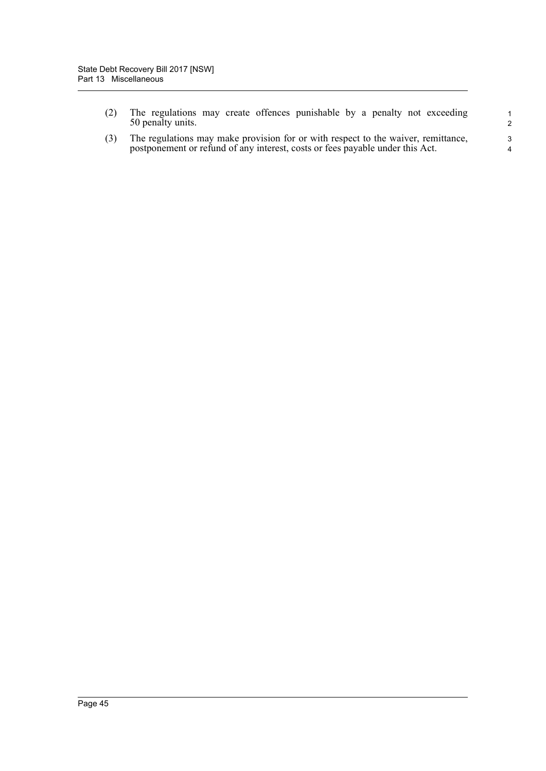|  | (2) The regulations may create offences punishable by a penalty not exceeding |  |  |  |  |  |
|--|-------------------------------------------------------------------------------|--|--|--|--|--|
|  | 50 penalty units.                                                             |  |  |  |  |  |

(3) The regulations may make provision for or with respect to the waiver, remittance, postponement or refund of any interest, costs or fees payable under this Act.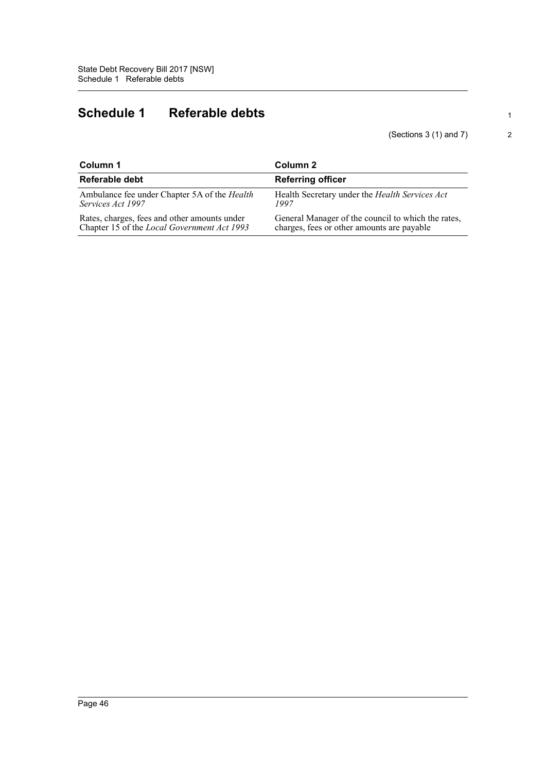# **Schedule 1 Referable debts**

(Sections 3 (1) and 7)

| Column 1                                     | Column 2                                           |  |  |
|----------------------------------------------|----------------------------------------------------|--|--|
| Referable debt                               | <b>Referring officer</b>                           |  |  |
| Ambulance fee under Chapter 5A of the Health | Health Secretary under the Health Services Act     |  |  |
| Services Act 1997                            | 1997                                               |  |  |
| Rates, charges, fees and other amounts under | General Manager of the council to which the rates, |  |  |
| Chapter 15 of the Local Government Act 1993  | charges, fees or other amounts are payable         |  |  |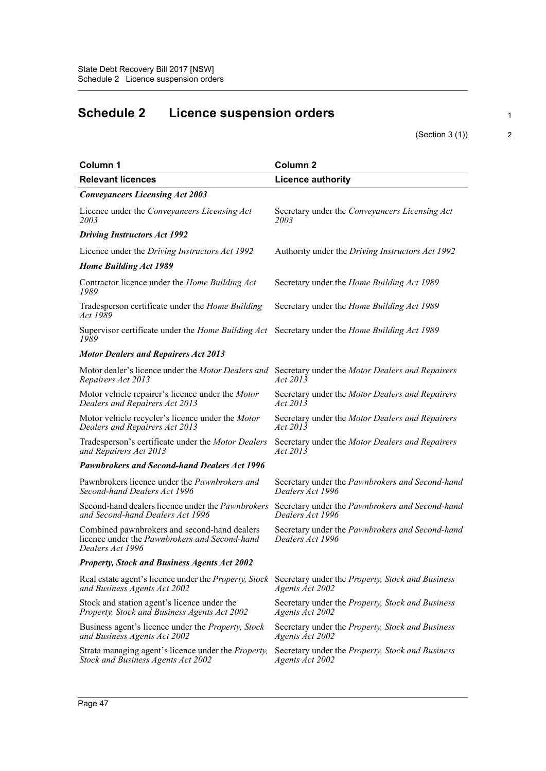# **Schedule 2 Licence suspension orders**

(Section 3 (1))

| Column 1                                                                                                                 | Column <sub>2</sub>                                                                |
|--------------------------------------------------------------------------------------------------------------------------|------------------------------------------------------------------------------------|
| <b>Relevant licences</b>                                                                                                 | <b>Licence authority</b>                                                           |
| <b>Conveyancers Licensing Act 2003</b>                                                                                   |                                                                                    |
| Licence under the Conveyancers Licensing Act<br>2003                                                                     | Secretary under the Conveyancers Licensing Act<br>2003                             |
| <b>Driving Instructors Act 1992</b>                                                                                      |                                                                                    |
| Licence under the Driving Instructors Act 1992                                                                           | Authority under the Driving Instructors Act 1992                                   |
| Home Building Act 1989                                                                                                   |                                                                                    |
| Contractor licence under the Home Building Act<br>1989                                                                   | Secretary under the Home Building Act 1989                                         |
| Tradesperson certificate under the Home Building<br>Act 1989                                                             | Secretary under the Home Building Act 1989                                         |
| Supervisor certificate under the Home Building Act Secretary under the Home Building Act 1989<br>1989                    |                                                                                    |
| <b>Motor Dealers and Repairers Act 2013</b>                                                                              |                                                                                    |
| Motor dealer's licence under the Motor Dealers and Secretary under the Motor Dealers and Repairers<br>Repairers Act 2013 | Act 2013                                                                           |
| Motor vehicle repairer's licence under the Motor<br>Dealers and Repairers Act 2013                                       | Secretary under the Motor Dealers and Repairers<br>Act 2013                        |
| Motor vehicle recycler's licence under the Motor<br>Dealers and Repairers Act 2013                                       | Secretary under the Motor Dealers and Repairers<br>Act 2013                        |
| Tradesperson's certificate under the Motor Dealers<br>and Repairers Act 2013                                             | Secretary under the Motor Dealers and Repairers<br>Act 2013                        |
| <b>Pawnbrokers and Second-hand Dealers Act 1996</b>                                                                      |                                                                                    |
| Pawnbrokers licence under the Pawnbrokers and<br>Second-hand Dealers Act 1996                                            | Secretary under the Pawnbrokers and Second-hand<br>Dealers Act 1996                |
| Second-hand dealers licence under the Pawnbrokers<br>and Second-hand Dealers Act 1996                                    | Secretary under the Pawnbrokers and Second-hand<br>Dealers Act 1996                |
| Combined pawnbrokers and second-hand dealers<br>licence under the Pawnbrokers and Second-hand<br>Dealers Act 1996        | Secretary under the Pawnbrokers and Second-hand<br>Dealers Act 1996                |
| <b>Property, Stock and Business Agents Act 2002</b>                                                                      |                                                                                    |
| Real estate agent's licence under the <i>Property</i> , Stock<br>and Business Agents Act 2002                            | Secretary under the Property, Stock and Business<br>Agents Act 2002                |
| Stock and station agent's licence under the<br>Property, Stock and Business Agents Act 2002                              | Secretary under the Property, Stock and Business<br>Agents Act 2002                |
| Business agent's licence under the Property, Stock<br>and Business Agents Act 2002                                       | Secretary under the Property, Stock and Business<br>Agents Act 2002                |
| Strata managing agent's licence under the Property,<br>Stock and Business Agents Act 2002                                | Secretary under the <i>Property</i> , <i>Stock and Business</i><br>Agents Act 2002 |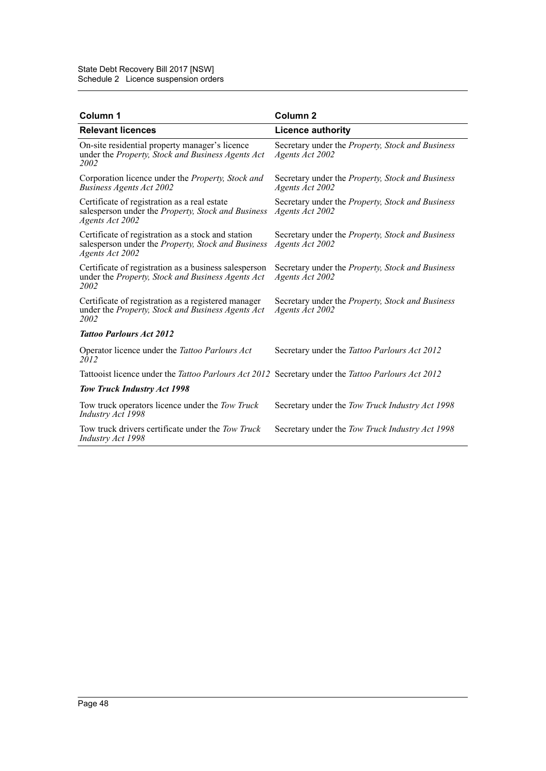| Column 1                                                                                                                    | Column <sub>2</sub>                                                                |
|-----------------------------------------------------------------------------------------------------------------------------|------------------------------------------------------------------------------------|
| <b>Relevant licences</b>                                                                                                    | <b>Licence authority</b>                                                           |
| On-site residential property manager's licence<br>under the Property, Stock and Business Agents Act<br>2002                 | Secretary under the Property, Stock and Business<br>Agents Act 2002                |
| Corporation licence under the <i>Property</i> , Stock and<br>Business Agents Act 2002                                       | Secretary under the Property, Stock and Business<br>Agents Act 2002                |
| Certificate of registration as a real estate<br>salesperson under the Property, Stock and Business<br>Agents Act 2002       | Secretary under the Property, Stock and Business<br>Agents Act 2002                |
| Certificate of registration as a stock and station<br>salesperson under the Property, Stock and Business<br>Agents Act 2002 | Secretary under the <i>Property</i> , <i>Stock and Business</i><br>Agents Act 2002 |
| Certificate of registration as a business salesperson<br>under the Property, Stock and Business Agents Act<br>2002          | Secretary under the Property, Stock and Business<br>Agents Act 2002                |
| Certificate of registration as a registered manager<br>under the Property, Stock and Business Agents Act<br>2002            | Secretary under the Property, Stock and Business<br>Agents Act 2002                |
| <b>Tattoo Parlours Act 2012</b>                                                                                             |                                                                                    |
| Operator licence under the Tattoo Parlours Act<br>2012                                                                      | Secretary under the Tattoo Parlours Act 2012                                       |
| Tattooist licence under the Tattoo Parlours Act 2012 Secretary under the Tattoo Parlours Act 2012                           |                                                                                    |
| Tow Truck Industry Act 1998                                                                                                 |                                                                                    |
| Tow truck operators licence under the Tow Truck<br>Industry Act 1998                                                        | Secretary under the Tow Truck Industry Act 1998                                    |
| Tow truck drivers certificate under the Tow Truck<br>Industry Act 1998                                                      | Secretary under the Tow Truck Industry Act 1998                                    |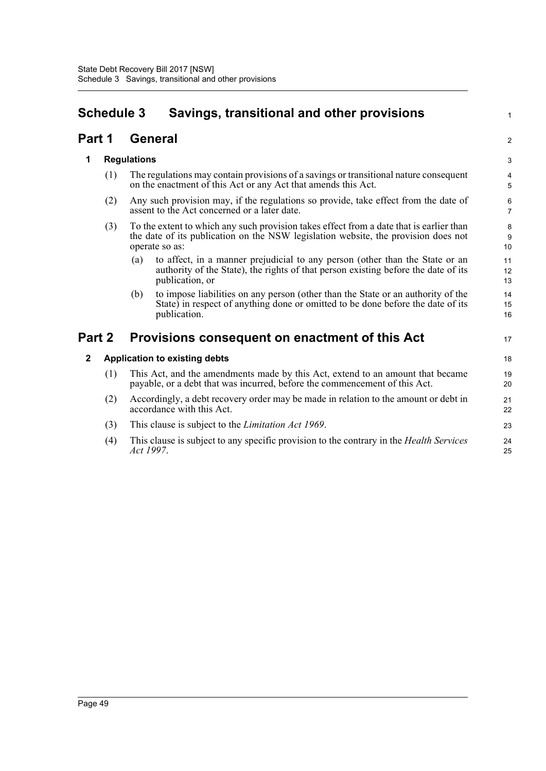# **Schedule 3 Savings, transitional and other provisions**

# **Part 1 General**

# **1 Regulations**

(1) The regulations may contain provisions of a savings or transitional nature consequent on the enactment of this Act or any Act that amends this Act.

1

2

17

- (2) Any such provision may, if the regulations so provide, take effect from the date of assent to the Act concerned or a later date.
- (3) To the extent to which any such provision takes effect from a date that is earlier than the date of its publication on the NSW legislation website, the provision does not operate so as:
	- (a) to affect, in a manner prejudicial to any person (other than the State or an authority of the State), the rights of that person existing before the date of its publication, or
	- (b) to impose liabilities on any person (other than the State or an authority of the State) in respect of anything done or omitted to be done before the date of its publication.

# **Part 2 Provisions consequent on enactment of this Act**

# **2 Application to existing debts**

- (1) This Act, and the amendments made by this Act, extend to an amount that became payable, or a debt that was incurred, before the commencement of this Act.
- (2) Accordingly, a debt recovery order may be made in relation to the amount or debt in accordance with this Act.
- (3) This clause is subject to the *Limitation Act 1969*.
- (4) This clause is subject to any specific provision to the contrary in the *Health Services Act 1997*.  $24$ 25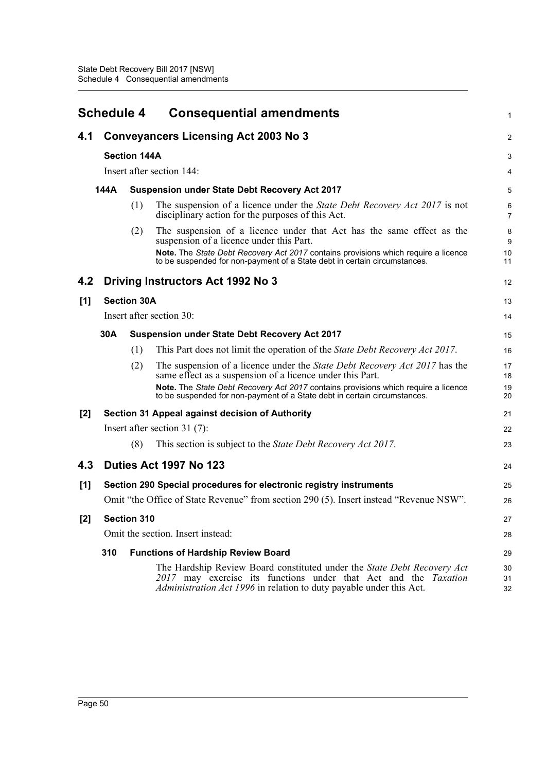|       | <b>Schedule 4</b>                                           |                                                                                        | <b>Consequential amendments</b>                                                                                                                                                                                                                                                                            | 1                    |  |
|-------|-------------------------------------------------------------|----------------------------------------------------------------------------------------|------------------------------------------------------------------------------------------------------------------------------------------------------------------------------------------------------------------------------------------------------------------------------------------------------------|----------------------|--|
| 4.1   |                                                             | <b>Conveyancers Licensing Act 2003 No 3</b>                                            |                                                                                                                                                                                                                                                                                                            |                      |  |
|       |                                                             | <b>Section 144A</b>                                                                    |                                                                                                                                                                                                                                                                                                            | 3                    |  |
|       |                                                             |                                                                                        | Insert after section 144:                                                                                                                                                                                                                                                                                  | 4                    |  |
|       | 144A                                                        |                                                                                        | <b>Suspension under State Debt Recovery Act 2017</b>                                                                                                                                                                                                                                                       | 5                    |  |
|       |                                                             | (1)                                                                                    | The suspension of a licence under the State Debt Recovery Act 2017 is not<br>disciplinary action for the purposes of this Act.                                                                                                                                                                             | 6<br>$\overline{7}$  |  |
|       |                                                             | (2)                                                                                    | The suspension of a licence under that Act has the same effect as the<br>suspension of a licence under this Part.<br>Note. The State Debt Recovery Act 2017 contains provisions which require a licence<br>to be suspended for non-payment of a State debt in certain circumstances.                       | 8<br>9<br>10<br>11   |  |
| 4.2   |                                                             |                                                                                        | Driving Instructors Act 1992 No 3                                                                                                                                                                                                                                                                          | 12                   |  |
| [1]   | <b>Section 30A</b>                                          |                                                                                        |                                                                                                                                                                                                                                                                                                            | 13                   |  |
|       |                                                             | Insert after section 30:                                                               |                                                                                                                                                                                                                                                                                                            |                      |  |
|       | 30A<br><b>Suspension under State Debt Recovery Act 2017</b> |                                                                                        |                                                                                                                                                                                                                                                                                                            |                      |  |
|       |                                                             | (1)                                                                                    | This Part does not limit the operation of the State Debt Recovery Act 2017.                                                                                                                                                                                                                                | 16                   |  |
|       |                                                             | (2)                                                                                    | The suspension of a licence under the State Debt Recovery Act 2017 has the<br>same effect as a suspension of a licence under this Part.<br>Note. The State Debt Recovery Act 2017 contains provisions which require a licence<br>to be suspended for non-payment of a State debt in certain circumstances. | 17<br>18<br>19<br>20 |  |
| $[2]$ |                                                             |                                                                                        | Section 31 Appeal against decision of Authority                                                                                                                                                                                                                                                            | 21                   |  |
|       |                                                             |                                                                                        | Insert after section $31(7)$ :                                                                                                                                                                                                                                                                             | 22                   |  |
|       |                                                             | (8)                                                                                    | This section is subject to the State Debt Recovery Act 2017.                                                                                                                                                                                                                                               | 23                   |  |
| 4.3   |                                                             |                                                                                        | Duties Act 1997 No 123                                                                                                                                                                                                                                                                                     | 24                   |  |
| [1]   |                                                             |                                                                                        | Section 290 Special procedures for electronic registry instruments                                                                                                                                                                                                                                         | 25                   |  |
|       |                                                             | Omit "the Office of State Revenue" from section 290 (5). Insert instead "Revenue NSW". |                                                                                                                                                                                                                                                                                                            |                      |  |
| $[2]$ | Section 310                                                 |                                                                                        |                                                                                                                                                                                                                                                                                                            | 27                   |  |
|       |                                                             |                                                                                        | Omit the section. Insert instead:                                                                                                                                                                                                                                                                          | 28                   |  |
|       | 310                                                         |                                                                                        | <b>Functions of Hardship Review Board</b>                                                                                                                                                                                                                                                                  | 29                   |  |
|       |                                                             |                                                                                        | The Hardship Review Board constituted under the State Debt Recovery Act<br>2017 may exercise its functions under that Act and the Taxation<br>Administration Act 1996 in relation to duty payable under this Act.                                                                                          | 30<br>31<br>32       |  |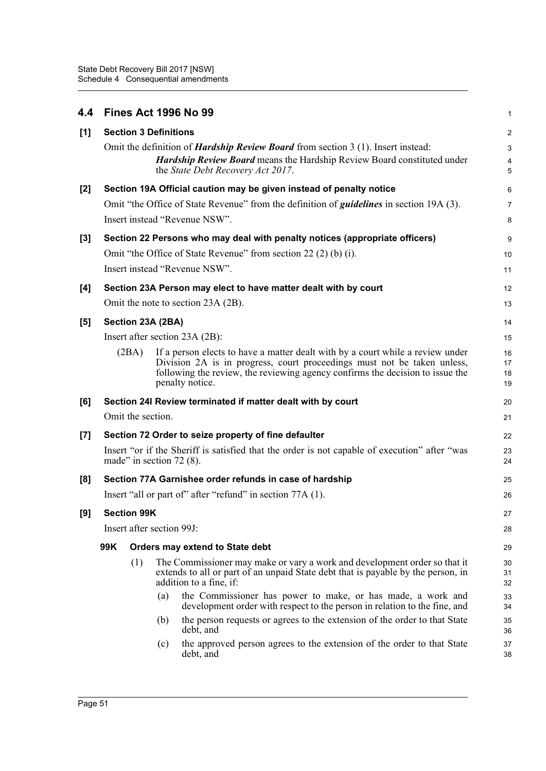| 4.4   |                                                                                                                             |                                                                             | <b>Fines Act 1996 No 99</b>                                                                                                                                                                                                                                   | 1                       |  |
|-------|-----------------------------------------------------------------------------------------------------------------------------|-----------------------------------------------------------------------------|---------------------------------------------------------------------------------------------------------------------------------------------------------------------------------------------------------------------------------------------------------------|-------------------------|--|
| [1]   |                                                                                                                             |                                                                             | <b>Section 3 Definitions</b>                                                                                                                                                                                                                                  | $\overline{\mathbf{c}}$ |  |
|       |                                                                                                                             |                                                                             | Omit the definition of <i>Hardship Review Board</i> from section $3(1)$ . Insert instead:                                                                                                                                                                     | 3                       |  |
|       |                                                                                                                             |                                                                             | Hardship Review Board means the Hardship Review Board constituted under<br>the State Debt Recovery Act 2017.                                                                                                                                                  | 4<br>5                  |  |
| $[2]$ |                                                                                                                             |                                                                             | Section 19A Official caution may be given instead of penalty notice                                                                                                                                                                                           | 6                       |  |
|       |                                                                                                                             |                                                                             | Omit "the Office of State Revenue" from the definition of <i>guidelines</i> in section 19A (3).                                                                                                                                                               | 7                       |  |
|       |                                                                                                                             |                                                                             | Insert instead "Revenue NSW".                                                                                                                                                                                                                                 | 8                       |  |
| [3]   |                                                                                                                             | Section 22 Persons who may deal with penalty notices (appropriate officers) |                                                                                                                                                                                                                                                               |                         |  |
|       |                                                                                                                             |                                                                             | Omit "the Office of State Revenue" from section 22 (2) (b) (i).                                                                                                                                                                                               | 10                      |  |
|       |                                                                                                                             |                                                                             | Insert instead "Revenue NSW".                                                                                                                                                                                                                                 | 11                      |  |
| [4]   |                                                                                                                             |                                                                             | Section 23A Person may elect to have matter dealt with by court                                                                                                                                                                                               | 12                      |  |
|       |                                                                                                                             |                                                                             | Omit the note to section 23A (2B).                                                                                                                                                                                                                            | 13                      |  |
| [5]   | Section 23A (2BA)                                                                                                           |                                                                             |                                                                                                                                                                                                                                                               | 14                      |  |
|       |                                                                                                                             |                                                                             | Insert after section 23A (2B):                                                                                                                                                                                                                                | 15                      |  |
|       |                                                                                                                             | (2BA)                                                                       | If a person elects to have a matter dealt with by a court while a review under<br>Division 2A is in progress, court proceedings must not be taken unless,<br>following the review, the reviewing agency confirms the decision to issue the<br>penalty notice. | 16<br>17<br>18<br>19    |  |
| [6]   |                                                                                                                             |                                                                             | Section 24I Review terminated if matter dealt with by court                                                                                                                                                                                                   | 20                      |  |
|       |                                                                                                                             | Omit the section.                                                           |                                                                                                                                                                                                                                                               | 21                      |  |
| $[7]$ |                                                                                                                             |                                                                             | Section 72 Order to seize property of fine defaulter                                                                                                                                                                                                          | 22                      |  |
|       | Insert "or if the Sheriff is satisfied that the order is not capable of execution" after "was<br>made" in section $72(8)$ . |                                                                             |                                                                                                                                                                                                                                                               |                         |  |
| [8]   | Section 77A Garnishee order refunds in case of hardship                                                                     |                                                                             |                                                                                                                                                                                                                                                               |                         |  |
|       |                                                                                                                             |                                                                             | Insert "all or part of" after "refund" in section 77A (1).                                                                                                                                                                                                    | 26                      |  |
| [9]   |                                                                                                                             | <b>Section 99K</b>                                                          |                                                                                                                                                                                                                                                               | 27                      |  |
|       |                                                                                                                             | Insert after section 99J:                                                   |                                                                                                                                                                                                                                                               |                         |  |
|       | 99K                                                                                                                         |                                                                             | <b>Orders may extend to State debt</b>                                                                                                                                                                                                                        | 29                      |  |
|       |                                                                                                                             | (1)                                                                         | The Commissioner may make or vary a work and development order so that it                                                                                                                                                                                     | 30                      |  |
|       |                                                                                                                             |                                                                             | extends to all or part of an unpaid State debt that is payable by the person, in<br>addition to a fine, if:                                                                                                                                                   | 31<br>32                |  |
|       |                                                                                                                             |                                                                             | the Commissioner has power to make, or has made, a work and<br>(a)<br>development order with respect to the person in relation to the fine, and                                                                                                               | 33<br>34                |  |
|       |                                                                                                                             |                                                                             | the person requests or agrees to the extension of the order to that State<br>(b)<br>debt, and                                                                                                                                                                 | 35<br>36                |  |
|       |                                                                                                                             |                                                                             | the approved person agrees to the extension of the order to that State<br>(c)<br>debt, and                                                                                                                                                                    | 37<br>38                |  |
|       |                                                                                                                             |                                                                             |                                                                                                                                                                                                                                                               |                         |  |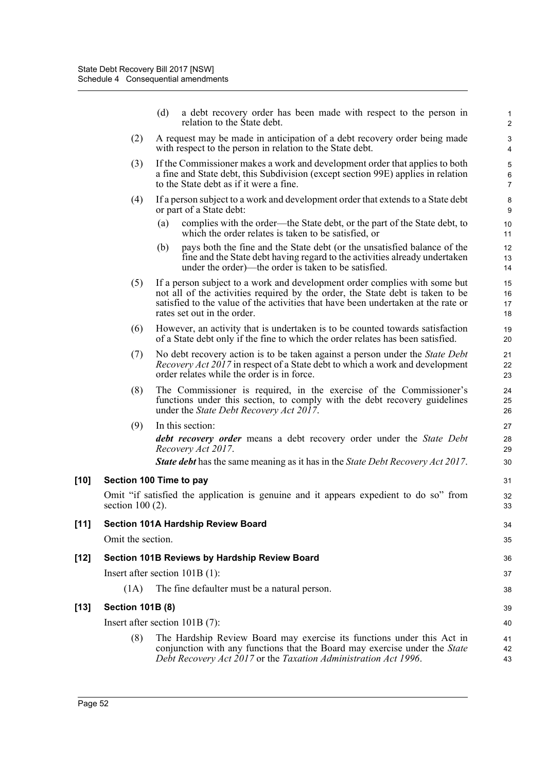|        |                                  | (d) | a debt recovery order has been made with respect to the person in<br>relation to the State debt.                                                                                                                                                                                 | $\mathbf{1}$<br>$\overline{2}$              |
|--------|----------------------------------|-----|----------------------------------------------------------------------------------------------------------------------------------------------------------------------------------------------------------------------------------------------------------------------------------|---------------------------------------------|
|        | (2)                              |     | A request may be made in anticipation of a debt recovery order being made<br>with respect to the person in relation to the State debt.                                                                                                                                           | $\ensuremath{\mathsf{3}}$<br>$\overline{4}$ |
|        | (3)                              |     | If the Commissioner makes a work and development order that applies to both<br>a fine and State debt, this Subdivision (except section 99E) applies in relation<br>to the State debt as if it were a fine.                                                                       | $\sqrt{5}$<br>6<br>$\overline{7}$           |
|        | (4)                              |     | If a person subject to a work and development order that extends to a State debt<br>or part of a State debt:                                                                                                                                                                     | 8<br>$\boldsymbol{9}$                       |
|        |                                  | (a) | complies with the order—the State debt, or the part of the State debt, to<br>which the order relates is taken to be satisfied, or                                                                                                                                                | 10<br>11                                    |
|        |                                  | (b) | pays both the fine and the State debt (or the unsatisfied balance of the<br>fine and the State debt having regard to the activities already undertaken<br>under the order)—the order is taken to be satisfied.                                                                   | 12<br>13<br>14                              |
|        | (5)                              |     | If a person subject to a work and development order complies with some but<br>not all of the activities required by the order, the State debt is taken to be<br>satisfied to the value of the activities that have been undertaken at the rate or<br>rates set out in the order. | 15<br>16<br>17<br>18                        |
|        | (6)                              |     | However, an activity that is undertaken is to be counted towards satisfaction<br>of a State debt only if the fine to which the order relates has been satisfied.                                                                                                                 | 19<br>20                                    |
|        | (7)                              |     | No debt recovery action is to be taken against a person under the State Debt<br><i>Recovery Act 2017</i> in respect of a State debt to which a work and development<br>order relates while the order is in force.                                                                | 21<br>22<br>23                              |
|        | (8)                              |     | The Commissioner is required, in the exercise of the Commissioner's<br>functions under this section, to comply with the debt recovery guidelines<br>under the <i>State Debt Recovery Act 2017</i> .                                                                              | 24<br>25<br>26                              |
|        | (9)                              |     | In this section:                                                                                                                                                                                                                                                                 | 27                                          |
|        |                                  |     | <b>debt recovery order</b> means a debt recovery order under the State Debt<br>Recovery Act 2017.                                                                                                                                                                                | 28<br>29                                    |
|        |                                  |     | <b>State debt</b> has the same meaning as it has in the <i>State Debt Recovery Act 2017</i> .                                                                                                                                                                                    | 30                                          |
| [10]   | Section 100 Time to pay          |     |                                                                                                                                                                                                                                                                                  | 31                                          |
|        | section $100(2)$ .               |     | Omit "if satisfied the application is genuine and it appears expedient to do so" from                                                                                                                                                                                            | 32<br>33                                    |
| $[11]$ |                                  |     | <b>Section 101A Hardship Review Board</b>                                                                                                                                                                                                                                        | 34                                          |
|        | Omit the section.                |     |                                                                                                                                                                                                                                                                                  | 35                                          |
| [12]   |                                  |     | Section 101B Reviews by Hardship Review Board                                                                                                                                                                                                                                    | 36                                          |
|        | Insert after section 101B (1):   |     |                                                                                                                                                                                                                                                                                  | 37                                          |
|        | (1A)                             |     | The fine defaulter must be a natural person.                                                                                                                                                                                                                                     | 38                                          |
| [13]   | <b>Section 101B (8)</b>          |     |                                                                                                                                                                                                                                                                                  |                                             |
|        | Insert after section $101B(7)$ : |     |                                                                                                                                                                                                                                                                                  | 40                                          |
|        | (8)                              |     | The Hardship Review Board may exercise its functions under this Act in<br>conjunction with any functions that the Board may exercise under the State<br>Debt Recovery Act 2017 or the Taxation Administration Act 1996.                                                          | 41<br>42<br>43                              |

[10]

 $[13]$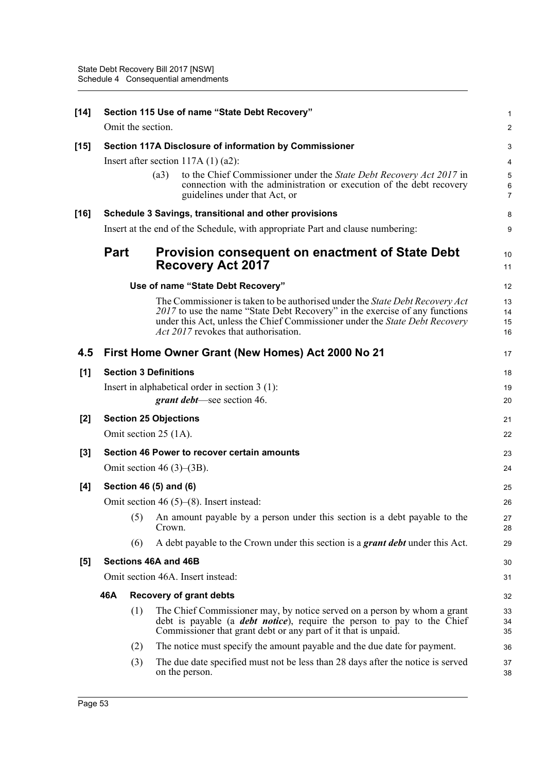| $[14]$ |                                                                                |                                                 | Section 115 Use of name "State Debt Recovery"                                                                                                                                                                                                                                             | 1                        |  |
|--------|--------------------------------------------------------------------------------|-------------------------------------------------|-------------------------------------------------------------------------------------------------------------------------------------------------------------------------------------------------------------------------------------------------------------------------------------------|--------------------------|--|
|        |                                                                                | Omit the section.                               |                                                                                                                                                                                                                                                                                           | $\overline{\mathbf{c}}$  |  |
| [15]   |                                                                                |                                                 | Section 117A Disclosure of information by Commissioner                                                                                                                                                                                                                                    | 3                        |  |
|        |                                                                                |                                                 | Insert after section $117A(1)(a2)$ :                                                                                                                                                                                                                                                      | 4                        |  |
|        |                                                                                |                                                 | to the Chief Commissioner under the State Debt Recovery Act 2017 in<br>(a3)<br>connection with the administration or execution of the debt recovery<br>guidelines under that Act, or                                                                                                      | 5<br>6<br>$\overline{7}$ |  |
| [16]   |                                                                                |                                                 | Schedule 3 Savings, transitional and other provisions                                                                                                                                                                                                                                     | 8                        |  |
|        | Insert at the end of the Schedule, with appropriate Part and clause numbering: |                                                 |                                                                                                                                                                                                                                                                                           |                          |  |
|        | <b>Part</b>                                                                    |                                                 | <b>Provision consequent on enactment of State Debt</b><br><b>Recovery Act 2017</b>                                                                                                                                                                                                        | 10<br>11                 |  |
|        |                                                                                |                                                 | Use of name "State Debt Recovery"                                                                                                                                                                                                                                                         | 12                       |  |
|        |                                                                                |                                                 | The Commissioner is taken to be authorised under the State Debt Recovery Act<br>2017 to use the name "State Debt Recovery" in the exercise of any functions<br>under this Act, unless the Chief Commissioner under the State Debt Recovery<br><i>Act 2017</i> revokes that authorisation. | 13<br>14<br>15<br>16     |  |
| 4.5    |                                                                                |                                                 | First Home Owner Grant (New Homes) Act 2000 No 21                                                                                                                                                                                                                                         | 17                       |  |
| [1]    | <b>Section 3 Definitions</b>                                                   |                                                 |                                                                                                                                                                                                                                                                                           |                          |  |
|        |                                                                                |                                                 | Insert in alphabetical order in section $3(1)$ :<br>grant debt—see section 46.                                                                                                                                                                                                            | 19<br>20                 |  |
| $[2]$  |                                                                                |                                                 | <b>Section 25 Objections</b>                                                                                                                                                                                                                                                              | 21                       |  |
|        |                                                                                |                                                 | Omit section 25 (1A).                                                                                                                                                                                                                                                                     | 22                       |  |
| $[3]$  | Section 46 Power to recover certain amounts                                    |                                                 |                                                                                                                                                                                                                                                                                           | 23                       |  |
|        |                                                                                |                                                 | Omit section 46 $(3)$ – $(3B)$ .                                                                                                                                                                                                                                                          | 24                       |  |
| [4]    | Section 46 (5) and (6)                                                         |                                                 |                                                                                                                                                                                                                                                                                           |                          |  |
|        |                                                                                | Omit section 46 $(5)$ – $(8)$ . Insert instead: |                                                                                                                                                                                                                                                                                           |                          |  |
|        |                                                                                |                                                 | (5) An amount payable by a person under this section is a debt payable to the<br>Crown.                                                                                                                                                                                                   | 27<br>28                 |  |
|        |                                                                                | (6)                                             | A debt payable to the Crown under this section is a grant debt under this Act.                                                                                                                                                                                                            | 29                       |  |
| [5]    |                                                                                |                                                 | Sections 46A and 46B                                                                                                                                                                                                                                                                      | 30                       |  |
|        |                                                                                | Omit section 46A. Insert instead:               |                                                                                                                                                                                                                                                                                           |                          |  |
|        | 46A                                                                            |                                                 | <b>Recovery of grant debts</b>                                                                                                                                                                                                                                                            | 32                       |  |
|        |                                                                                | (1)                                             | The Chief Commissioner may, by notice served on a person by whom a grant<br>debt is payable (a <i>debt notice</i> ), require the person to pay to the Chief<br>Commissioner that grant debt or any part of it that is unpaid.                                                             | 33<br>34<br>35           |  |
|        |                                                                                | (2)                                             | The notice must specify the amount payable and the due date for payment.                                                                                                                                                                                                                  | 36                       |  |
|        |                                                                                | (3)                                             | The due date specified must not be less than 28 days after the notice is served<br>on the person.                                                                                                                                                                                         | 37<br>38                 |  |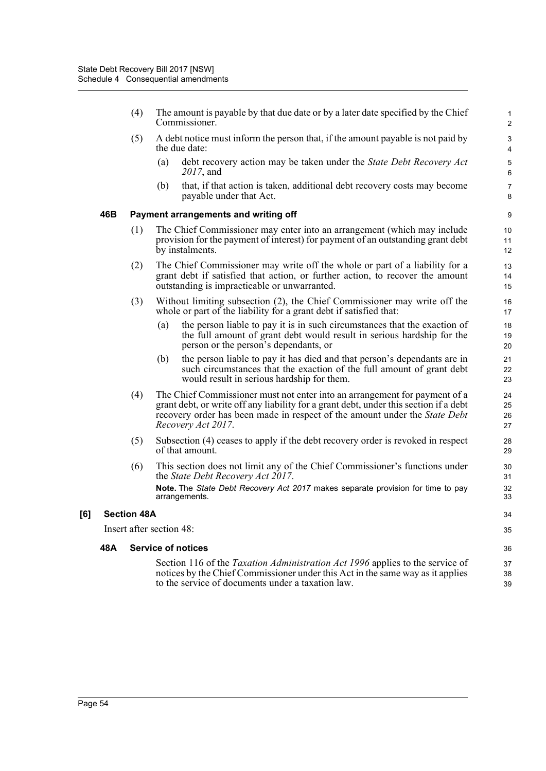- (4) The amount is payable by that due date or by a later date specified by the Chief Commissioner.
- (5) A debt notice must inform the person that, if the amount payable is not paid by the due date:
	- (a) debt recovery action may be taken under the *State Debt Recovery Act 2017*, and

(b) that, if that action is taken, additional debt recovery costs may become payable under that Act.

#### **46B Payment arrangements and writing off**

- (1) The Chief Commissioner may enter into an arrangement (which may include provision for the payment of interest) for payment of an outstanding grant debt by instalments.
- (2) The Chief Commissioner may write off the whole or part of a liability for a grant debt if satisfied that action, or further action, to recover the amount outstanding is impracticable or unwarranted.
- (3) Without limiting subsection (2), the Chief Commissioner may write off the whole or part of the liability for a grant debt if satisfied that:
	- (a) the person liable to pay it is in such circumstances that the exaction of the full amount of grant debt would result in serious hardship for the person or the person's dependants, or
	- (b) the person liable to pay it has died and that person's dependants are in such circumstances that the exaction of the full amount of grant debt would result in serious hardship for them.
- (4) The Chief Commissioner must not enter into an arrangement for payment of a grant debt, or write off any liability for a grant debt, under this section if a debt recovery order has been made in respect of the amount under the *State Debt Recovery Act 2017*.
- (5) Subsection (4) ceases to apply if the debt recovery order is revoked in respect of that amount.
- (6) This section does not limit any of the Chief Commissioner's functions under the *State Debt Recovery Act 2017*. **Note.** The *State Debt Recovery Act 2017* makes separate provision for time to pay arrangements.

#### **[6] Section 48A**

Insert after section 48:

#### **48A Service of notices**

Section 116 of the *Taxation Administration Act 1996* applies to the service of notices by the Chief Commissioner under this Act in the same way as it applies to the service of documents under a taxation law.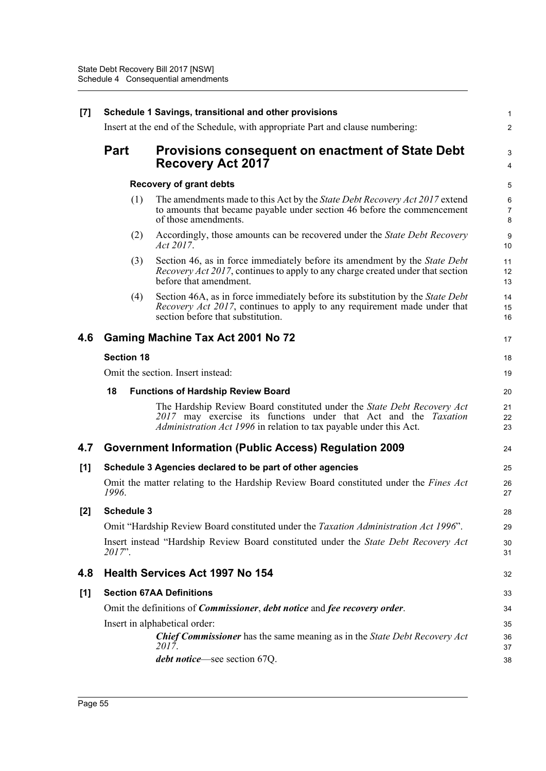| $[7]$ | Schedule 1 Savings, transitional and other provisions                                            |                                                                                                                                                                                                                  |                |  |  |  |
|-------|--------------------------------------------------------------------------------------------------|------------------------------------------------------------------------------------------------------------------------------------------------------------------------------------------------------------------|----------------|--|--|--|
|       | Insert at the end of the Schedule, with appropriate Part and clause numbering:                   |                                                                                                                                                                                                                  |                |  |  |  |
|       | <b>Part</b>                                                                                      | <b>Provisions consequent on enactment of State Debt</b><br><b>Recovery Act 2017</b>                                                                                                                              | 3<br>4         |  |  |  |
|       |                                                                                                  | <b>Recovery of grant debts</b>                                                                                                                                                                                   | 5              |  |  |  |
|       | (1)                                                                                              | The amendments made to this Act by the <i>State Debt Recovery Act 2017</i> extend<br>to amounts that became payable under section 46 before the commencement<br>of those amendments.                             | 6<br>7<br>8    |  |  |  |
|       | (2)                                                                                              | Accordingly, those amounts can be recovered under the <i>State Debt Recovery</i><br>Act 2017.                                                                                                                    | 9<br>10        |  |  |  |
|       | (3)                                                                                              | Section 46, as in force immediately before its amendment by the State Debt<br><i>Recovery Act 2017</i> , continues to apply to any charge created under that section<br>before that amendment.                   | 11<br>12<br>13 |  |  |  |
|       | (4)                                                                                              | Section 46A, as in force immediately before its substitution by the <i>State Debt</i><br><i>Recovery Act 2017</i> , continues to apply to any requirement made under that<br>section before that substitution.   | 14<br>15<br>16 |  |  |  |
| 4.6   |                                                                                                  | <b>Gaming Machine Tax Act 2001 No 72</b>                                                                                                                                                                         | 17             |  |  |  |
|       | <b>Section 18</b>                                                                                |                                                                                                                                                                                                                  |                |  |  |  |
|       | Omit the section. Insert instead:                                                                |                                                                                                                                                                                                                  |                |  |  |  |
|       | 18<br><b>Functions of Hardship Review Board</b>                                                  |                                                                                                                                                                                                                  |                |  |  |  |
|       |                                                                                                  | The Hardship Review Board constituted under the State Debt Recovery Act<br>2017 may exercise its functions under that Act and the Taxation<br>Administration Act 1996 in relation to tax payable under this Act. | 21<br>22<br>23 |  |  |  |
| 4.7   |                                                                                                  | <b>Government Information (Public Access) Regulation 2009</b>                                                                                                                                                    | 24             |  |  |  |
| [1]   |                                                                                                  | Schedule 3 Agencies declared to be part of other agencies                                                                                                                                                        | 25             |  |  |  |
|       | 1996.                                                                                            | Omit the matter relating to the Hardship Review Board constituted under the <i>Fines Act</i>                                                                                                                     | 26<br>27       |  |  |  |
| $[2]$ | <b>Schedule 3</b>                                                                                |                                                                                                                                                                                                                  |                |  |  |  |
|       |                                                                                                  | Omit "Hardship Review Board constituted under the Taxation Administration Act 1996".                                                                                                                             | 29             |  |  |  |
|       | 2017".                                                                                           | Insert instead "Hardship Review Board constituted under the State Debt Recovery Act                                                                                                                              | 30<br>31       |  |  |  |
| 4.8   |                                                                                                  | <b>Health Services Act 1997 No 154</b>                                                                                                                                                                           | 32             |  |  |  |
| [1]   | <b>Section 67AA Definitions</b>                                                                  |                                                                                                                                                                                                                  |                |  |  |  |
|       | Omit the definitions of <i>Commissioner</i> , <i>debt notice</i> and <i>fee recovery order</i> . |                                                                                                                                                                                                                  |                |  |  |  |
|       |                                                                                                  | Insert in alphabetical order:                                                                                                                                                                                    | 35             |  |  |  |
|       |                                                                                                  | <b>Chief Commissioner</b> has the same meaning as in the State Debt Recovery Act<br>2017.                                                                                                                        | 36<br>37       |  |  |  |
|       |                                                                                                  | <i>debt notice</i> —see section 67Q.                                                                                                                                                                             | 38             |  |  |  |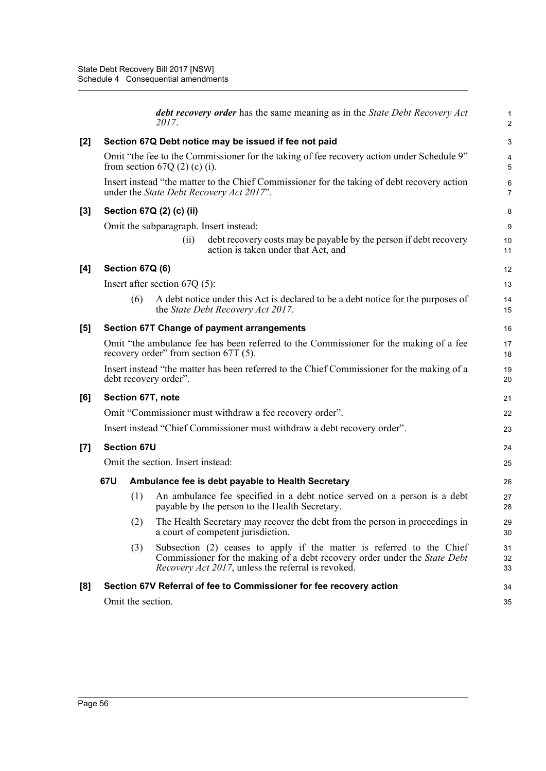|     |                                                                          |                    | <b>debt recovery order</b> has the same meaning as in the <i>State Debt Recovery Act</i><br>2017.                                                                                                                | 1<br>$\overline{2}$ |  |  |  |  |  |
|-----|--------------------------------------------------------------------------|--------------------|------------------------------------------------------------------------------------------------------------------------------------------------------------------------------------------------------------------|---------------------|--|--|--|--|--|
| [2] |                                                                          |                    | Section 67Q Debt notice may be issued if fee not paid                                                                                                                                                            | 3                   |  |  |  |  |  |
|     |                                                                          |                    | Omit "the fee to the Commissioner for the taking of fee recovery action under Schedule 9"<br>from section $67Q(2)$ (c) (i).                                                                                      | 4<br>5              |  |  |  |  |  |
|     |                                                                          |                    | Insert instead "the matter to the Chief Commissioner for the taking of debt recovery action<br>under the <i>State Debt Recovery Act 2017</i> ".                                                                  | 6<br>7              |  |  |  |  |  |
| [3] |                                                                          |                    | Section 67Q (2) (c) (ii)                                                                                                                                                                                         | 8                   |  |  |  |  |  |
|     | Omit the subparagraph. Insert instead:                                   |                    |                                                                                                                                                                                                                  |                     |  |  |  |  |  |
|     |                                                                          |                    | debt recovery costs may be payable by the person if debt recovery<br>(i)<br>action is taken under that Act, and                                                                                                  | 10<br>11            |  |  |  |  |  |
| [4] |                                                                          | Section 67Q (6)    |                                                                                                                                                                                                                  | 12                  |  |  |  |  |  |
|     |                                                                          |                    | Insert after section $67Q(5)$ :                                                                                                                                                                                  | 13                  |  |  |  |  |  |
|     |                                                                          | (6)                | A debt notice under this Act is declared to be a debt notice for the purposes of<br>the State Debt Recovery Act 2017.                                                                                            | 14<br>15            |  |  |  |  |  |
| [5] | <b>Section 67T Change of payment arrangements</b>                        |                    |                                                                                                                                                                                                                  |                     |  |  |  |  |  |
|     |                                                                          |                    | Omit "the ambulance fee has been referred to the Commissioner for the making of a fee<br>recovery order" from section 67T (5).                                                                                   | 17<br>18            |  |  |  |  |  |
|     |                                                                          |                    | Insert instead "the matter has been referred to the Chief Commissioner for the making of a<br>debt recovery order".                                                                                              | 19<br>20            |  |  |  |  |  |
| [6] | Section 67T, note                                                        |                    |                                                                                                                                                                                                                  |                     |  |  |  |  |  |
|     | Omit "Commissioner must withdraw a fee recovery order".                  |                    |                                                                                                                                                                                                                  |                     |  |  |  |  |  |
|     | Insert instead "Chief Commissioner must withdraw a debt recovery order". |                    |                                                                                                                                                                                                                  |                     |  |  |  |  |  |
| [7] |                                                                          | <b>Section 67U</b> |                                                                                                                                                                                                                  | 24                  |  |  |  |  |  |
|     |                                                                          |                    | Omit the section. Insert instead:                                                                                                                                                                                | 25                  |  |  |  |  |  |
|     | 67U                                                                      |                    | Ambulance fee is debt payable to Health Secretary                                                                                                                                                                | 26                  |  |  |  |  |  |
|     |                                                                          | (1)                | An ambulance fee specified in a debt notice served on a person is a debt<br>payable by the person to the Health Secretary.                                                                                       | 27<br>28            |  |  |  |  |  |
|     |                                                                          | (2)                | The Health Secretary may recover the debt from the person in proceedings in<br>a court of competent jurisdiction.                                                                                                | 29<br>30            |  |  |  |  |  |
|     |                                                                          | (3)                | Subsection (2) ceases to apply if the matter is referred to the Chief<br>Commissioner for the making of a debt recovery order under the State Debt<br><i>Recovery Act 2017</i> , unless the referral is revoked. | 31<br>32<br>33      |  |  |  |  |  |
| [8] |                                                                          |                    | Section 67V Referral of fee to Commissioner for fee recovery action                                                                                                                                              | 34                  |  |  |  |  |  |
|     |                                                                          |                    | Omit the section.                                                                                                                                                                                                | 35                  |  |  |  |  |  |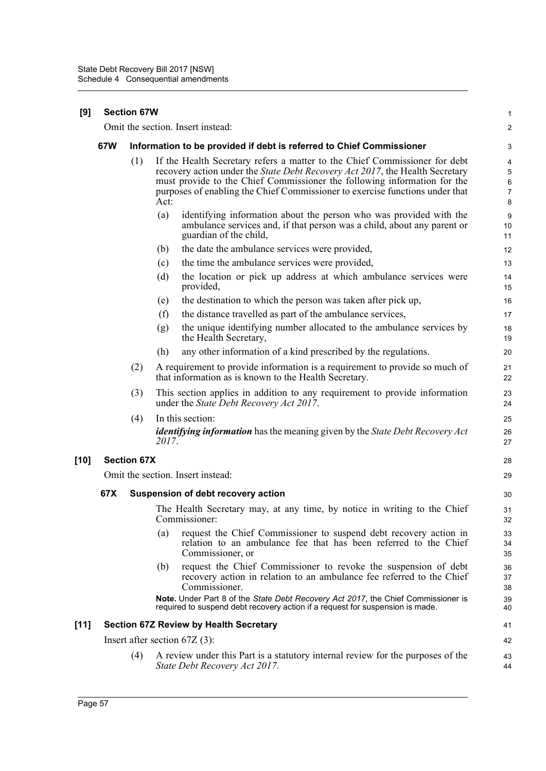| [9]    | <b>Section 67W</b> |                    |       |                                                                                                                                                                                                                                                                                                                        |                                    |  |
|--------|--------------------|--------------------|-------|------------------------------------------------------------------------------------------------------------------------------------------------------------------------------------------------------------------------------------------------------------------------------------------------------------------------|------------------------------------|--|
|        |                    |                    |       | Omit the section. Insert instead:                                                                                                                                                                                                                                                                                      | $\overline{\mathbf{c}}$            |  |
|        | 67W                |                    |       | Information to be provided if debt is referred to Chief Commissioner                                                                                                                                                                                                                                                   | 3                                  |  |
|        |                    | (1)                | Act:  | If the Health Secretary refers a matter to the Chief Commissioner for debt<br>recovery action under the State Debt Recovery Act 2017, the Health Secretary<br>must provide to the Chief Commissioner the following information for the<br>purposes of enabling the Chief Commissioner to exercise functions under that | 4<br>5<br>6<br>$\overline{7}$<br>8 |  |
|        |                    |                    | (a)   | identifying information about the person who was provided with the<br>ambulance services and, if that person was a child, about any parent or<br>guardian of the child,                                                                                                                                                | 9<br>10<br>11                      |  |
|        |                    |                    | (b)   | the date the ambulance services were provided,                                                                                                                                                                                                                                                                         | 12                                 |  |
|        |                    |                    | (c)   | the time the ambulance services were provided,                                                                                                                                                                                                                                                                         | 13                                 |  |
|        |                    |                    | (d)   | the location or pick up address at which ambulance services were<br>provided,                                                                                                                                                                                                                                          | 14<br>15                           |  |
|        |                    |                    | (e)   | the destination to which the person was taken after pick up,                                                                                                                                                                                                                                                           | 16                                 |  |
|        |                    |                    | (f)   | the distance travelled as part of the ambulance services,                                                                                                                                                                                                                                                              | 17                                 |  |
|        |                    |                    | (g)   | the unique identifying number allocated to the ambulance services by<br>the Health Secretary,                                                                                                                                                                                                                          | 18<br>19                           |  |
|        |                    |                    | (h)   | any other information of a kind prescribed by the regulations.                                                                                                                                                                                                                                                         | 20                                 |  |
|        |                    | (2)                |       | A requirement to provide information is a requirement to provide so much of<br>that information as is known to the Health Secretary.                                                                                                                                                                                   | 21<br>22                           |  |
|        |                    | (3)                |       | This section applies in addition to any requirement to provide information<br>under the State Debt Recovery Act 2017.                                                                                                                                                                                                  | 23<br>24                           |  |
|        |                    | (4)                |       | In this section:                                                                                                                                                                                                                                                                                                       | 25                                 |  |
|        |                    |                    | 2017. | <i>identifying information</i> has the meaning given by the State Debt Recovery Act                                                                                                                                                                                                                                    | 26<br>27                           |  |
| $[10]$ |                    | <b>Section 67X</b> |       |                                                                                                                                                                                                                                                                                                                        | 28                                 |  |
|        |                    |                    |       | Omit the section. Insert instead:                                                                                                                                                                                                                                                                                      | 29                                 |  |
|        | 67X                |                    |       | Suspension of debt recovery action                                                                                                                                                                                                                                                                                     | 30                                 |  |
|        |                    |                    |       | The Health Secretary may, at any time, by notice in writing to the Chief<br>Commissioner:                                                                                                                                                                                                                              | 31<br>32                           |  |
|        |                    |                    | (a)   | request the Chief Commissioner to suspend debt recovery action in<br>relation to an ambulance fee that has been referred to the Chief<br>Commissioner, or                                                                                                                                                              | 33<br>34<br>35                     |  |
|        |                    |                    | (b)   | request the Chief Commissioner to revoke the suspension of debt<br>recovery action in relation to an ambulance fee referred to the Chief<br>Commissioner.                                                                                                                                                              | 36<br>37<br>38                     |  |
|        |                    |                    |       | Note. Under Part 8 of the State Debt Recovery Act 2017, the Chief Commissioner is<br>required to suspend debt recovery action if a request for suspension is made.                                                                                                                                                     | 39<br>40                           |  |
| $[11]$ |                    |                    |       | <b>Section 67Z Review by Health Secretary</b>                                                                                                                                                                                                                                                                          | 41                                 |  |
|        |                    |                    |       | Insert after section $67Z(3)$ :                                                                                                                                                                                                                                                                                        | 42                                 |  |
|        |                    | (4)                |       | A review under this Part is a statutory internal review for the purposes of the<br>State Debt Recovery Act 2017.                                                                                                                                                                                                       | 43<br>44                           |  |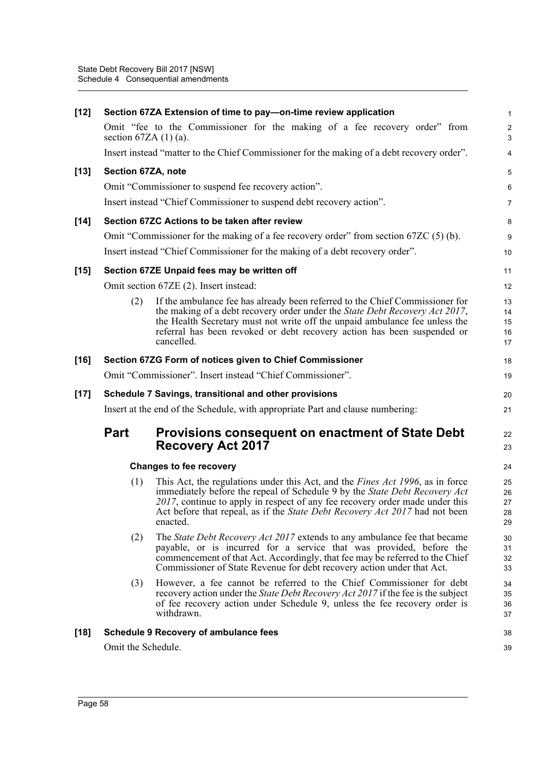| section $67ZA(1)(a)$ .<br>Section 67ZA, note | Omit "fee to the Commissioner for the making of a fee recovery order" from<br>Insert instead "matter to the Chief Commissioner for the making of a debt recovery order".<br>Omit "Commissioner to suspend fee recovery action".<br>Insert instead "Chief Commissioner to suspend debt recovery action".<br>Section 67ZC Actions to be taken after review<br>Omit "Commissioner for the making of a fee recovery order" from section $67ZC(5)$ (b).<br>Insert instead "Chief Commissioner for the making of a debt recovery order". | $\sqrt{2}$<br>$\mathbf{3}$<br>4<br>$\sqrt{5}$<br>6<br>$\overline{7}$<br>8<br>$\boldsymbol{9}$                                                                                                                                                                                                                                                                            |
|----------------------------------------------|------------------------------------------------------------------------------------------------------------------------------------------------------------------------------------------------------------------------------------------------------------------------------------------------------------------------------------------------------------------------------------------------------------------------------------------------------------------------------------------------------------------------------------|--------------------------------------------------------------------------------------------------------------------------------------------------------------------------------------------------------------------------------------------------------------------------------------------------------------------------------------------------------------------------|
|                                              |                                                                                                                                                                                                                                                                                                                                                                                                                                                                                                                                    |                                                                                                                                                                                                                                                                                                                                                                          |
|                                              |                                                                                                                                                                                                                                                                                                                                                                                                                                                                                                                                    |                                                                                                                                                                                                                                                                                                                                                                          |
|                                              |                                                                                                                                                                                                                                                                                                                                                                                                                                                                                                                                    |                                                                                                                                                                                                                                                                                                                                                                          |
|                                              |                                                                                                                                                                                                                                                                                                                                                                                                                                                                                                                                    |                                                                                                                                                                                                                                                                                                                                                                          |
|                                              |                                                                                                                                                                                                                                                                                                                                                                                                                                                                                                                                    |                                                                                                                                                                                                                                                                                                                                                                          |
|                                              |                                                                                                                                                                                                                                                                                                                                                                                                                                                                                                                                    |                                                                                                                                                                                                                                                                                                                                                                          |
|                                              |                                                                                                                                                                                                                                                                                                                                                                                                                                                                                                                                    |                                                                                                                                                                                                                                                                                                                                                                          |
|                                              |                                                                                                                                                                                                                                                                                                                                                                                                                                                                                                                                    | 10                                                                                                                                                                                                                                                                                                                                                                       |
|                                              | Section 67ZE Unpaid fees may be written off                                                                                                                                                                                                                                                                                                                                                                                                                                                                                        | 11                                                                                                                                                                                                                                                                                                                                                                       |
|                                              | Omit section 67ZE (2). Insert instead:                                                                                                                                                                                                                                                                                                                                                                                                                                                                                             | 12                                                                                                                                                                                                                                                                                                                                                                       |
| (2)                                          | If the ambulance fee has already been referred to the Chief Commissioner for<br>the making of a debt recovery order under the State Debt Recovery Act 2017,<br>the Health Secretary must not write off the unpaid ambulance fee unless the<br>referral has been revoked or debt recovery action has been suspended or<br>cancelled.                                                                                                                                                                                                | 13<br>14<br>15<br>16<br>17                                                                                                                                                                                                                                                                                                                                               |
|                                              |                                                                                                                                                                                                                                                                                                                                                                                                                                                                                                                                    | 18                                                                                                                                                                                                                                                                                                                                                                       |
|                                              |                                                                                                                                                                                                                                                                                                                                                                                                                                                                                                                                    | 19                                                                                                                                                                                                                                                                                                                                                                       |
|                                              |                                                                                                                                                                                                                                                                                                                                                                                                                                                                                                                                    | 20                                                                                                                                                                                                                                                                                                                                                                       |
|                                              |                                                                                                                                                                                                                                                                                                                                                                                                                                                                                                                                    | 21                                                                                                                                                                                                                                                                                                                                                                       |
| <b>Part</b>                                  | <b>Provisions consequent on enactment of State Debt</b><br><b>Recovery Act 2017</b>                                                                                                                                                                                                                                                                                                                                                                                                                                                | 22<br>23                                                                                                                                                                                                                                                                                                                                                                 |
|                                              |                                                                                                                                                                                                                                                                                                                                                                                                                                                                                                                                    | 24                                                                                                                                                                                                                                                                                                                                                                       |
| (1)                                          | This Act, the regulations under this Act, and the <i>Fines Act 1996</i> , as in force<br>immediately before the repeal of Schedule 9 by the State Debt Recovery Act<br>2017, continue to apply in respect of any fee recovery order made under this<br>Act before that repeal, as if the State Debt Recovery Act 2017 had not been<br>enacted.                                                                                                                                                                                     | 25<br>26<br>27<br>28<br>29                                                                                                                                                                                                                                                                                                                                               |
| (2)                                          | The State Debt Recovery Act 2017 extends to any ambulance fee that became<br>payable, or is incurred for a service that was provided, before the<br>commencement of that Act. Accordingly, that fee may be referred to the Chief<br>Commissioner of State Revenue for debt recovery action under that Act.                                                                                                                                                                                                                         | 30<br>31<br>32<br>33                                                                                                                                                                                                                                                                                                                                                     |
| (3)                                          | However, a fee cannot be referred to the Chief Commissioner for debt<br>recovery action under the <i>State Debt Recovery Act 2017</i> if the fee is the subject<br>of fee recovery action under Schedule 9, unless the fee recovery order is<br>withdrawn.                                                                                                                                                                                                                                                                         | 34<br>35<br>36<br>37                                                                                                                                                                                                                                                                                                                                                     |
|                                              |                                                                                                                                                                                                                                                                                                                                                                                                                                                                                                                                    | 38                                                                                                                                                                                                                                                                                                                                                                       |
|                                              |                                                                                                                                                                                                                                                                                                                                                                                                                                                                                                                                    | 39                                                                                                                                                                                                                                                                                                                                                                       |
|                                              |                                                                                                                                                                                                                                                                                                                                                                                                                                                                                                                                    | Section 67ZG Form of notices given to Chief Commissioner<br>Omit "Commissioner". Insert instead "Chief Commissioner".<br>Schedule 7 Savings, transitional and other provisions<br>Insert at the end of the Schedule, with appropriate Part and clause numbering:<br><b>Changes to fee recovery</b><br><b>Schedule 9 Recovery of ambulance fees</b><br>Omit the Schedule. |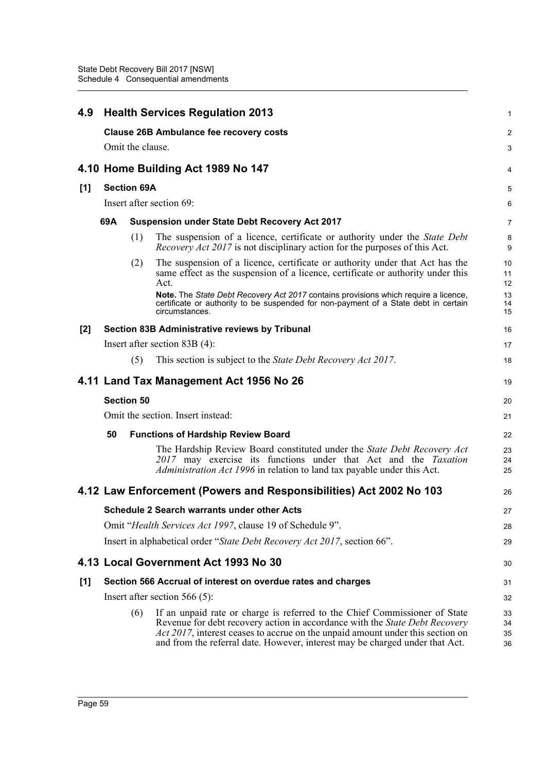| 4.9   | <b>Health Services Regulation 2013</b>                             |                    |                                                                                                                                                                                                                                                                                                                             |                      |  |  |  |  |  |  |
|-------|--------------------------------------------------------------------|--------------------|-----------------------------------------------------------------------------------------------------------------------------------------------------------------------------------------------------------------------------------------------------------------------------------------------------------------------------|----------------------|--|--|--|--|--|--|
|       | <b>Clause 26B Ambulance fee recovery costs</b><br>Omit the clause. |                    |                                                                                                                                                                                                                                                                                                                             |                      |  |  |  |  |  |  |
|       |                                                                    |                    |                                                                                                                                                                                                                                                                                                                             | 3                    |  |  |  |  |  |  |
|       | 4.10 Home Building Act 1989 No 147                                 |                    |                                                                                                                                                                                                                                                                                                                             |                      |  |  |  |  |  |  |
| [1]   |                                                                    | <b>Section 69A</b> |                                                                                                                                                                                                                                                                                                                             | 5                    |  |  |  |  |  |  |
|       | Insert after section 69:                                           |                    |                                                                                                                                                                                                                                                                                                                             |                      |  |  |  |  |  |  |
|       | 69A                                                                |                    | <b>Suspension under State Debt Recovery Act 2017</b>                                                                                                                                                                                                                                                                        | $\overline{7}$       |  |  |  |  |  |  |
|       |                                                                    | (1)                | The suspension of a licence, certificate or authority under the State Debt<br><i>Recovery Act 2017</i> is not disciplinary action for the purposes of this Act.                                                                                                                                                             | 8<br>9               |  |  |  |  |  |  |
|       |                                                                    | (2)                | The suspension of a licence, certificate or authority under that Act has the<br>same effect as the suspension of a licence, certificate or authority under this<br>Act.                                                                                                                                                     | 10<br>11<br>12       |  |  |  |  |  |  |
|       |                                                                    |                    | Note. The State Debt Recovery Act 2017 contains provisions which require a licence,<br>certificate or authority to be suspended for non-payment of a State debt in certain<br>circumstances.                                                                                                                                | 13<br>14<br>15       |  |  |  |  |  |  |
| $[2]$ |                                                                    |                    | Section 83B Administrative reviews by Tribunal                                                                                                                                                                                                                                                                              | 16                   |  |  |  |  |  |  |
|       |                                                                    |                    | Insert after section $83B(4)$ :                                                                                                                                                                                                                                                                                             | 17                   |  |  |  |  |  |  |
|       |                                                                    | (5)                | This section is subject to the State Debt Recovery Act 2017.                                                                                                                                                                                                                                                                | 18                   |  |  |  |  |  |  |
|       |                                                                    |                    | 4.11 Land Tax Management Act 1956 No 26                                                                                                                                                                                                                                                                                     | 19                   |  |  |  |  |  |  |
|       |                                                                    | <b>Section 50</b>  |                                                                                                                                                                                                                                                                                                                             | 20                   |  |  |  |  |  |  |
|       |                                                                    |                    | Omit the section. Insert instead:                                                                                                                                                                                                                                                                                           | 21                   |  |  |  |  |  |  |
|       | 50<br><b>Functions of Hardship Review Board</b>                    |                    |                                                                                                                                                                                                                                                                                                                             |                      |  |  |  |  |  |  |
|       |                                                                    |                    | The Hardship Review Board constituted under the State Debt Recovery Act<br>2017 may exercise its functions under that Act and the Taxation<br><i>Administration Act 1996</i> in relation to land tax payable under this Act.                                                                                                | 23<br>24<br>25       |  |  |  |  |  |  |
|       |                                                                    |                    | 4.12 Law Enforcement (Powers and Responsibilities) Act 2002 No 103                                                                                                                                                                                                                                                          | 26                   |  |  |  |  |  |  |
|       |                                                                    |                    | <b>Schedule 2 Search warrants under other Acts</b>                                                                                                                                                                                                                                                                          | 27                   |  |  |  |  |  |  |
|       |                                                                    |                    | Omit "Health Services Act 1997, clause 19 of Schedule 9".                                                                                                                                                                                                                                                                   | 28                   |  |  |  |  |  |  |
|       |                                                                    |                    | Insert in alphabetical order "State Debt Recovery Act 2017, section 66".                                                                                                                                                                                                                                                    | 29                   |  |  |  |  |  |  |
|       |                                                                    |                    | 4.13 Local Government Act 1993 No 30                                                                                                                                                                                                                                                                                        | 30                   |  |  |  |  |  |  |
| [1]   |                                                                    |                    | Section 566 Accrual of interest on overdue rates and charges                                                                                                                                                                                                                                                                | 31                   |  |  |  |  |  |  |
|       |                                                                    |                    | Insert after section $566(5)$ :                                                                                                                                                                                                                                                                                             | 32                   |  |  |  |  |  |  |
|       |                                                                    | (6)                | If an unpaid rate or charge is referred to the Chief Commissioner of State<br>Revenue for debt recovery action in accordance with the State Debt Recovery<br>Act 2017, interest ceases to accrue on the unpaid amount under this section on<br>and from the referral date. However, interest may be charged under that Act. | 33<br>34<br>35<br>36 |  |  |  |  |  |  |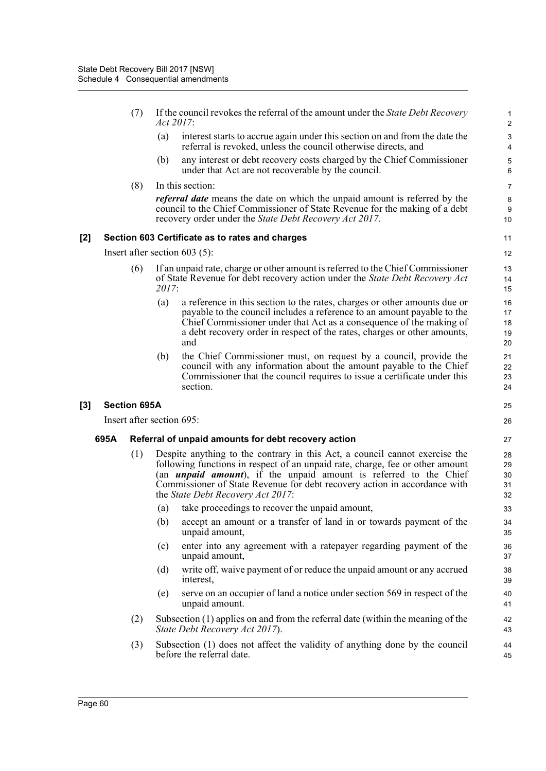- (7) If the council revokes the referral of the amount under the *State Debt Recovery Act 2017*: (a) interest starts to accrue again under this section on and from the date the referral is revoked, unless the council otherwise directs, and (b) any interest or debt recovery costs charged by the Chief Commissioner under that Act are not recoverable by the council. (8) In this section: *referral date* means the date on which the unpaid amount is referred by the council to the Chief Commissioner of State Revenue for the making of a debt recovery order under the *State Debt Recovery Act 2017*. **[2] Section 603 Certificate as to rates and charges** Insert after section 603 (5): 1 2 3 4 5 6 7 **8**  $\alpha$ 10 11 12
	- (6) If an unpaid rate, charge or other amount is referred to the Chief Commissioner of State Revenue for debt recovery action under the *State Debt Recovery Act 2017*:
		- (a) a reference in this section to the rates, charges or other amounts due or payable to the council includes a reference to an amount payable to the Chief Commissioner under that Act as a consequence of the making of a debt recovery order in respect of the rates, charges or other amounts, and

(b) the Chief Commissioner must, on request by a council, provide the council with any information about the amount payable to the Chief Commissioner that the council requires to issue a certificate under this section.

# **[3] Section 695A**

Insert after section 695:

# **695A Referral of unpaid amounts for debt recovery action**

- (1) Despite anything to the contrary in this Act, a council cannot exercise the following functions in respect of an unpaid rate, charge, fee or other amount (an *unpaid amount*), if the unpaid amount is referred to the Chief Commissioner of State Revenue for debt recovery action in accordance with the *State Debt Recovery Act 2017*:
	- (a) take proceedings to recover the unpaid amount,
	- (b) accept an amount or a transfer of land in or towards payment of the unpaid amount,
	- (c) enter into any agreement with a ratepayer regarding payment of the unpaid amount,
	- (d) write off, waive payment of or reduce the unpaid amount or any accrued interest,
	- (e) serve on an occupier of land a notice under section 569 in respect of the unpaid amount.
- (2) Subsection (1) applies on and from the referral date (within the meaning of the *State Debt Recovery Act 2017*).
- (3) Subsection (1) does not affect the validity of anything done by the council before the referral date.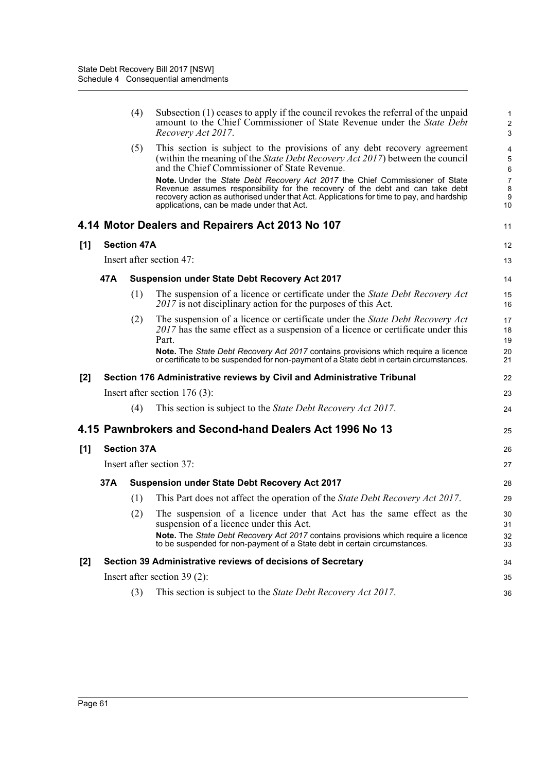|       |     | (4)                | Subsection (1) ceases to apply if the council revokes the referral of the unpaid<br>amount to the Chief Commissioner of State Revenue under the State Debt<br>Recovery Act 2017.                                                                                                                       | $\mathbf{1}$<br>$\sqrt{2}$<br>3 |
|-------|-----|--------------------|--------------------------------------------------------------------------------------------------------------------------------------------------------------------------------------------------------------------------------------------------------------------------------------------------------|---------------------------------|
|       |     | (5)                | This section is subject to the provisions of any debt recovery agreement<br>(within the meaning of the <i>State Debt Recovery Act 2017</i> ) between the council<br>and the Chief Commissioner of State Revenue.                                                                                       | 4<br>5<br>6                     |
|       |     |                    | Note. Under the State Debt Recovery Act 2017 the Chief Commissioner of State<br>Revenue assumes responsibility for the recovery of the debt and can take debt<br>recovery action as authorised under that Act. Applications for time to pay, and hardship<br>applications, can be made under that Act. | $\overline{7}$<br>8<br>9<br>10  |
|       |     |                    | 4.14 Motor Dealers and Repairers Act 2013 No 107                                                                                                                                                                                                                                                       | 11                              |
| [1]   |     | <b>Section 47A</b> |                                                                                                                                                                                                                                                                                                        | 12                              |
|       |     |                    | Insert after section 47:                                                                                                                                                                                                                                                                               | 13                              |
|       | 47A |                    | <b>Suspension under State Debt Recovery Act 2017</b>                                                                                                                                                                                                                                                   | 14                              |
|       |     | (1)                | The suspension of a licence or certificate under the State Debt Recovery Act<br>2017 is not disciplinary action for the purposes of this Act.                                                                                                                                                          | 15<br>16                        |
|       |     | (2)                | The suspension of a licence or certificate under the State Debt Recovery Act<br>$2017$ has the same effect as a suspension of a licence or certificate under this<br>Part.                                                                                                                             | 17<br>18<br>19                  |
|       |     |                    | <b>Note.</b> The <i>State Debt Recovery Act 2017</i> contains provisions which require a licence<br>or certificate to be suspended for non-payment of a State debt in certain circumstances.                                                                                                           | 20<br>21                        |
| $[2]$ |     |                    | Section 176 Administrative reviews by Civil and Administrative Tribunal                                                                                                                                                                                                                                | 22                              |
|       |     |                    | Insert after section 176 (3):                                                                                                                                                                                                                                                                          | 23                              |
|       |     | (4)                | This section is subject to the <i>State Debt Recovery Act 2017</i> .                                                                                                                                                                                                                                   | 24                              |
|       |     |                    | 4.15 Pawnbrokers and Second-hand Dealers Act 1996 No 13                                                                                                                                                                                                                                                | 25                              |
| [1]   |     | <b>Section 37A</b> |                                                                                                                                                                                                                                                                                                        | 26                              |
|       |     |                    | Insert after section 37:                                                                                                                                                                                                                                                                               | 27                              |
|       | 37A |                    | <b>Suspension under State Debt Recovery Act 2017</b>                                                                                                                                                                                                                                                   | 28                              |
|       |     | (1)                | This Part does not affect the operation of the <i>State Debt Recovery Act 2017</i> .                                                                                                                                                                                                                   | 29                              |
|       |     | (2)                | The suspension of a licence under that Act has the same effect as the<br>suspension of a licence under this Act.                                                                                                                                                                                       | 30<br>31                        |
|       |     |                    | Note. The State Debt Recovery Act 2017 contains provisions which require a licence<br>to be suspended for non-payment of a State debt in certain circumstances.                                                                                                                                        | 32<br>33                        |
| [2]   |     |                    | Section 39 Administrative reviews of decisions of Secretary                                                                                                                                                                                                                                            | 34                              |
|       |     |                    | Insert after section $39(2)$ :                                                                                                                                                                                                                                                                         | 35                              |
|       |     | (3)                | This section is subject to the <i>State Debt Recovery Act 2017</i> .                                                                                                                                                                                                                                   | 36                              |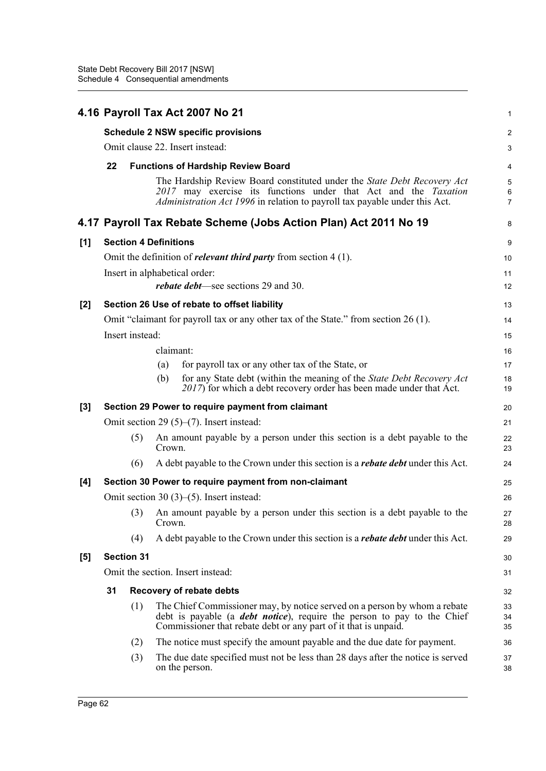|       |                                                       |                              |           | 4.16 Payroll Tax Act 2007 No 21                                                                                                                                                                                                 | 1                        |  |  |  |
|-------|-------------------------------------------------------|------------------------------|-----------|---------------------------------------------------------------------------------------------------------------------------------------------------------------------------------------------------------------------------------|--------------------------|--|--|--|
|       |                                                       |                              |           | <b>Schedule 2 NSW specific provisions</b>                                                                                                                                                                                       | 2                        |  |  |  |
|       | Omit clause 22. Insert instead:                       |                              |           |                                                                                                                                                                                                                                 |                          |  |  |  |
|       | 22                                                    |                              |           | <b>Functions of Hardship Review Board</b>                                                                                                                                                                                       | 4                        |  |  |  |
|       |                                                       |                              |           | The Hardship Review Board constituted under the State Debt Recovery Act<br>2017 may exercise its functions under that Act and the Taxation<br>Administration Act 1996 in relation to payroll tax payable under this Act.        | 5<br>6<br>$\overline{7}$ |  |  |  |
|       |                                                       |                              |           | 4.17 Payroll Tax Rebate Scheme (Jobs Action Plan) Act 2011 No 19                                                                                                                                                                | 8                        |  |  |  |
| [1]   |                                                       | <b>Section 4 Definitions</b> |           |                                                                                                                                                                                                                                 | 9                        |  |  |  |
|       |                                                       |                              |           | Omit the definition of <i>relevant third party</i> from section $4(1)$ .                                                                                                                                                        | 10                       |  |  |  |
|       |                                                       |                              |           | Insert in alphabetical order:                                                                                                                                                                                                   | 11                       |  |  |  |
|       |                                                       |                              |           | <i>rebate debt</i> —see sections 29 and 30.                                                                                                                                                                                     | 12                       |  |  |  |
| $[2]$ |                                                       |                              |           | Section 26 Use of rebate to offset liability                                                                                                                                                                                    | 13                       |  |  |  |
|       |                                                       |                              |           | Omit "claimant for payroll tax or any other tax of the State." from section 26 (1).                                                                                                                                             | 14                       |  |  |  |
|       | Insert instead:                                       |                              |           |                                                                                                                                                                                                                                 |                          |  |  |  |
|       |                                                       |                              | claimant: |                                                                                                                                                                                                                                 | 16                       |  |  |  |
|       |                                                       |                              | (a)       | for payroll tax or any other tax of the State, or                                                                                                                                                                               | 17                       |  |  |  |
|       |                                                       |                              | (b)       | for any State debt (within the meaning of the State Debt Recovery Act<br>2017) for which a debt recovery order has been made under that Act.                                                                                    | 18<br>19                 |  |  |  |
| $[3]$ | Section 29 Power to require payment from claimant     |                              |           |                                                                                                                                                                                                                                 |                          |  |  |  |
|       | Omit section 29 $(5)$ – $(7)$ . Insert instead:       |                              |           |                                                                                                                                                                                                                                 |                          |  |  |  |
|       |                                                       | (5)                          | Crown.    | An amount payable by a person under this section is a debt payable to the                                                                                                                                                       | 22<br>23                 |  |  |  |
|       |                                                       | (6)                          |           | A debt payable to the Crown under this section is a <i>rebate debt</i> under this Act.                                                                                                                                          | 24                       |  |  |  |
| [4]   | Section 30 Power to require payment from non-claimant |                              |           |                                                                                                                                                                                                                                 |                          |  |  |  |
|       |                                                       |                              |           | Omit section 30 $(3)$ – $(5)$ . Insert instead:                                                                                                                                                                                 | 26                       |  |  |  |
|       |                                                       |                              | Crown.    | (3) An amount payable by a person under this section is a debt payable to the                                                                                                                                                   | 27<br>28                 |  |  |  |
|       |                                                       | (4)                          |           | A debt payable to the Crown under this section is a <i>rebate debt</i> under this Act.                                                                                                                                          | 29                       |  |  |  |
| [5]   |                                                       | <b>Section 31</b>            |           |                                                                                                                                                                                                                                 | 30                       |  |  |  |
|       |                                                       |                              |           | Omit the section. Insert instead:                                                                                                                                                                                               | 31                       |  |  |  |
|       | 31                                                    |                              |           | Recovery of rebate debts                                                                                                                                                                                                        | 32                       |  |  |  |
|       |                                                       | (1)                          |           | The Chief Commissioner may, by notice served on a person by whom a rebate<br>debt is payable (a <i>debt notice</i> ), require the person to pay to the Chief<br>Commissioner that rebate debt or any part of it that is unpaid. | 33<br>34<br>35           |  |  |  |
|       |                                                       | (2)                          |           | The notice must specify the amount payable and the due date for payment.                                                                                                                                                        | 36                       |  |  |  |
|       |                                                       | (3)                          |           | The due date specified must not be less than 28 days after the notice is served<br>on the person.                                                                                                                               | 37<br>38                 |  |  |  |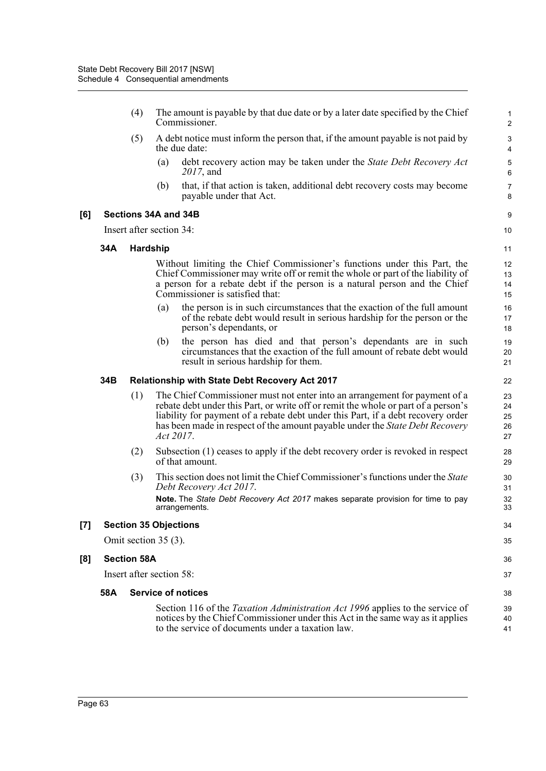- (4) The amount is payable by that due date or by a later date specified by the Chief Commissioner.
- (5) A debt notice must inform the person that, if the amount payable is not paid by the due date:
	- (a) debt recovery action may be taken under the *State Debt Recovery Act 2017*, and

36 37

(b) that, if that action is taken, additional debt recovery costs may become payable under that Act.

## **[6] Sections 34A and 34B**

Insert after section 34:

### **34A Hardship**

Without limiting the Chief Commissioner's functions under this Part, the Chief Commissioner may write off or remit the whole or part of the liability of a person for a rebate debt if the person is a natural person and the Chief Commissioner is satisfied that:

- (a) the person is in such circumstances that the exaction of the full amount of the rebate debt would result in serious hardship for the person or the person's dependants, or
- (b) the person has died and that person's dependants are in such circumstances that the exaction of the full amount of rebate debt would result in serious hardship for them.

### **34B Relationship with State Debt Recovery Act 2017**

- (1) The Chief Commissioner must not enter into an arrangement for payment of a rebate debt under this Part, or write off or remit the whole or part of a person's liability for payment of a rebate debt under this Part, if a debt recovery order has been made in respect of the amount payable under the *State Debt Recovery Act 2017*.
- (2) Subsection (1) ceases to apply if the debt recovery order is revoked in respect of that amount.
- (3) This section does not limit the Chief Commissioner's functions under the *State Debt Recovery Act 2017*. **Note.** The *State Debt Recovery Act 2017* makes separate provision for time to pay arrangements.

### **[7] Section 35 Objections**

Omit section 35 (3).

### **[8] Section 58A**

Insert after section 58:

### **58A Service of notices**

Section 116 of the *Taxation Administration Act 1996* applies to the service of notices by the Chief Commissioner under this Act in the same way as it applies to the service of documents under a taxation law.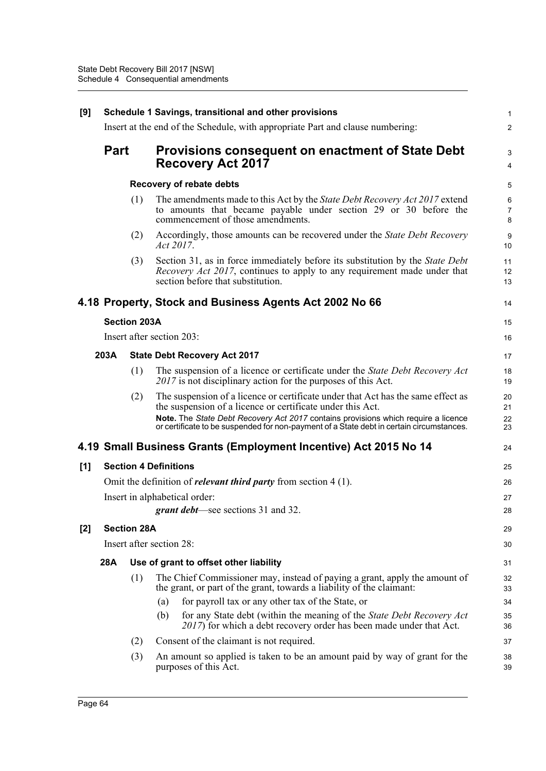| [9]   | Schedule 1 Savings, transitional and other provisions |                              |           |                                                                                                                                                                                                        |                |  |
|-------|-------------------------------------------------------|------------------------------|-----------|--------------------------------------------------------------------------------------------------------------------------------------------------------------------------------------------------------|----------------|--|
|       |                                                       |                              |           | Insert at the end of the Schedule, with appropriate Part and clause numbering:                                                                                                                         | $\overline{c}$ |  |
|       | <b>Part</b>                                           |                              |           | <b>Provisions consequent on enactment of State Debt</b><br><b>Recovery Act 2017</b>                                                                                                                    | 3<br>4         |  |
|       |                                                       |                              |           | <b>Recovery of rebate debts</b>                                                                                                                                                                        | 5              |  |
|       |                                                       | (1)                          |           | The amendments made to this Act by the <i>State Debt Recovery Act 2017</i> extend<br>to amounts that became payable under section 29 or 30 before the<br>commencement of those amendments.             | 6<br>7<br>8    |  |
|       |                                                       | (2)                          | Act 2017. | Accordingly, those amounts can be recovered under the State Debt Recovery                                                                                                                              | 9<br>10        |  |
|       |                                                       | (3)                          |           | Section 31, as in force immediately before its substitution by the State Debt<br><i>Recovery Act 2017</i> , continues to apply to any requirement made under that<br>section before that substitution. | 11<br>12<br>13 |  |
|       |                                                       |                              |           | 4.18 Property, Stock and Business Agents Act 2002 No 66                                                                                                                                                | 14             |  |
|       |                                                       | <b>Section 203A</b>          |           |                                                                                                                                                                                                        | 15             |  |
|       |                                                       | Insert after section 203:    |           |                                                                                                                                                                                                        | 16             |  |
|       | 203A                                                  |                              |           | <b>State Debt Recovery Act 2017</b>                                                                                                                                                                    | 17             |  |
|       |                                                       | (1)                          |           | The suspension of a licence or certificate under the State Debt Recovery Act<br>2017 is not disciplinary action for the purposes of this Act.                                                          | 18<br>19       |  |
|       |                                                       | (2)                          |           | The suspension of a licence or certificate under that Act has the same effect as<br>the suspension of a licence or certificate under this Act.                                                         | 20<br>21       |  |
|       |                                                       |                              |           | Note. The State Debt Recovery Act 2017 contains provisions which require a licence<br>or certificate to be suspended for non-payment of a State debt in certain circumstances.                         | 22<br>23       |  |
|       |                                                       |                              |           | 4.19 Small Business Grants (Employment Incentive) Act 2015 No 14                                                                                                                                       | 24             |  |
| [1]   |                                                       | <b>Section 4 Definitions</b> |           |                                                                                                                                                                                                        | 25             |  |
|       |                                                       |                              |           | Omit the definition of <i>relevant third party</i> from section $4(1)$ .                                                                                                                               | 26             |  |
|       |                                                       |                              |           | Insert in alphabetical order:                                                                                                                                                                          | 27             |  |
|       |                                                       |                              |           | <b>grant debt</b> —see sections 31 and 32.                                                                                                                                                             | 28             |  |
| $[2]$ |                                                       | <b>Section 28A</b>           |           |                                                                                                                                                                                                        | 29             |  |
|       |                                                       | Insert after section 28:     |           |                                                                                                                                                                                                        | 30             |  |
|       | 28A                                                   |                              |           | Use of grant to offset other liability                                                                                                                                                                 | 31             |  |
|       |                                                       | (1)                          |           | The Chief Commissioner may, instead of paying a grant, apply the amount of<br>the grant, or part of the grant, towards a liability of the claimant:                                                    | 32<br>33       |  |
|       |                                                       |                              | (a)       | for payroll tax or any other tax of the State, or                                                                                                                                                      | 34             |  |
|       |                                                       |                              | (b)       | for any State debt (within the meaning of the State Debt Recovery Act<br>2017) for which a debt recovery order has been made under that Act.                                                           | 35<br>36       |  |
|       |                                                       | (2)                          |           | Consent of the claimant is not required.                                                                                                                                                               | 37             |  |
|       |                                                       | (3)                          |           | An amount so applied is taken to be an amount paid by way of grant for the<br>purposes of this Act.                                                                                                    | 38<br>39       |  |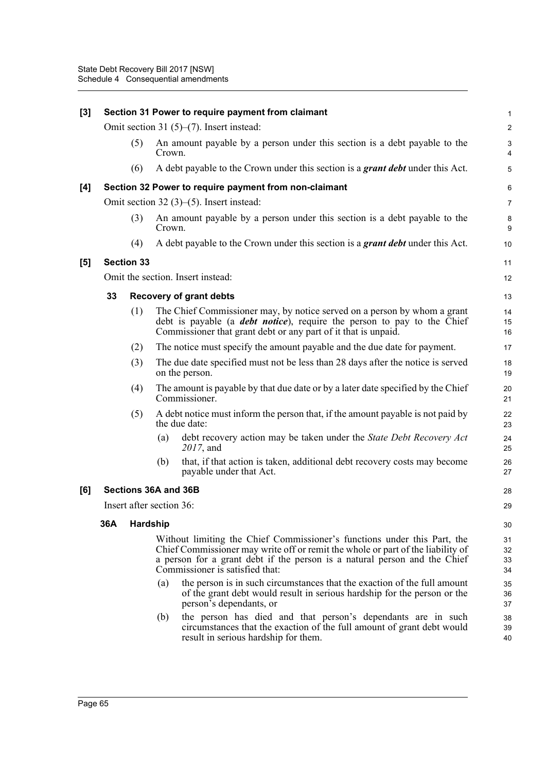| [3] |     |                          |        | Section 31 Power to require payment from claimant                                                                                                                                                                                                                           | $\mathbf{1}$         |
|-----|-----|--------------------------|--------|-----------------------------------------------------------------------------------------------------------------------------------------------------------------------------------------------------------------------------------------------------------------------------|----------------------|
|     |     |                          |        | Omit section 31 $(5)$ – $(7)$ . Insert instead:                                                                                                                                                                                                                             | $\overline{c}$       |
|     |     | (5)                      | Crown. | An amount payable by a person under this section is a debt payable to the                                                                                                                                                                                                   | 3<br>4               |
|     |     | (6)                      |        | A debt payable to the Crown under this section is a grant debt under this Act.                                                                                                                                                                                              | $\sqrt{5}$           |
| [4] |     |                          |        | Section 32 Power to require payment from non-claimant                                                                                                                                                                                                                       | 6                    |
|     |     |                          |        | Omit section $32(3)$ – $(5)$ . Insert instead:                                                                                                                                                                                                                              | $\overline{7}$       |
|     |     | (3)                      | Crown. | An amount payable by a person under this section is a debt payable to the                                                                                                                                                                                                   | 8<br>9               |
|     |     | (4)                      |        | A debt payable to the Crown under this section is a grant debt under this Act.                                                                                                                                                                                              | 10                   |
| [5] |     | <b>Section 33</b>        |        |                                                                                                                                                                                                                                                                             | 11                   |
|     |     |                          |        | Omit the section. Insert instead:                                                                                                                                                                                                                                           | 12                   |
|     | 33  |                          |        | <b>Recovery of grant debts</b>                                                                                                                                                                                                                                              | 13                   |
|     |     | (1)                      |        | The Chief Commissioner may, by notice served on a person by whom a grant<br>debt is payable (a <b><i>debt notice</i></b> ), require the person to pay to the Chief<br>Commissioner that grant debt or any part of it that is unpaid.                                        | 14<br>15<br>16       |
|     |     | (2)                      |        | The notice must specify the amount payable and the due date for payment.                                                                                                                                                                                                    | 17                   |
|     |     | (3)                      |        | The due date specified must not be less than 28 days after the notice is served<br>on the person.                                                                                                                                                                           | 18<br>19             |
|     |     | (4)                      |        | The amount is payable by that due date or by a later date specified by the Chief<br>Commissioner.                                                                                                                                                                           | 20<br>21             |
|     |     | (5)                      |        | A debt notice must inform the person that, if the amount payable is not paid by<br>the due date:                                                                                                                                                                            | 22<br>23             |
|     |     |                          | (a)    | debt recovery action may be taken under the State Debt Recovery Act<br>2017, and                                                                                                                                                                                            | 24<br>25             |
|     |     |                          | (b)    | that, if that action is taken, additional debt recovery costs may become<br>payable under that Act.                                                                                                                                                                         | 26<br>27             |
| [6] |     | Sections 36A and 36B     |        |                                                                                                                                                                                                                                                                             | 28                   |
|     |     | Insert after section 36: |        |                                                                                                                                                                                                                                                                             | 29                   |
|     | 36A | <b>Hardship</b>          |        |                                                                                                                                                                                                                                                                             | 30                   |
|     |     |                          |        | Without limiting the Chief Commissioner's functions under this Part, the<br>Chief Commissioner may write off or remit the whole or part of the liability of<br>a person for a grant debt if the person is a natural person and the Chief<br>Commissioner is satisfied that: | 31<br>32<br>33<br>34 |
|     |     |                          | (a)    | the person is in such circumstances that the exaction of the full amount<br>of the grant debt would result in serious hardship for the person or the<br>person's dependants, or                                                                                             | 35<br>36<br>37       |
|     |     |                          | (b)    | the person has died and that person's dependants are in such<br>circumstances that the exaction of the full amount of grant debt would<br>result in serious hardship for them.                                                                                              | 38<br>39<br>40       |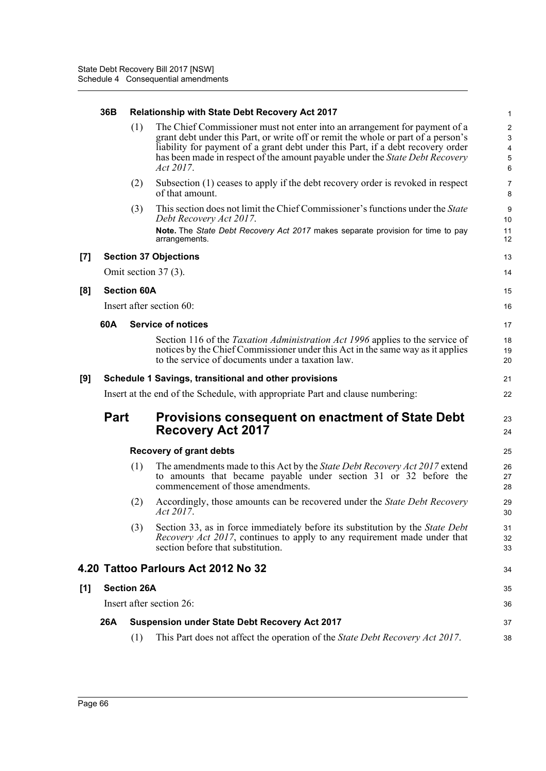|       | 36B                          |                    | <b>Relationship with State Debt Recovery Act 2017</b>                                                                                                                                                                                                                                                                                           | $\mathbf{1}$                                |  |  |  |
|-------|------------------------------|--------------------|-------------------------------------------------------------------------------------------------------------------------------------------------------------------------------------------------------------------------------------------------------------------------------------------------------------------------------------------------|---------------------------------------------|--|--|--|
|       |                              | (1)                | The Chief Commissioner must not enter into an arrangement for payment of a<br>grant debt under this Part, or write off or remit the whole or part of a person's<br>liability for payment of a grant debt under this Part, if a debt recovery order<br>has been made in respect of the amount payable under the State Debt Recovery<br>Act 2017. | $\overline{2}$<br>3<br>4<br>$\sqrt{5}$<br>6 |  |  |  |
|       |                              | (2)                | Subsection (1) ceases to apply if the debt recovery order is revoked in respect<br>of that amount.                                                                                                                                                                                                                                              | $\overline{7}$<br>8                         |  |  |  |
|       |                              | (3)                | This section does not limit the Chief Commissioner's functions under the State<br>Debt Recovery Act 2017.<br>Note. The State Debt Recovery Act 2017 makes separate provision for time to pay                                                                                                                                                    | 9<br>10<br>11                               |  |  |  |
|       |                              |                    | arrangements.                                                                                                                                                                                                                                                                                                                                   | 12                                          |  |  |  |
| $[7]$ | <b>Section 37 Objections</b> |                    |                                                                                                                                                                                                                                                                                                                                                 |                                             |  |  |  |
|       |                              |                    | Omit section 37 (3).                                                                                                                                                                                                                                                                                                                            | 14                                          |  |  |  |
| [8]   |                              | <b>Section 60A</b> |                                                                                                                                                                                                                                                                                                                                                 | 15                                          |  |  |  |
|       |                              |                    | Insert after section 60:                                                                                                                                                                                                                                                                                                                        | 16                                          |  |  |  |
|       | 60A                          |                    | <b>Service of notices</b>                                                                                                                                                                                                                                                                                                                       | 17                                          |  |  |  |
|       |                              |                    | Section 116 of the Taxation Administration Act 1996 applies to the service of<br>notices by the Chief Commissioner under this Act in the same way as it applies<br>to the service of documents under a taxation law.                                                                                                                            | 18<br>19<br>20                              |  |  |  |
| [9]   |                              |                    | Schedule 1 Savings, transitional and other provisions                                                                                                                                                                                                                                                                                           | 21                                          |  |  |  |
|       |                              |                    | Insert at the end of the Schedule, with appropriate Part and clause numbering:                                                                                                                                                                                                                                                                  | 22                                          |  |  |  |
|       | <b>Part</b>                  |                    | <b>Provisions consequent on enactment of State Debt</b><br><b>Recovery Act 2017</b>                                                                                                                                                                                                                                                             | 23<br>24                                    |  |  |  |
|       |                              |                    | <b>Recovery of grant debts</b>                                                                                                                                                                                                                                                                                                                  | 25                                          |  |  |  |
|       |                              | (1)                | The amendments made to this Act by the <i>State Debt Recovery Act 2017</i> extend<br>to amounts that became payable under section 31 or 32 before the<br>commencement of those amendments.                                                                                                                                                      | 26<br>27<br>28                              |  |  |  |
|       |                              | (2)                | Accordingly, those amounts can be recovered under the <i>State Debt Recovery</i><br>Act 2017.                                                                                                                                                                                                                                                   | 29<br>30                                    |  |  |  |
|       |                              | (3)                | Section 33, as in force immediately before its substitution by the <i>State Debt</i><br>Recovery Act 2017, continues to apply to any requirement made under that<br>section before that substitution.                                                                                                                                           | 31<br>32<br>33                              |  |  |  |
|       |                              |                    | 4.20 Tattoo Parlours Act 2012 No 32                                                                                                                                                                                                                                                                                                             | 34                                          |  |  |  |
| [1]   |                              | <b>Section 26A</b> |                                                                                                                                                                                                                                                                                                                                                 | 35                                          |  |  |  |
|       |                              |                    | Insert after section 26:                                                                                                                                                                                                                                                                                                                        | 36                                          |  |  |  |
|       | 26A                          |                    | <b>Suspension under State Debt Recovery Act 2017</b>                                                                                                                                                                                                                                                                                            | 37                                          |  |  |  |
|       |                              | (1)                | This Part does not affect the operation of the State Debt Recovery Act 2017.                                                                                                                                                                                                                                                                    | 38                                          |  |  |  |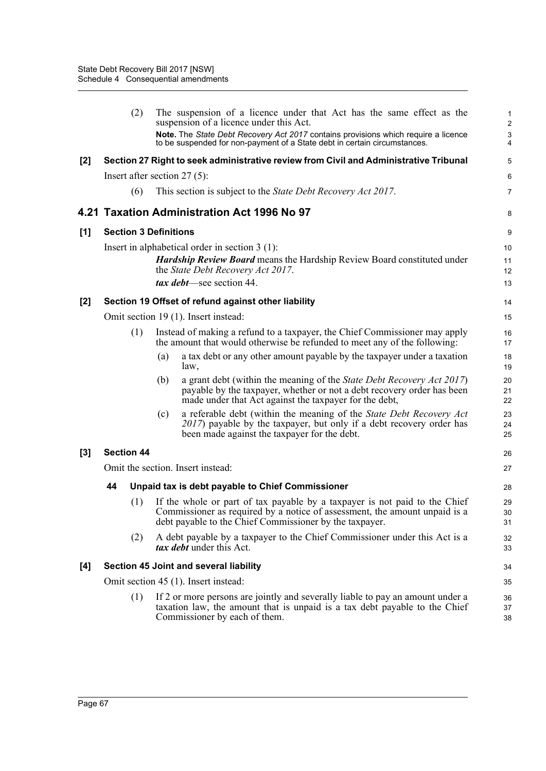|       |                   | (2) | The suspension of a licence under that Act has the same effect as the<br>suspension of a licence under this Act.                                                                                                    | 1<br>$\overline{\mathbf{c}}$ |
|-------|-------------------|-----|---------------------------------------------------------------------------------------------------------------------------------------------------------------------------------------------------------------------|------------------------------|
|       |                   |     | Note. The State Debt Recovery Act 2017 contains provisions which require a licence<br>to be suspended for non-payment of a State debt in certain circumstances.                                                     | 3<br>4                       |
| $[2]$ |                   |     | Section 27 Right to seek administrative review from Civil and Administrative Tribunal                                                                                                                               | 5                            |
|       |                   |     | Insert after section $27(5)$ :                                                                                                                                                                                      | 6                            |
|       |                   | (6) | This section is subject to the <i>State Debt Recovery Act 2017</i> .                                                                                                                                                | 7                            |
|       |                   |     | 4.21 Taxation Administration Act 1996 No 97                                                                                                                                                                         | 8                            |
| [1]   |                   |     | <b>Section 3 Definitions</b>                                                                                                                                                                                        | 9                            |
|       |                   |     | Insert in alphabetical order in section $3(1)$ :<br><b>Hardship Review Board means the Hardship Review Board constituted under</b><br>the State Debt Recovery Act 2017.<br>tax debt—see section 44.                 | 10<br>11<br>12<br>13         |
| $[2]$ |                   |     | Section 19 Offset of refund against other liability                                                                                                                                                                 | 14                           |
|       |                   |     | Omit section 19 (1). Insert instead:                                                                                                                                                                                | 15                           |
|       |                   | (1) | Instead of making a refund to a taxpayer, the Chief Commissioner may apply<br>the amount that would otherwise be refunded to meet any of the following:                                                             | 16<br>17                     |
|       |                   |     | a tax debt or any other amount payable by the taxpayer under a taxation<br>(a)<br>law,                                                                                                                              | 18<br>19                     |
|       |                   |     | a grant debt (within the meaning of the State Debt Recovery Act 2017)<br>(b)<br>payable by the taxpayer, whether or not a debt recovery order has been<br>made under that Act against the taxpayer for the debt,    | 20<br>21<br>22               |
|       |                   |     | a referable debt (within the meaning of the State Debt Recovery Act<br>(c)<br>2017) payable by the taxpayer, but only if a debt recovery order has<br>been made against the taxpayer for the debt.                  | 23<br>24<br>25               |
| $[3]$ | <b>Section 44</b> |     |                                                                                                                                                                                                                     | 26                           |
|       |                   |     | Omit the section. Insert instead:                                                                                                                                                                                   | 27                           |
|       | 44                |     | Unpaid tax is debt payable to Chief Commissioner                                                                                                                                                                    | 28                           |
|       |                   | (1) | If the whole or part of tax payable by a taxpayer is not paid to the Chief<br>Commissioner as required by a notice of assessment, the amount unpaid is a<br>debt payable to the Chief Commissioner by the taxpayer. | 29<br>30<br>31               |
|       |                   | (2) | A debt payable by a taxpayer to the Chief Commissioner under this Act is a<br>tax debt under this Act.                                                                                                              | 32<br>33                     |
| [4]   |                   |     | Section 45 Joint and several liability                                                                                                                                                                              | 34                           |
|       |                   |     | Omit section 45 (1). Insert instead:                                                                                                                                                                                | 35                           |
|       |                   | (1) | If 2 or more persons are jointly and severally liable to pay an amount under a<br>taxation law, the amount that is unpaid is a tax debt payable to the Chief<br>Commissioner by each of them.                       | 36<br>37<br>38               |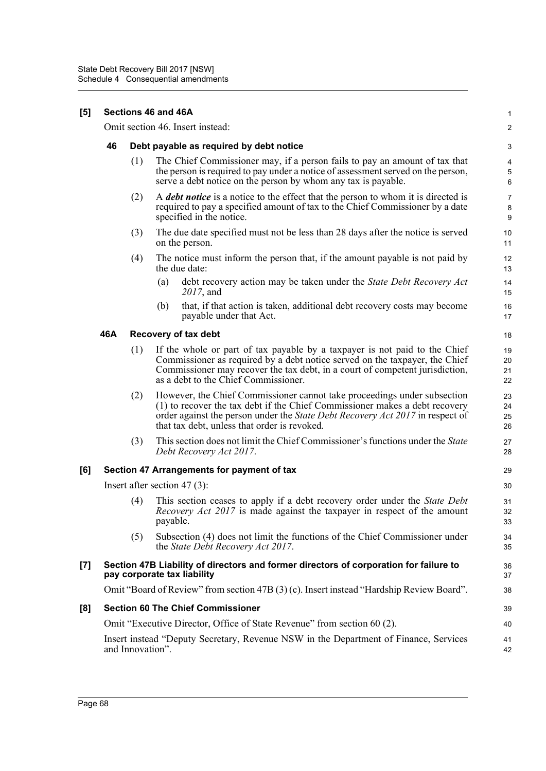| $\left[ 5\right]$<br>Sections 46 and 46A             |     |                                                                                                                                                                                                                                                                                          |                                                                                                                                                                                                                                                                                                                                                                                                                                                                                                                                                                                                  |  |  |  |  |
|------------------------------------------------------|-----|------------------------------------------------------------------------------------------------------------------------------------------------------------------------------------------------------------------------------------------------------------------------------------------|--------------------------------------------------------------------------------------------------------------------------------------------------------------------------------------------------------------------------------------------------------------------------------------------------------------------------------------------------------------------------------------------------------------------------------------------------------------------------------------------------------------------------------------------------------------------------------------------------|--|--|--|--|
|                                                      |     |                                                                                                                                                                                                                                                                                          | 2                                                                                                                                                                                                                                                                                                                                                                                                                                                                                                                                                                                                |  |  |  |  |
| 46<br>Debt payable as required by debt notice<br>(1) |     |                                                                                                                                                                                                                                                                                          |                                                                                                                                                                                                                                                                                                                                                                                                                                                                                                                                                                                                  |  |  |  |  |
|                                                      |     | The Chief Commissioner may, if a person fails to pay an amount of tax that<br>the person is required to pay under a notice of assessment served on the person,<br>serve a debt notice on the person by whom any tax is payable.                                                          | 4<br>$\,$ 5 $\,$<br>6                                                                                                                                                                                                                                                                                                                                                                                                                                                                                                                                                                            |  |  |  |  |
|                                                      | (2) | A debt notice is a notice to the effect that the person to whom it is directed is<br>required to pay a specified amount of tax to the Chief Commissioner by a date<br>specified in the notice.                                                                                           | 7<br>8<br>$\boldsymbol{9}$                                                                                                                                                                                                                                                                                                                                                                                                                                                                                                                                                                       |  |  |  |  |
|                                                      | (3) | The due date specified must not be less than 28 days after the notice is served<br>on the person.                                                                                                                                                                                        | 10<br>11                                                                                                                                                                                                                                                                                                                                                                                                                                                                                                                                                                                         |  |  |  |  |
|                                                      | (4) | The notice must inform the person that, if the amount payable is not paid by<br>the due date:                                                                                                                                                                                            | 12<br>13                                                                                                                                                                                                                                                                                                                                                                                                                                                                                                                                                                                         |  |  |  |  |
|                                                      |     | debt recovery action may be taken under the State Debt Recovery Act<br>(a)<br>2017, and                                                                                                                                                                                                  | 14<br>15                                                                                                                                                                                                                                                                                                                                                                                                                                                                                                                                                                                         |  |  |  |  |
|                                                      |     | that, if that action is taken, additional debt recovery costs may become<br>(b)<br>payable under that Act.                                                                                                                                                                               | 16<br>17                                                                                                                                                                                                                                                                                                                                                                                                                                                                                                                                                                                         |  |  |  |  |
| 46A                                                  |     |                                                                                                                                                                                                                                                                                          | 18                                                                                                                                                                                                                                                                                                                                                                                                                                                                                                                                                                                               |  |  |  |  |
|                                                      | (1) | If the whole or part of tax payable by a taxpayer is not paid to the Chief<br>Commissioner as required by a debt notice served on the taxpayer, the Chief<br>Commissioner may recover the tax debt, in a court of competent jurisdiction,<br>as a debt to the Chief Commissioner.        | 19<br>20<br>21<br>22                                                                                                                                                                                                                                                                                                                                                                                                                                                                                                                                                                             |  |  |  |  |
|                                                      | (2) | However, the Chief Commissioner cannot take proceedings under subsection<br>(1) to recover the tax debt if the Chief Commissioner makes a debt recovery<br>order against the person under the State Debt Recovery Act 2017 in respect of<br>that tax debt, unless that order is revoked. | 23<br>24<br>25<br>26                                                                                                                                                                                                                                                                                                                                                                                                                                                                                                                                                                             |  |  |  |  |
|                                                      | (3) | This section does not limit the Chief Commissioner's functions under the State<br>Debt Recovery Act 2017.                                                                                                                                                                                | 27<br>28                                                                                                                                                                                                                                                                                                                                                                                                                                                                                                                                                                                         |  |  |  |  |
|                                                      |     |                                                                                                                                                                                                                                                                                          | 29                                                                                                                                                                                                                                                                                                                                                                                                                                                                                                                                                                                               |  |  |  |  |
|                                                      |     |                                                                                                                                                                                                                                                                                          | 30                                                                                                                                                                                                                                                                                                                                                                                                                                                                                                                                                                                               |  |  |  |  |
|                                                      | (4) | This section ceases to apply if a debt recovery order under the State Debt<br><i>Recovery Act 2017</i> is made against the taxpayer in respect of the amount<br>payable.                                                                                                                 | 31<br>32<br>33                                                                                                                                                                                                                                                                                                                                                                                                                                                                                                                                                                                   |  |  |  |  |
|                                                      | (5) | Subsection (4) does not limit the functions of the Chief Commissioner under<br>the State Debt Recovery Act 2017.                                                                                                                                                                         | 34<br>35                                                                                                                                                                                                                                                                                                                                                                                                                                                                                                                                                                                         |  |  |  |  |
|                                                      |     |                                                                                                                                                                                                                                                                                          | 36<br>37                                                                                                                                                                                                                                                                                                                                                                                                                                                                                                                                                                                         |  |  |  |  |
|                                                      |     |                                                                                                                                                                                                                                                                                          | 38                                                                                                                                                                                                                                                                                                                                                                                                                                                                                                                                                                                               |  |  |  |  |
|                                                      |     |                                                                                                                                                                                                                                                                                          | 39                                                                                                                                                                                                                                                                                                                                                                                                                                                                                                                                                                                               |  |  |  |  |
|                                                      |     |                                                                                                                                                                                                                                                                                          | 40                                                                                                                                                                                                                                                                                                                                                                                                                                                                                                                                                                                               |  |  |  |  |
|                                                      |     |                                                                                                                                                                                                                                                                                          | 41<br>42                                                                                                                                                                                                                                                                                                                                                                                                                                                                                                                                                                                         |  |  |  |  |
|                                                      |     |                                                                                                                                                                                                                                                                                          | Omit section 46. Insert instead:<br>Recovery of tax debt<br>Section 47 Arrangements for payment of tax<br>Insert after section 47 $(3)$ :<br>Section 47B Liability of directors and former directors of corporation for failure to<br>pay corporate tax liability<br>Omit "Board of Review" from section 47B (3) (c). Insert instead "Hardship Review Board".<br><b>Section 60 The Chief Commissioner</b><br>Omit "Executive Director, Office of State Revenue" from section 60 (2).<br>Insert instead "Deputy Secretary, Revenue NSW in the Department of Finance, Services<br>and Innovation". |  |  |  |  |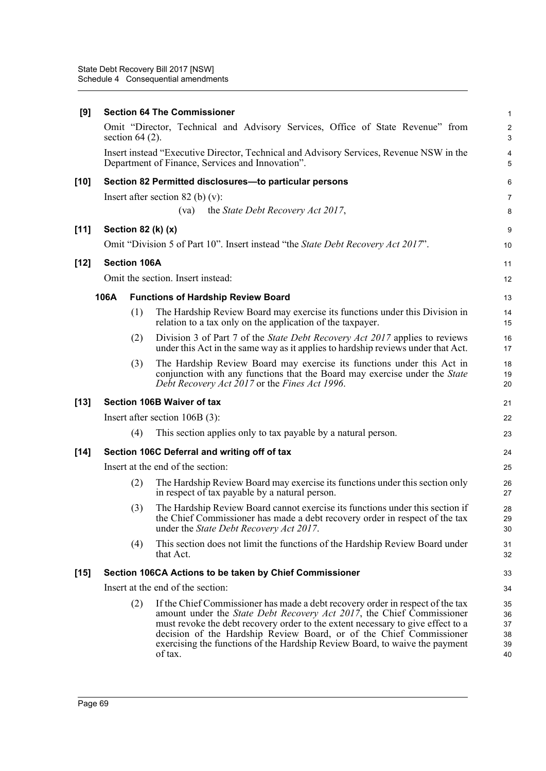| [9]    |      |                     | <b>Section 64 The Commissioner</b>                                                                                                                                                                                                                                                                                                                                                                                  | $\mathbf{1}$                     |
|--------|------|---------------------|---------------------------------------------------------------------------------------------------------------------------------------------------------------------------------------------------------------------------------------------------------------------------------------------------------------------------------------------------------------------------------------------------------------------|----------------------------------|
|        |      | section $64(2)$ .   | Omit "Director, Technical and Advisory Services, Office of State Revenue" from                                                                                                                                                                                                                                                                                                                                      | $\sqrt{2}$<br>3                  |
|        |      |                     | Insert instead "Executive Director, Technical and Advisory Services, Revenue NSW in the<br>Department of Finance, Services and Innovation".                                                                                                                                                                                                                                                                         | 4<br>5                           |
| $[10]$ |      |                     | Section 82 Permitted disclosures-to particular persons                                                                                                                                                                                                                                                                                                                                                              | 6                                |
|        |      |                     | Insert after section $82$ (b) (v):                                                                                                                                                                                                                                                                                                                                                                                  | 7                                |
|        |      |                     | the State Debt Recovery Act 2017,<br>(va)                                                                                                                                                                                                                                                                                                                                                                           | 8                                |
| $[11]$ |      |                     | Section 82 (k) (x)                                                                                                                                                                                                                                                                                                                                                                                                  | 9                                |
|        |      |                     | Omit "Division 5 of Part 10". Insert instead "the State Debt Recovery Act 2017".                                                                                                                                                                                                                                                                                                                                    | 10                               |
| $[12]$ |      | <b>Section 106A</b> |                                                                                                                                                                                                                                                                                                                                                                                                                     | 11                               |
|        |      |                     | Omit the section. Insert instead:                                                                                                                                                                                                                                                                                                                                                                                   | 12                               |
|        | 106A |                     | <b>Functions of Hardship Review Board</b>                                                                                                                                                                                                                                                                                                                                                                           | 13                               |
|        |      | (1)                 | The Hardship Review Board may exercise its functions under this Division in<br>relation to a tax only on the application of the taxpayer.                                                                                                                                                                                                                                                                           | 14<br>15                         |
|        |      | (2)                 | Division 3 of Part 7 of the State Debt Recovery Act 2017 applies to reviews<br>under this Act in the same way as it applies to hardship reviews under that Act.                                                                                                                                                                                                                                                     | 16<br>17                         |
|        |      | (3)                 | The Hardship Review Board may exercise its functions under this Act in<br>conjunction with any functions that the Board may exercise under the State<br>Debt Recovery Act 2017 or the Fines Act 1996.                                                                                                                                                                                                               | 18<br>19<br>20                   |
| $[13]$ |      |                     | <b>Section 106B Waiver of tax</b>                                                                                                                                                                                                                                                                                                                                                                                   | 21                               |
|        |      |                     | Insert after section $106B(3)$ :                                                                                                                                                                                                                                                                                                                                                                                    | 22                               |
|        |      | (4)                 | This section applies only to tax payable by a natural person.                                                                                                                                                                                                                                                                                                                                                       | 23                               |
| $[14]$ |      |                     | Section 106C Deferral and writing off of tax                                                                                                                                                                                                                                                                                                                                                                        | 24                               |
|        |      |                     | Insert at the end of the section:                                                                                                                                                                                                                                                                                                                                                                                   | 25                               |
|        |      | (2)                 | The Hardship Review Board may exercise its functions under this section only<br>in respect of tax payable by a natural person.                                                                                                                                                                                                                                                                                      | 26<br>27                         |
|        |      | (3)                 | The Hardship Review Board cannot exercise its functions under this section if<br>the Chief Commissioner has made a debt recovery order in respect of the tax<br>under the <i>State Debt Recovery Act 2017</i> .                                                                                                                                                                                                     | 28<br>29<br>30                   |
|        |      | (4)                 | This section does not limit the functions of the Hardship Review Board under<br>that Act.                                                                                                                                                                                                                                                                                                                           | 31<br>32                         |
| $[15]$ |      |                     | Section 106CA Actions to be taken by Chief Commissioner                                                                                                                                                                                                                                                                                                                                                             | 33                               |
|        |      |                     | Insert at the end of the section:                                                                                                                                                                                                                                                                                                                                                                                   | 34                               |
|        |      | (2)                 | If the Chief Commissioner has made a debt recovery order in respect of the tax<br>amount under the <i>State Debt Recovery Act 2017</i> , the Chief Commissioner<br>must revoke the debt recovery order to the extent necessary to give effect to a<br>decision of the Hardship Review Board, or of the Chief Commissioner<br>exercising the functions of the Hardship Review Board, to waive the payment<br>of tax. | 35<br>36<br>37<br>38<br>39<br>40 |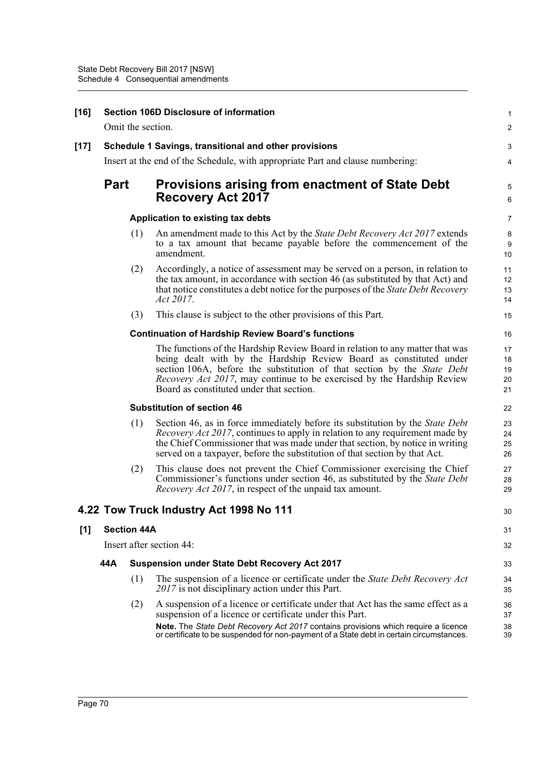| $[16]$ |                                                                                |                                                      | Section 106D Disclosure of information                                                                                                                                                                                                                                                                                                                       | $\mathbf{1}$                |  |  |
|--------|--------------------------------------------------------------------------------|------------------------------------------------------|--------------------------------------------------------------------------------------------------------------------------------------------------------------------------------------------------------------------------------------------------------------------------------------------------------------------------------------------------------------|-----------------------------|--|--|
|        |                                                                                | Omit the section.                                    |                                                                                                                                                                                                                                                                                                                                                              | $\overline{2}$              |  |  |
| $[17]$ |                                                                                |                                                      | Schedule 1 Savings, transitional and other provisions                                                                                                                                                                                                                                                                                                        | 3                           |  |  |
|        | Insert at the end of the Schedule, with appropriate Part and clause numbering: |                                                      |                                                                                                                                                                                                                                                                                                                                                              |                             |  |  |
|        | <b>Part</b>                                                                    |                                                      | <b>Provisions arising from enactment of State Debt</b><br><b>Recovery Act 2017</b>                                                                                                                                                                                                                                                                           | 5<br>6                      |  |  |
|        |                                                                                | Application to existing tax debts                    |                                                                                                                                                                                                                                                                                                                                                              |                             |  |  |
|        |                                                                                | (1)                                                  | An amendment made to this Act by the State Debt Recovery Act 2017 extends<br>to a tax amount that became payable before the commencement of the<br>amendment.                                                                                                                                                                                                | 8<br>$\boldsymbol{9}$<br>10 |  |  |
|        |                                                                                | (2)                                                  | Accordingly, a notice of assessment may be served on a person, in relation to<br>the tax amount, in accordance with section 46 (as substituted by that Act) and<br>that notice constitutes a debt notice for the purposes of the <i>State Debt Recovery</i><br>Act 2017.                                                                                     | 11<br>12<br>13<br>14        |  |  |
|        |                                                                                | (3)                                                  | This clause is subject to the other provisions of this Part.                                                                                                                                                                                                                                                                                                 | 15                          |  |  |
|        |                                                                                |                                                      | <b>Continuation of Hardship Review Board's functions</b>                                                                                                                                                                                                                                                                                                     | 16                          |  |  |
|        |                                                                                |                                                      | The functions of the Hardship Review Board in relation to any matter that was<br>being dealt with by the Hardship Review Board as constituted under<br>section 106A, before the substitution of that section by the State Debt<br><i>Recovery Act 2017</i> , may continue to be exercised by the Hardship Review<br>Board as constituted under that section. | 17<br>18<br>19<br>20<br>21  |  |  |
|        |                                                                                | <b>Substitution of section 46</b>                    |                                                                                                                                                                                                                                                                                                                                                              |                             |  |  |
|        |                                                                                | (1)                                                  | Section 46, as in force immediately before its substitution by the State Debt<br><i>Recovery Act 2017</i> , continues to apply in relation to any requirement made by<br>the Chief Commissioner that was made under that section, by notice in writing<br>served on a taxpayer, before the substitution of that section by that Act.                         | 23<br>24<br>25<br>26        |  |  |
|        |                                                                                | (2)                                                  | This clause does not prevent the Chief Commissioner exercising the Chief<br>Commissioner's functions under section 46, as substituted by the State Debt<br><i>Recovery Act 2017</i> , in respect of the unpaid tax amount.                                                                                                                                   | 27<br>28<br>29              |  |  |
|        |                                                                                |                                                      | 4.22 Tow Truck Industry Act 1998 No 111                                                                                                                                                                                                                                                                                                                      | 30                          |  |  |
| [1]    |                                                                                | <b>Section 44A</b>                                   |                                                                                                                                                                                                                                                                                                                                                              | 31                          |  |  |
|        | Insert after section 44:                                                       |                                                      |                                                                                                                                                                                                                                                                                                                                                              | 32                          |  |  |
|        | 44A                                                                            | <b>Suspension under State Debt Recovery Act 2017</b> |                                                                                                                                                                                                                                                                                                                                                              |                             |  |  |
|        |                                                                                | (1)                                                  | The suspension of a licence or certificate under the State Debt Recovery Act<br>2017 is not disciplinary action under this Part.                                                                                                                                                                                                                             | 34<br>35                    |  |  |
|        |                                                                                | (2)                                                  | A suspension of a licence or certificate under that Act has the same effect as a<br>suspension of a licence or certificate under this Part.                                                                                                                                                                                                                  | 36<br>37                    |  |  |
|        |                                                                                |                                                      | Note. The State Debt Recovery Act 2017 contains provisions which require a licence<br>or certificate to be suspended for non-payment of a State debt in certain circumstances.                                                                                                                                                                               | 38<br>39                    |  |  |